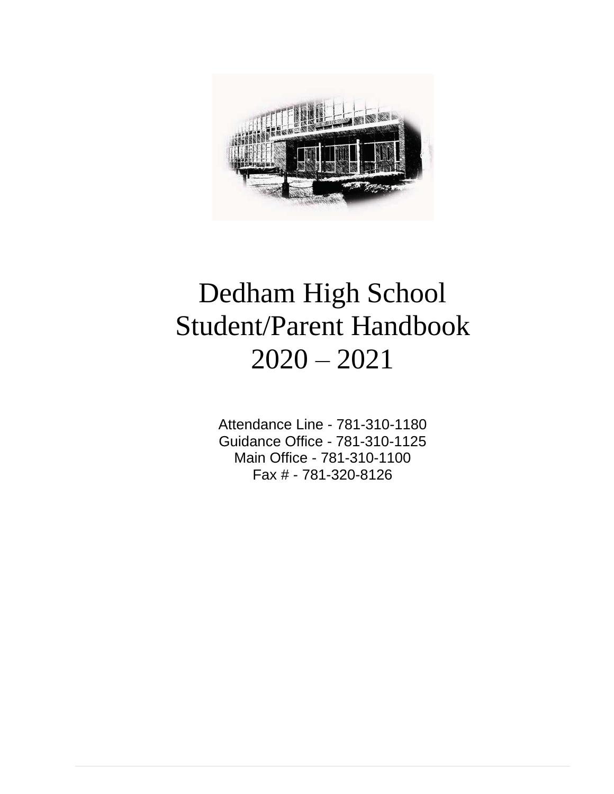

# Dedham High School Student/Parent Handbook 2020 – 2021

Attendance Line - 781-310-1180 Guidance Office - 781-310-1125 Main Office - 781-310-1100 Fax # - 781-320-8126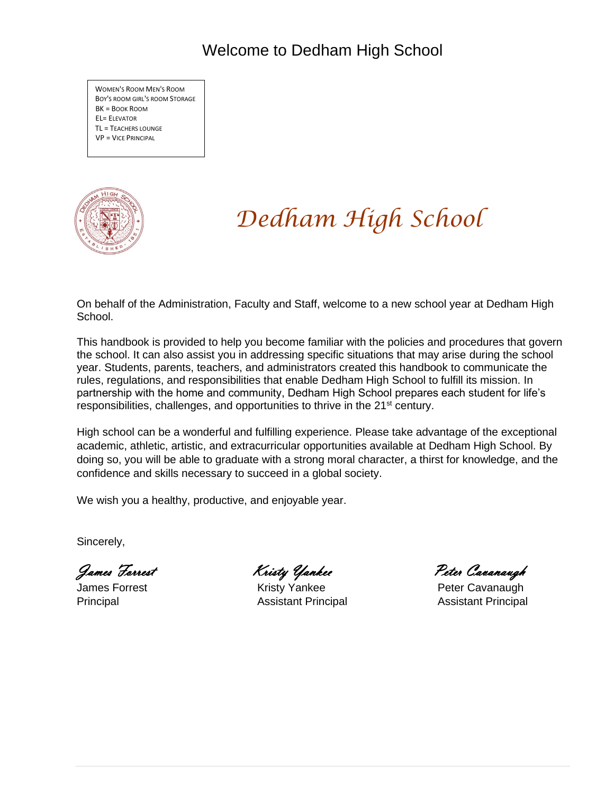WOMEN'S ROOM MEN'S ROOM BOY'S ROOM GIRL'S ROOM STORAGE BK = BOOK ROOM EL= ELEVATOR TL = TEACHERS LOUNGE VP = VICE PRINCIPAL



# *Dedham High School*

On behalf of the Administration, Faculty and Staff, welcome to a new school year at Dedham High School.

This handbook is provided to help you become familiar with the policies and procedures that govern the school. It can also assist you in addressing specific situations that may arise during the school year. Students, parents, teachers, and administrators created this handbook to communicate the rules, regulations, and responsibilities that enable Dedham High School to fulfill its mission. In partnership with the home and community, Dedham High School prepares each student for life's responsibilities, challenges, and opportunities to thrive in the 21<sup>st</sup> century.

High school can be a wonderful and fulfilling experience. Please take advantage of the exceptional academic, athletic, artistic, and extracurricular opportunities available at Dedham High School. By doing so, you will be able to graduate with a strong moral character, a thirst for knowledge, and the confidence and skills necessary to succeed in a global society.

We wish you a healthy, productive, and enjoyable year.

Sincerely,

James Forrest **Example 20** Kristy Yankee **Peter Cavanaugh** Principal Assistant Principal Assistant Principal

James ForrestKristy Yankee Peter Cavanaugh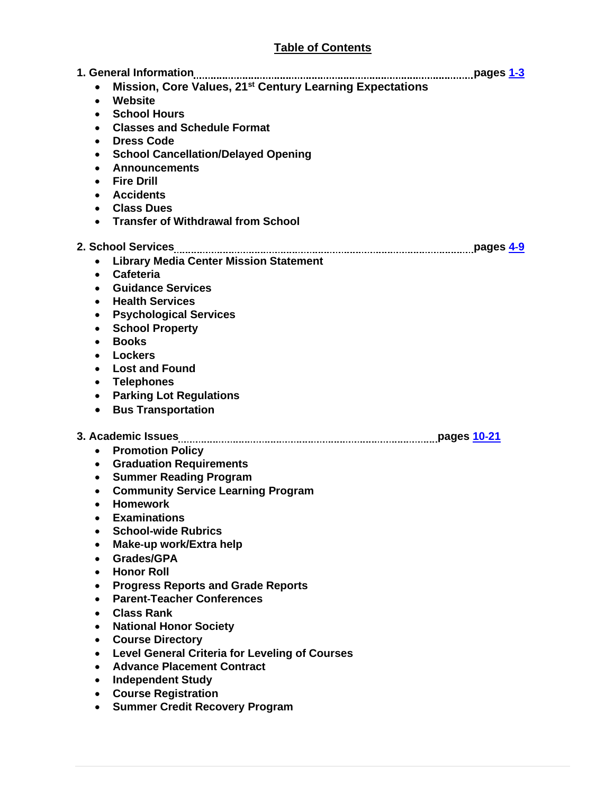# **Table of Contents**

|           | 1. General Information                                               |
|-----------|----------------------------------------------------------------------|
|           | Mission, Core Values, 21 <sup>st</sup> Century Learning Expectations |
| $\bullet$ | Website                                                              |
| $\bullet$ | <b>School Hours</b>                                                  |
| $\bullet$ | <b>Classes and Schedule Format</b>                                   |
| $\bullet$ | <b>Dress Code</b>                                                    |
| $\bullet$ | <b>School Cancellation/Delayed Opening</b>                           |
| $\bullet$ | <b>Announcements</b>                                                 |
| $\bullet$ | <b>Fire Drill</b>                                                    |
| $\bullet$ | <b>Accidents</b>                                                     |
| $\bullet$ | <b>Class Dues</b>                                                    |
| $\bullet$ | <b>Transfer of Withdrawal from School</b>                            |
|           | 2. School Services                                                   |
| $\bullet$ | <b>Library Media Center Mission Statement</b>                        |
| $\bullet$ | <b>Cafeteria</b>                                                     |
| $\bullet$ | <b>Guidance Services</b>                                             |
| $\bullet$ | <b>Health Services</b>                                               |
| $\bullet$ | <b>Psychological Services</b>                                        |
| $\bullet$ | <b>School Property</b>                                               |
| $\bullet$ | <b>Books</b>                                                         |
| $\bullet$ | <b>Lockers</b>                                                       |
| $\bullet$ | <b>Lost and Found</b>                                                |
| $\bullet$ | <b>Telephones</b>                                                    |
| $\bullet$ | <b>Parking Lot Regulations</b>                                       |
| $\bullet$ | <b>Bus Transportation</b>                                            |
|           |                                                                      |
| $\bullet$ | <b>Promotion Policy</b>                                              |
| $\bullet$ | <b>Graduation Requirements</b>                                       |
| $\bullet$ | <b>Summer Reading Program</b>                                        |
| $\bullet$ | <b>Community Service Learning Program</b>                            |
| $\bullet$ | <b>Homework</b>                                                      |
| $\bullet$ | <b>Examinations</b>                                                  |
|           | <b>School-wide Rubrics</b>                                           |
| $\bullet$ | Make-up work/Extra help                                              |
|           | Grades/GPA                                                           |
|           | <b>Honor Roll</b>                                                    |
| $\bullet$ | <b>Progress Reports and Grade Reports</b>                            |
|           | <b>Parent-Teacher Conferences</b>                                    |
|           | <b>Class Rank</b>                                                    |
| ٠         | <b>National Honor Society</b>                                        |
| $\bullet$ | <b>Course Directory</b>                                              |
| $\bullet$ | <b>Level General Criteria for Leveling of Courses</b>                |
|           | <b>Advance Placement Contract</b>                                    |
|           | <b>Independent Study</b>                                             |
|           | <b>Course Registration</b>                                           |
|           | <b>Summer Credit Recovery Program</b>                                |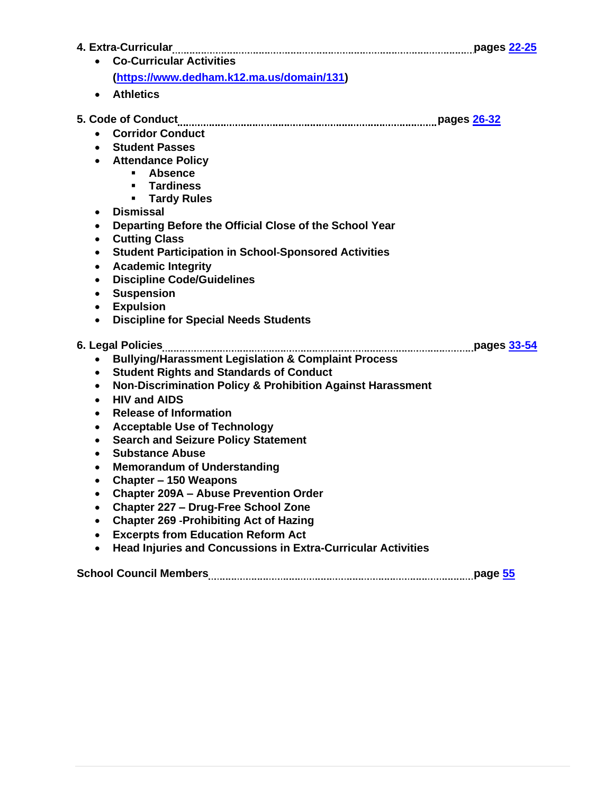| <b>Co-Curricular Activities</b>                                                  |  |
|----------------------------------------------------------------------------------|--|
| (https://www.dedham.k12.ma.us/domain/131)                                        |  |
| <b>Athletics</b><br>$\bullet$                                                    |  |
|                                                                                  |  |
|                                                                                  |  |
| • Corridor Conduct                                                               |  |
| <b>Student Passes</b><br>$\bullet$                                               |  |
| <b>Attendance Policy</b><br>$\bullet$<br><b>Absence</b><br>٠                     |  |
| <b>Tardiness</b>                                                                 |  |
| • Tardy Rules                                                                    |  |
| <b>Dismissal</b><br>٠                                                            |  |
| Departing Before the Official Close of the School Year<br>٠                      |  |
| <b>Cutting Class</b><br>٠                                                        |  |
| <b>Student Participation in School-Sponsored Activities</b><br>$\bullet$         |  |
| <b>Academic Integrity</b><br>$\bullet$                                           |  |
| <b>Discipline Code/Guidelines</b><br>$\bullet$                                   |  |
| <b>Suspension</b><br>$\bullet$                                                   |  |
| <b>Expulsion</b><br>$\bullet$                                                    |  |
| <b>Discipline for Special Needs Students</b><br>$\bullet$                        |  |
| 6. Legal Policies                                                                |  |
| <b>Bullying/Harassment Legislation &amp; Complaint Process</b><br>$\bullet$      |  |
| <b>Student Rights and Standards of Conduct</b><br>$\bullet$                      |  |
| Non-Discrimination Policy & Prohibition Against Harassment<br>$\bullet$          |  |
| <b>HIV and AIDS</b><br>$\bullet$                                                 |  |
| <b>Release of Information</b><br>٠                                               |  |
| <b>Acceptable Use of Technology</b><br>$\bullet$                                 |  |
| <b>Search and Seizure Policy Statement</b><br>$\bullet$                          |  |
| <b>Substance Abuse</b><br>$\bullet$                                              |  |
| <b>Memorandum of Understanding</b><br>$\bullet$                                  |  |
| <b>Chapter - 150 Weapons</b><br>$\bullet$                                        |  |
| <b>Chapter 209A - Abuse Prevention Order</b><br>٠                                |  |
| Chapter 227 - Drug-Free School Zone                                              |  |
| <b>Chapter 269 - Prohibiting Act of Hazing</b>                                   |  |
| <b>Excerpts from Education Reform Act</b>                                        |  |
| <b>Head Injuries and Concussions in Extra-Curricular Activities</b><br>$\bullet$ |  |
|                                                                                  |  |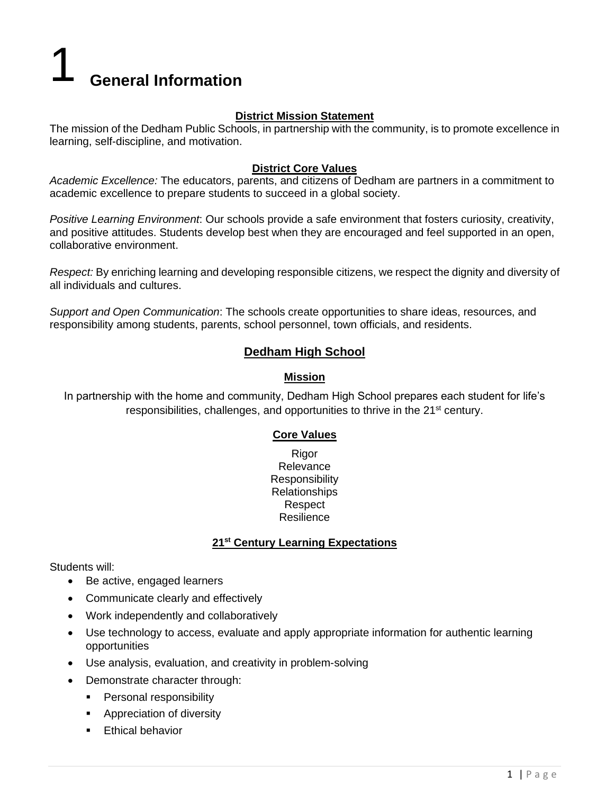# <span id="page-4-0"></span>**General Information**

# **District Mission Statement**

The mission of the Dedham Public Schools, in partnership with the community, is to promote excellence in learning, self-discipline, and motivation.

# **District Core Values**

*Academic Excellence:* The educators, parents, and citizens of Dedham are partners in a commitment to academic excellence to prepare students to succeed in a global society.

*Positive Learning Environment*: Our schools provide a safe environment that fosters curiosity, creativity, and positive attitudes. Students develop best when they are encouraged and feel supported in an open, collaborative environment.

*Respect:* By enriching learning and developing responsible citizens, we respect the dignity and diversity of all individuals and cultures.

*Support and Open Communication*: The schools create opportunities to share ideas, resources, and responsibility among students, parents, school personnel, town officials, and residents.

# **Dedham High School**

# **Mission**

In partnership with the home and community, Dedham High School prepares each student for life's responsibilities, challenges, and opportunities to thrive in the 21<sup>st</sup> century.

# **Core Values**

Rigor Relevance **Responsibility** Relationships **Respect** Resilience

# **21st Century Learning Expectations**

Students will:

- Be active, engaged learners
- Communicate clearly and effectively
- Work independently and collaboratively
- Use technology to access, evaluate and apply appropriate information for authentic learning opportunities
- Use analysis, evaluation, and creativity in problem-solving
- Demonstrate character through:
	- Personal responsibility
	- Appreciation of diversity
	- **Ethical behavior**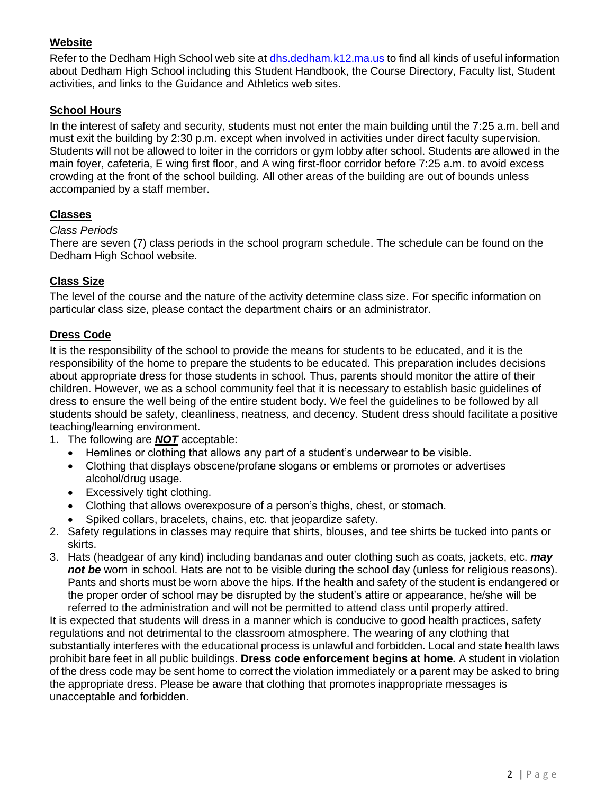# **Website**

Refer to the Dedham High School web site at [dhs.dedham.k12.ma.us](http://dhs.dedham.k12.ma.us/) to find all kinds of useful information about Dedham High School including this Student Handbook, the Course Directory, Faculty list, Student activities, and links to the Guidance and Athletics web sites.

# **School Hours**

In the interest of safety and security, students must not enter the main building until the 7:25 a.m. bell and must exit the building by 2:30 p.m. except when involved in activities under direct faculty supervision. Students will not be allowed to loiter in the corridors or gym lobby after school. Students are allowed in the main foyer, cafeteria, E wing first floor, and A wing first-floor corridor before 7:25 a.m. to avoid excess crowding at the front of the school building. All other areas of the building are out of bounds unless accompanied by a staff member.

# **Classes**

#### *Class Periods*

There are seven (7) class periods in the school program schedule. The schedule can be found on the Dedham High School website.

# **Class Size**

The level of the course and the nature of the activity determine class size. For specific information on particular class size, please contact the department chairs or an administrator.

# **Dress Code**

It is the responsibility of the school to provide the means for students to be educated, and it is the responsibility of the home to prepare the students to be educated. This preparation includes decisions about appropriate dress for those students in school. Thus, parents should monitor the attire of their children. However, we as a school community feel that it is necessary to establish basic guidelines of dress to ensure the well being of the entire student body. We feel the guidelines to be followed by all students should be safety, cleanliness, neatness, and decency. Student dress should facilitate a positive teaching/learning environment.

- 1. The following are *NOT* acceptable:
	- Hemlines or clothing that allows any part of a student's underwear to be visible.
	- Clothing that displays obscene/profane slogans or emblems or promotes or advertises alcohol/drug usage.
	- Excessively tight clothing.
	- Clothing that allows overexposure of a person's thighs, chest, or stomach.
	- Spiked collars, bracelets, chains, etc. that jeopardize safety.
- 2. Safety regulations in classes may require that shirts, blouses, and tee shirts be tucked into pants or skirts.
- 3. Hats (headgear of any kind) including bandanas and outer clothing such as coats, jackets, etc. *may not be* worn in school. Hats are not to be visible during the school day (unless for religious reasons). Pants and shorts must be worn above the hips. If the health and safety of the student is endangered or the proper order of school may be disrupted by the student's attire or appearance, he/she will be referred to the administration and will not be permitted to attend class until properly attired.

It is expected that students will dress in a manner which is conducive to good health practices, safety regulations and not detrimental to the classroom atmosphere. The wearing of any clothing that substantially interferes with the educational process is unlawful and forbidden. Local and state health laws prohibit bare feet in all public buildings. **Dress code enforcement begins at home.** A student in violation of the dress code may be sent home to correct the violation immediately or a parent may be asked to bring the appropriate dress. Please be aware that clothing that promotes inappropriate messages is unacceptable and forbidden.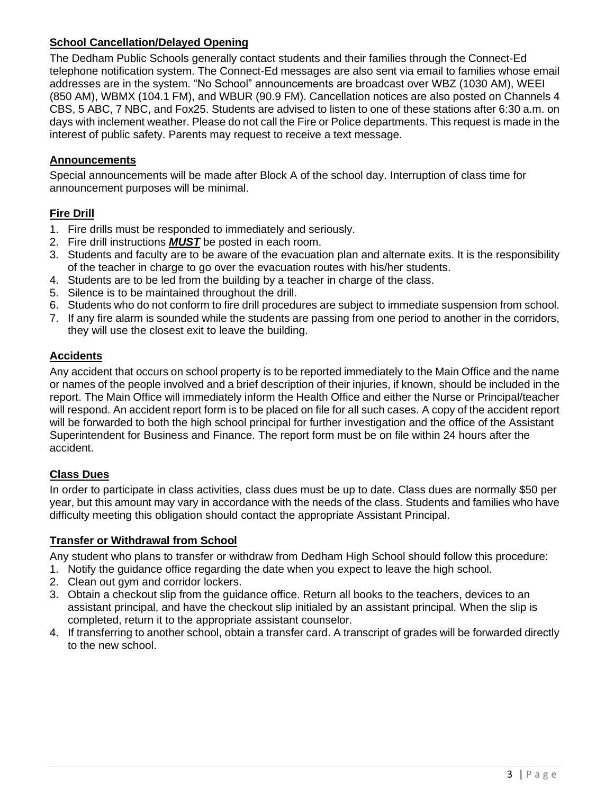# **School Cancellation/Delayed Opening**

The Dedham Public Schools generally contact students and their families through the Connect-Ed telephone notification system. The Connect-Ed messages are also sent via email to families whose email addresses are in the system. "No School" announcements are broadcast over WBZ (1030 AM), WEEI (850 AM), WBMX (104.1 FM), and WBUR (90.9 FM). Cancellation notices are also posted on Channels 4 CBS, 5 ABC, 7 NBC, and Fox25. Students are advised to listen to one of these stations after 6:30 a.m. on days with inclement weather. Please do not call the Fire or Police departments. This request is made in the interest of public safety. Parents may request to receive a text message.

# **Announcements**

Special announcements will be made after Block A of the school day. Interruption of class time for announcement purposes will be minimal.

# **Fire Drill**

- 1. Fire drills must be responded to immediately and seriously.
- 2. Fire drill instructions *MUST* be posted in each room.
- 3. Students and faculty are to be aware of the evacuation plan and alternate exits. It is the responsibility of the teacher in charge to go over the evacuation routes with his/her students.
- 4. Students are to be led from the building by a teacher in charge of the class.
- 5. Silence is to be maintained throughout the drill.
- 6. Students who do not conform to fire drill procedures are subject to immediate suspension from school.
- 7. If any fire alarm is sounded while the students are passing from one period to another in the corridors, they will use the closest exit to leave the building.

# **Accidents**

Any accident that occurs on school property is to be reported immediately to the Main Office and the name or names of the people involved and a brief description of their injuries, if known, should be included in the report. The Main Office will immediately inform the Health Office and either the Nurse or Principal/teacher will respond. An accident report form is to be placed on file for all such cases. A copy of the accident report will be forwarded to both the high school principal for further investigation and the office of the Assistant Superintendent for Business and Finance. The report form must be on file within 24 hours after the accident.

# **Class Dues**

In order to participate in class activities, class dues must be up to date. Class dues are normally \$50 per year, but this amount may vary in accordance with the needs of the class. Students and families who have difficulty meeting this obligation should contact the appropriate Assistant Principal.

# **Transfer or Withdrawal from School**

Any student who plans to transfer or withdraw from Dedham High School should follow this procedure:

- 1. Notify the guidance office regarding the date when you expect to leave the high school.
- 2. Clean out gym and corridor lockers.
- 3. Obtain a checkout slip from the guidance office. Return all books to the teachers, devices to an assistant principal, and have the checkout slip initialed by an assistant principal. When the slip is completed, return it to the appropriate assistant counselor.
- 4. If transferring to another school, obtain a transfer card. A transcript of grades will be forwarded directly to the new school.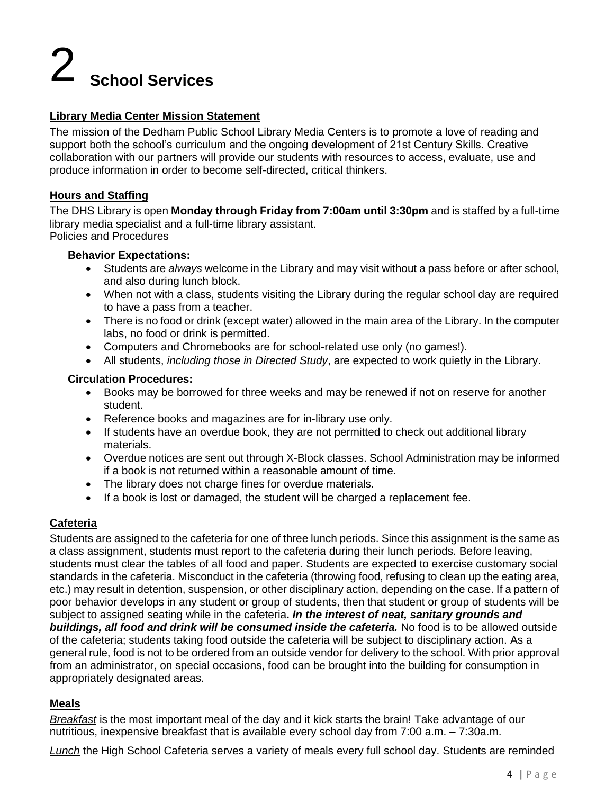# <span id="page-7-0"></span>2 **School Services**

# **Library Media Center Mission Statement**

The mission of the Dedham Public School Library Media Centers is to promote a love of reading and support both the school's curriculum and the ongoing development of 21st Century Skills. Creative collaboration with our partners will provide our students with resources to access, evaluate, use and produce information in order to become self-directed, critical thinkers.

# **Hours and Staffing**

The DHS Library is open **Monday through Friday from 7:00am until 3:30pm** and is staffed by a full-time library media specialist and a full-time library assistant. Policies and Procedures

**Behavior Expectations:**

- Students are *always* welcome in the Library and may visit without a pass before or after school, and also during lunch block.
- When not with a class, students visiting the Library during the regular school day are required to have a pass from a teacher.
- There is no food or drink (except water) allowed in the main area of the Library. In the computer labs, no food or drink is permitted.
- Computers and Chromebooks are for school-related use only (no games!).
- All students, *including those in Directed Study*, are expected to work quietly in the Library.

#### **Circulation Procedures:**

- Books may be borrowed for three weeks and may be renewed if not on reserve for another student.
- Reference books and magazines are for in-library use only.
- If students have an overdue book, they are not permitted to check out additional library materials.
- Overdue notices are sent out through X-Block classes. School Administration may be informed if a book is not returned within a reasonable amount of time.
- The library does not charge fines for overdue materials.
- If a book is lost or damaged, the student will be charged a replacement fee.

# **Cafeteria**

Students are assigned to the cafeteria for one of three lunch periods. Since this assignment is the same as a class assignment, students must report to the cafeteria during their lunch periods. Before leaving, students must clear the tables of all food and paper. Students are expected to exercise customary social standards in the cafeteria. Misconduct in the cafeteria (throwing food, refusing to clean up the eating area, etc.) may result in detention, suspension, or other disciplinary action, depending on the case. If a pattern of poor behavior develops in any student or group of students, then that student or group of students will be subject to assigned seating while in the cafeteria**.** *In the interest of neat, sanitary grounds and buildings, all food and drink will be consumed inside the cafeteria.* No food is to be allowed outside of the cafeteria; students taking food outside the cafeteria will be subject to disciplinary action. As a general rule, food is not to be ordered from an outside vendor for delivery to the school. With prior approval from an administrator, on special occasions, food can be brought into the building for consumption in appropriately designated areas.

# **Meals**

*Breakfast* is the most important meal of the day and it kick starts the brain! Take advantage of our nutritious, inexpensive breakfast that is available every school day from 7:00 a.m. – 7:30a.m.

*Lunch* the High School Cafeteria serves a variety of meals every full school day. Students are reminded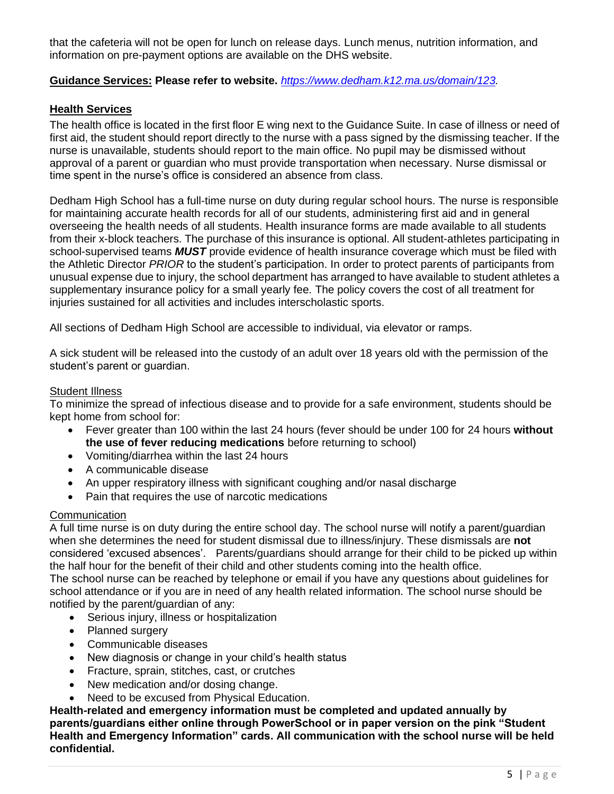that the cafeteria will not be open for lunch on release days. Lunch menus, nutrition information, and information on pre-payment options are available on the DHS website.

# **Guidance Services: Please refer to website.** *[https://www.dedham.k12.ma.us/domain/123.](https://www.dedham.k12.ma.us/domain/123)*

#### **Health Services**

The health office is located in the first floor E wing next to the Guidance Suite. In case of illness or need of first aid, the student should report directly to the nurse with a pass signed by the dismissing teacher. If the nurse is unavailable, students should report to the main office. No pupil may be dismissed without approval of a parent or guardian who must provide transportation when necessary. Nurse dismissal or time spent in the nurse's office is considered an absence from class.

Dedham High School has a full-time nurse on duty during regular school hours. The nurse is responsible for maintaining accurate health records for all of our students, administering first aid and in general overseeing the health needs of all students. Health insurance forms are made available to all students from their x-block teachers. The purchase of this insurance is optional. All student-athletes participating in school-supervised teams *MUST* provide evidence of health insurance coverage which must be filed with the Athletic Director *PRIOR* to the student's participation. In order to protect parents of participants from unusual expense due to injury, the school department has arranged to have available to student athletes a supplementary insurance policy for a small yearly fee. The policy covers the cost of all treatment for injuries sustained for all activities and includes interscholastic sports.

All sections of Dedham High School are accessible to individual, via elevator or ramps.

A sick student will be released into the custody of an adult over 18 years old with the permission of the student's parent or guardian.

#### Student Illness

To minimize the spread of infectious disease and to provide for a safe environment, students should be kept home from school for:

- Fever greater than 100 within the last 24 hours (fever should be under 100 for 24 hours **without the use of fever reducing medications** before returning to school)
- Vomiting/diarrhea within the last 24 hours
- A communicable disease
- An upper respiratory illness with significant coughing and/or nasal discharge
- Pain that requires the use of narcotic medications

# **Communication**

A full time nurse is on duty during the entire school day. The school nurse will notify a parent/guardian when she determines the need for student dismissal due to illness/injury. These dismissals are **not**  considered 'excused absences'. Parents/guardians should arrange for their child to be picked up within the half hour for the benefit of their child and other students coming into the health office. The school nurse can be reached by telephone or email if you have any questions about guidelines for school attendance or if you are in need of any health related information. The school nurse should be notified by the parent/guardian of any:

- Serious injury, illness or hospitalization
- Planned surgery
- Communicable diseases
- New diagnosis or change in your child's health status
- Fracture, sprain, stitches, cast, or crutches
- New medication and/or dosing change.
- Need to be excused from Physical Education.

**Health-related and emergency information must be completed and updated annually by parents/guardians either online through PowerSchool or in paper version on the pink "Student Health and Emergency Information" cards. All communication with the school nurse will be held confidential.**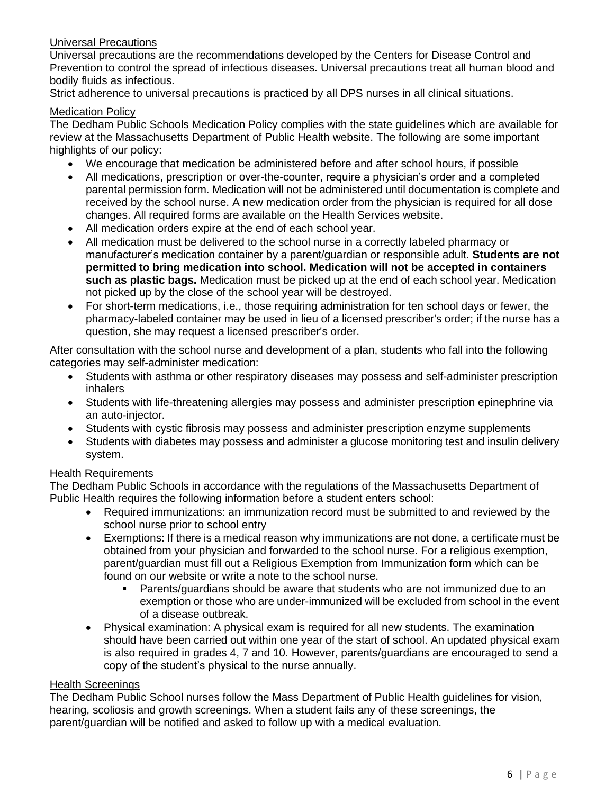# Universal Precautions

Universal precautions are the recommendations developed by the Centers for Disease Control and Prevention to control the spread of infectious diseases. Universal precautions treat all human blood and bodily fluids as infectious.

Strict adherence to universal precautions is practiced by all DPS nurses in all clinical situations.

#### Medication Policy

The Dedham Public Schools Medication Policy complies with the state guidelines which are available for review at the Massachusetts Department of Public Health website. The following are some important highlights of our policy:

- We encourage that medication be administered before and after school hours, if possible
- All medications, prescription or over-the-counter, require a physician's order and a completed parental permission form. Medication will not be administered until documentation is complete and received by the school nurse. A new medication order from the physician is required for all dose changes. All required forms are available on the Health Services website.
- All medication orders expire at the end of each school year.
- All medication must be delivered to the school nurse in a correctly labeled pharmacy or manufacturer's medication container by a parent/guardian or responsible adult. **Students are not permitted to bring medication into school. Medication will not be accepted in containers such as plastic bags.** Medication must be picked up at the end of each school year. Medication not picked up by the close of the school year will be destroyed.
- For short-term medications, i.e., those requiring administration for ten school days or fewer, the pharmacy-labeled container may be used in lieu of a licensed prescriber's order; if the nurse has a question, she may request a licensed prescriber's order.

After consultation with the school nurse and development of a plan, students who fall into the following categories may self-administer medication:

- Students with asthma or other respiratory diseases may possess and self-administer prescription inhalers
- Students with life-threatening allergies may possess and administer prescription epinephrine via an auto-injector.
- Students with cystic fibrosis may possess and administer prescription enzyme supplements
- Students with diabetes may possess and administer a glucose monitoring test and insulin delivery system.

# Health Requirements

The Dedham Public Schools in accordance with the regulations of the Massachusetts Department of Public Health requires the following information before a student enters school:

- Required immunizations: an immunization record must be submitted to and reviewed by the school nurse prior to school entry
- Exemptions: If there is a medical reason why immunizations are not done, a certificate must be obtained from your physician and forwarded to the school nurse. For a religious exemption, parent/guardian must fill out a Religious Exemption from Immunization form which can be found on our website or write a note to the school nurse.
	- Parents/guardians should be aware that students who are not immunized due to an exemption or those who are under-immunized will be excluded from school in the event of a disease outbreak.
- Physical examination: A physical exam is required for all new students. The examination should have been carried out within one year of the start of school. An updated physical exam is also required in grades 4, 7 and 10. However, parents/guardians are encouraged to send a copy of the student's physical to the nurse annually.

# Health Screenings

The Dedham Public School nurses follow the Mass Department of Public Health guidelines for vision, hearing, scoliosis and growth screenings. When a student fails any of these screenings, the parent/guardian will be notified and asked to follow up with a medical evaluation.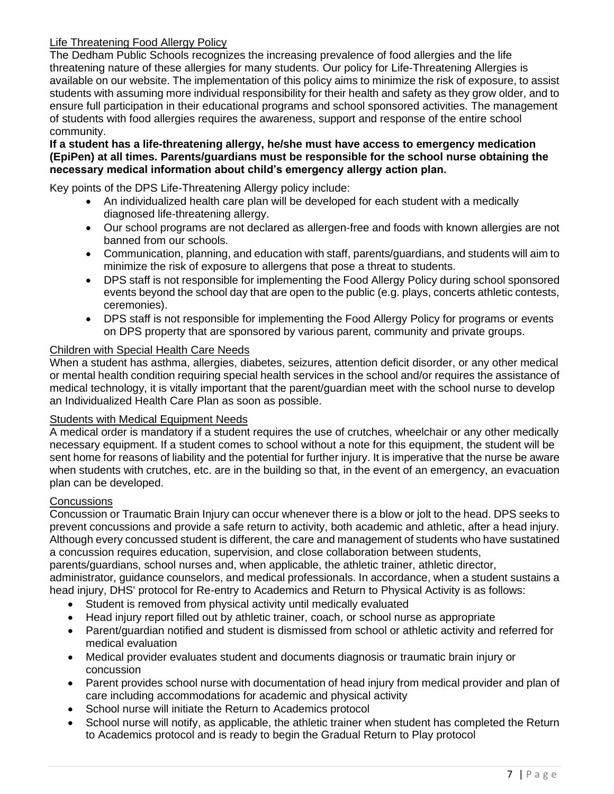# Life Threatening Food Allergy Policy

The Dedham Public Schools recognizes the increasing prevalence of food allergies and the life threatening nature of these allergies for many students. Our policy for Life-Threatening Allergies is available on our website. The implementation of this policy aims to minimize the risk of exposure, to assist students with assuming more individual responsibility for their health and safety as they grow older, and to ensure full participation in their educational programs and school sponsored activities. The management of students with food allergies requires the awareness, support and response of the entire school community.

#### **If a student has a life-threatening allergy, he/she must have access to emergency medication (EpiPen) at all times. Parents/guardians must be responsible for the school nurse obtaining the necessary medical information about child's emergency allergy action plan.**

Key points of the DPS Life-Threatening Allergy policy include:

- An individualized health care plan will be developed for each student with a medically diagnosed life-threatening allergy.
- Our school programs are not declared as allergen-free and foods with known allergies are not banned from our schools.
- Communication, planning, and education with staff, parents/guardians, and students will aim to minimize the risk of exposure to allergens that pose a threat to students.
- DPS staff is not responsible for implementing the Food Allergy Policy during school sponsored events beyond the school day that are open to the public (e.g. plays, concerts athletic contests, ceremonies).
- DPS staff is not responsible for implementing the Food Allergy Policy for programs or events on DPS property that are sponsored by various parent, community and private groups.

# Children with Special Health Care Needs

When a student has asthma, allergies, diabetes, seizures, attention deficit disorder, or any other medical or mental health condition requiring special health services in the school and/or requires the assistance of medical technology, it is vitally important that the parent/guardian meet with the school nurse to develop an Individualized Health Care Plan as soon as possible.

# Students with Medical Equipment Needs

A medical order is mandatory if a student requires the use of crutches, wheelchair or any other medically necessary equipment. If a student comes to school without a note for this equipment, the student will be sent home for reasons of liability and the potential for further injury. It is imperative that the nurse be aware when students with crutches, etc. are in the building so that, in the event of an emergency, an evacuation plan can be developed.

# **Concussions**

Concussion or Traumatic Brain Injury can occur whenever there is a blow or jolt to the head. DPS seeks to prevent concussions and provide a safe return to activity, both academic and athletic, after a head injury. Although every concussed student is different, the care and management of students who have sustatined a concussion requires education, supervision, and close collaboration between students, parents/guardians, school nurses and, when applicable, the athletic trainer, athletic director,

administrator, guidance counselors, and medical professionals. In accordance, when a student sustains a head injury, DHS' protocol for Re-entry to Academics and Return to Physical Activity is as follows:

- Student is removed from physical activity until medically evaluated
- Head injury report filled out by athletic trainer, coach, or school nurse as appropriate
- Parent/guardian notified and student is dismissed from school or athletic activity and referred for medical evaluation
- Medical provider evaluates student and documents diagnosis or traumatic brain injury or concussion
- Parent provides school nurse with documentation of head injury from medical provider and plan of care including accommodations for academic and physical activity
- School nurse will initiate the Return to Academics protocol
- School nurse will notify, as applicable, the athletic trainer when student has completed the Return to Academics protocol and is ready to begin the Gradual Return to Play protocol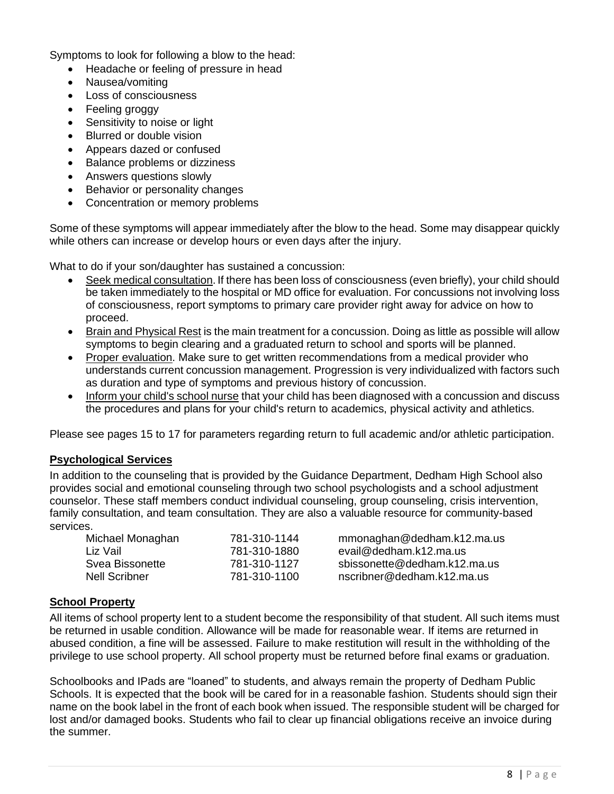Symptoms to look for following a blow to the head:

- Headache or feeling of pressure in head
- Nausea/vomiting
- Loss of consciousness
- Feeling groggy
- Sensitivity to noise or light
- Blurred or double vision
- Appears dazed or confused
- Balance problems or dizziness
- Answers questions slowly
- Behavior or personality changes
- Concentration or memory problems

Some of these symptoms will appear immediately after the blow to the head. Some may disappear quickly while others can increase or develop hours or even days after the injury.

What to do if your son/daughter has sustained a concussion:

- Seek medical consultation. If there has been loss of consciousness (even briefly), your child should be taken immediately to the hospital or MD office for evaluation. For concussions not involving loss of consciousness, report symptoms to primary care provider right away for advice on how to proceed.
- Brain and Physical Rest is the main treatment for a concussion. Doing as little as possible will allow symptoms to begin clearing and a graduated return to school and sports will be planned.
- Proper evaluation. Make sure to get written recommendations from a medical provider who understands current concussion management. Progression is very individualized with factors such as duration and type of symptoms and previous history of concussion.
- Inform your child's school nurse that your child has been diagnosed with a concussion and discuss the procedures and plans for your child's return to academics, physical activity and athletics.

Please see pages 15 to 17 for parameters regarding return to full academic and/or athletic participation.

#### **Psychological Services**

In addition to the counseling that is provided by the Guidance Department, Dedham High School also provides social and emotional counseling through two school psychologists and a school adjustment counselor. These staff members conduct individual counseling, group counseling, crisis intervention, family consultation, and team consultation. They are also a valuable resource for community-based services.

| Michael Monaghan     | 781-310-1144 | mmonaghan@dedham.k12.ma.us   |
|----------------------|--------------|------------------------------|
| Liz Vail             | 781-310-1880 | evail@dedham.k12.ma.us       |
| Svea Bissonette      | 781-310-1127 | sbissonette@dedham.k12.ma.us |
| <b>Nell Scribner</b> | 781-310-1100 | nscribner@dedham.k12.ma.us   |

# **School Property**

All items of school property lent to a student become the responsibility of that student. All such items must be returned in usable condition. Allowance will be made for reasonable wear. If items are returned in abused condition, a fine will be assessed. Failure to make restitution will result in the withholding of the privilege to use school property. All school property must be returned before final exams or graduation.

Schoolbooks and IPads are "loaned" to students, and always remain the property of Dedham Public Schools. It is expected that the book will be cared for in a reasonable fashion. Students should sign their name on the book label in the front of each book when issued. The responsible student will be charged for lost and/or damaged books. Students who fail to clear up financial obligations receive an invoice during the summer.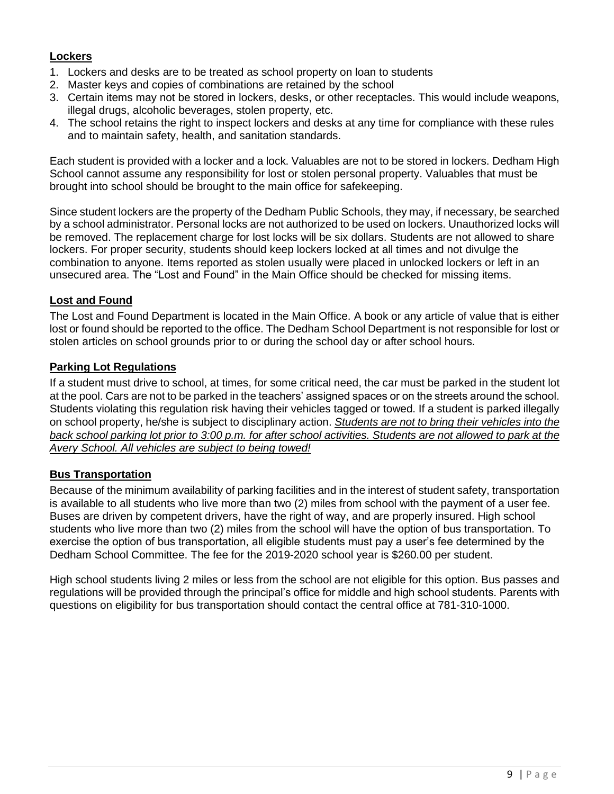# **Lockers**

- 1. Lockers and desks are to be treated as school property on loan to students
- 2. Master keys and copies of combinations are retained by the school
- 3. Certain items may not be stored in lockers, desks, or other receptacles. This would include weapons, illegal drugs, alcoholic beverages, stolen property, etc.
- 4. The school retains the right to inspect lockers and desks at any time for compliance with these rules and to maintain safety, health, and sanitation standards.

Each student is provided with a locker and a lock. Valuables are not to be stored in lockers. Dedham High School cannot assume any responsibility for lost or stolen personal property. Valuables that must be brought into school should be brought to the main office for safekeeping.

Since student lockers are the property of the Dedham Public Schools, they may, if necessary, be searched by a school administrator. Personal locks are not authorized to be used on lockers. Unauthorized locks will be removed. The replacement charge for lost locks will be six dollars. Students are not allowed to share lockers. For proper security, students should keep lockers locked at all times and not divulge the combination to anyone. Items reported as stolen usually were placed in unlocked lockers or left in an unsecured area. The "Lost and Found" in the Main Office should be checked for missing items.

# **Lost and Found**

The Lost and Found Department is located in the Main Office. A book or any article of value that is either lost or found should be reported to the office. The Dedham School Department is not responsible for lost or stolen articles on school grounds prior to or during the school day or after school hours.

# **Parking Lot Regulations**

If a student must drive to school, at times, for some critical need, the car must be parked in the student lot at the pool. Cars are not to be parked in the teachers' assigned spaces or on the streets around the school. Students violating this regulation risk having their vehicles tagged or towed. If a student is parked illegally on school property, he/she is subject to disciplinary action. *Students are not to bring their vehicles into the back school parking lot prior to 3:00 p.m. for after school activities. Students are not allowed to park at the Avery School. All vehicles are subject to being towed!*

# **Bus Transportation**

Because of the minimum availability of parking facilities and in the interest of student safety, transportation is available to all students who live more than two (2) miles from school with the payment of a user fee. Buses are driven by competent drivers, have the right of way, and are properly insured. High school students who live more than two (2) miles from the school will have the option of bus transportation. To exercise the option of bus transportation, all eligible students must pay a user's fee determined by the Dedham School Committee. The fee for the 2019-2020 school year is \$260.00 per student.

High school students living 2 miles or less from the school are not eligible for this option. Bus passes and regulations will be provided through the principal's office for middle and high school students. Parents with questions on eligibility for bus transportation should contact the central office at 781-310-1000.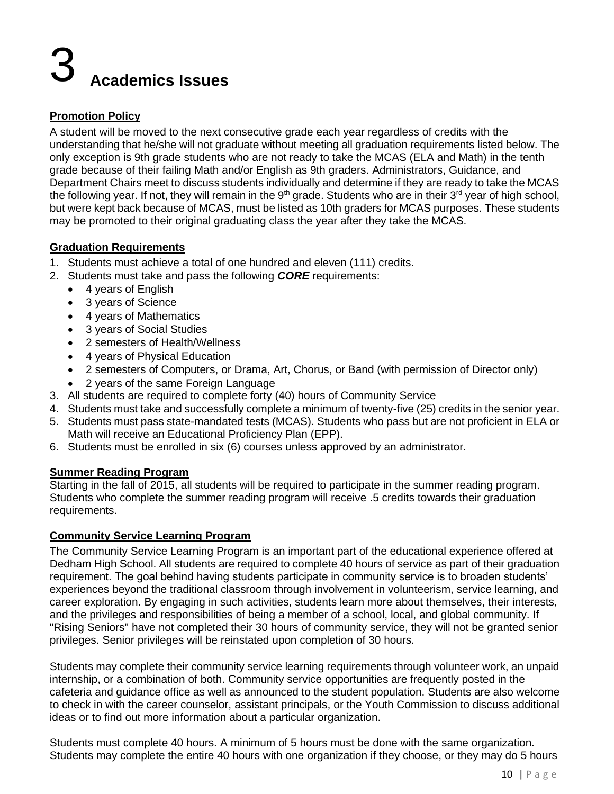# <span id="page-13-0"></span>3 **Academics Issues**

# **Promotion Policy**

A student will be moved to the next consecutive grade each year regardless of credits with the understanding that he/she will not graduate without meeting all graduation requirements listed below. The only exception is 9th grade students who are not ready to take the MCAS (ELA and Math) in the tenth grade because of their failing Math and/or English as 9th graders. Administrators, Guidance, and Department Chairs meet to discuss students individually and determine if they are ready to take the MCAS the following year. If not, they will remain in the  $9<sup>th</sup>$  grade. Students who are in their  $3<sup>rd</sup>$  year of high school, but were kept back because of MCAS, must be listed as 10th graders for MCAS purposes. These students may be promoted to their original graduating class the year after they take the MCAS.

# **Graduation Requirements**

- 1. Students must achieve a total of one hundred and eleven (111) credits.
- 2. Students must take and pass the following *CORE* requirements:
	- 4 years of English
	- 3 years of Science
	- 4 years of Mathematics
	- 3 years of Social Studies
	- 2 semesters of Health/Wellness
	- 4 years of Physical Education
	- 2 semesters of Computers, or Drama, Art, Chorus, or Band (with permission of Director only)
	- 2 years of the same Foreign Language
- 3. All students are required to complete forty (40) hours of Community Service
- 4. Students must take and successfully complete a minimum of twenty-five (25) credits in the senior year.
- 5. Students must pass state-mandated tests (MCAS). Students who pass but are not proficient in ELA or Math will receive an Educational Proficiency Plan (EPP).
- 6. Students must be enrolled in six (6) courses unless approved by an administrator.

# **Summer Reading Program**

Starting in the fall of 2015, all students will be required to participate in the summer reading program. Students who complete the summer reading program will receive .5 credits towards their graduation requirements.

# **Community Service Learning Program**

The Community Service Learning Program is an important part of the educational experience offered at Dedham High School. All students are required to complete 40 hours of service as part of their graduation requirement. The goal behind having students participate in community service is to broaden students' experiences beyond the traditional classroom through involvement in volunteerism, service learning, and career exploration. By engaging in such activities, students learn more about themselves, their interests, and the privileges and responsibilities of being a member of a school, local, and global community. If "Rising Seniors" have not completed their 30 hours of community service, they will not be granted senior privileges. Senior privileges will be reinstated upon completion of 30 hours.

Students may complete their community service learning requirements through volunteer work, an unpaid internship, or a combination of both. Community service opportunities are frequently posted in the cafeteria and guidance office as well as announced to the student population. Students are also welcome to check in with the career counselor, assistant principals, or the Youth Commission to discuss additional ideas or to find out more information about a particular organization.

Students must complete 40 hours. A minimum of 5 hours must be done with the same organization. Students may complete the entire 40 hours with one organization if they choose, or they may do 5 hours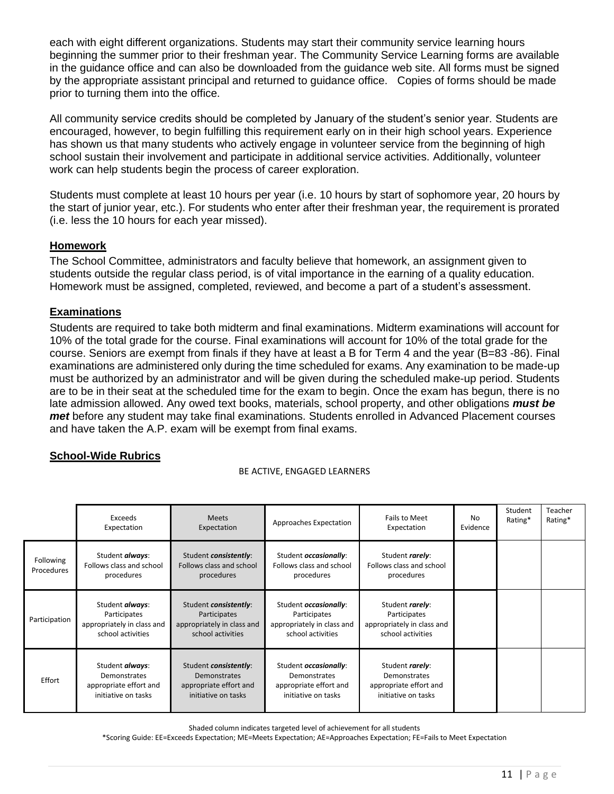each with eight different organizations. Students may start their community service learning hours beginning the summer prior to their freshman year. The Community Service Learning forms are available in the guidance office and can also be downloaded from the guidance web site. All forms must be signed by the appropriate assistant principal and returned to guidance office. Copies of forms should be made prior to turning them into the office.

All community service credits should be completed by January of the student's senior year. Students are encouraged, however, to begin fulfilling this requirement early on in their high school years. Experience has shown us that many students who actively engage in volunteer service from the beginning of high school sustain their involvement and participate in additional service activities. Additionally, volunteer work can help students begin the process of career exploration.

Students must complete at least 10 hours per year (i.e. 10 hours by start of sophomore year, 20 hours by the start of junior year, etc.). For students who enter after their freshman year, the requirement is prorated (i.e. less the 10 hours for each year missed).

# **Homework**

The School Committee, administrators and faculty believe that homework, an assignment given to students outside the regular class period, is of vital importance in the earning of a quality education. Homework must be assigned, completed, reviewed, and become a part of a student's assessment.

# **Examinations**

Students are required to take both midterm and final examinations. Midterm examinations will account for 10% of the total grade for the course. Final examinations will account for 10% of the total grade for the course. Seniors are exempt from finals if they have at least a B for Term 4 and the year (B=83 -86). Final examinations are administered only during the time scheduled for exams. Any examination to be made-up must be authorized by an administrator and will be given during the scheduled make-up period. Students are to be in their seat at the scheduled time for the exam to begin. Once the exam has begun, there is no late admission allowed. Any owed text books, materials, school property, and other obligations *must be met* before any student may take final examinations. Students enrolled in Advanced Placement courses and have taken the A.P. exam will be exempt from final exams.

# **School-Wide Rubrics**

#### BE ACTIVE, ENGAGED LEARNERS

|                         | Exceeds<br>Expectation                                                                     | <b>Meets</b><br>Expectation                                                                      | Approaches Expectation                                                                           | <b>Fails to Meet</b><br>Expectation                                                | No<br>Evidence | Student<br>Rating* | Teacher<br>Rating* |
|-------------------------|--------------------------------------------------------------------------------------------|--------------------------------------------------------------------------------------------------|--------------------------------------------------------------------------------------------------|------------------------------------------------------------------------------------|----------------|--------------------|--------------------|
| Following<br>Procedures | Student always:<br>Follows class and school<br>procedures                                  | Student <i>consistently</i> :<br>Follows class and school<br>procedures                          | Student occasionally:<br>Follows class and school<br>procedures                                  | Student rarely:<br>Follows class and school<br>procedures                          |                |                    |                    |
| Participation           | Student <i>always</i> :<br>Participates<br>appropriately in class and<br>school activities | Student <i>consistently</i> :<br>Participates<br>appropriately in class and<br>school activities | Student <i>occasionally</i> :<br>Participates<br>appropriately in class and<br>school activities | Student rarely:<br>Participates<br>appropriately in class and<br>school activities |                |                    |                    |
| Effort                  | Student always:<br>Demonstrates<br>appropriate effort and<br>initiative on tasks           | Student consistently:<br>Demonstrates<br>appropriate effort and<br>initiative on tasks           | Student occasionally:<br>Demonstrates<br>appropriate effort and<br>initiative on tasks           | Student rarely:<br>Demonstrates<br>appropriate effort and<br>initiative on tasks   |                |                    |                    |

Shaded column indicates targeted level of achievement for all students

\*Scoring Guide: EE=Exceeds Expectation; ME=Meets Expectation; AE=Approaches Expectation; FE=Fails to Meet Expectation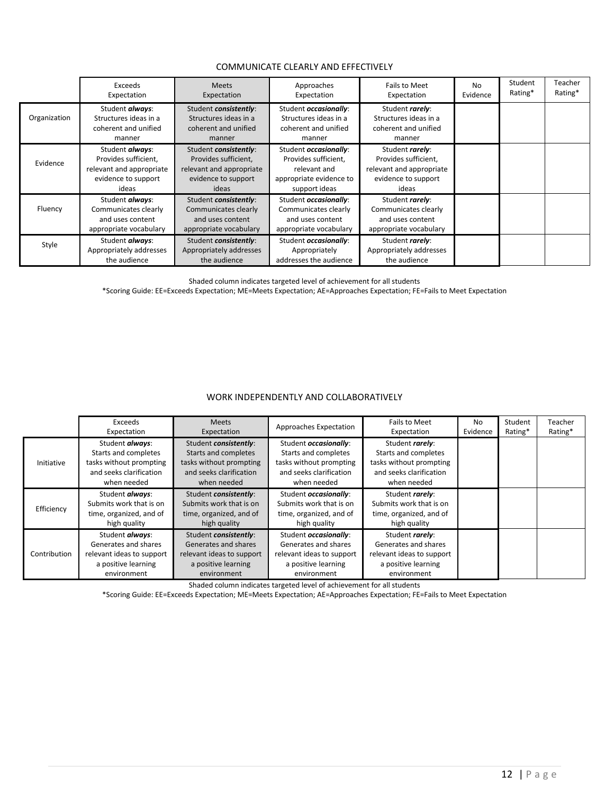|              | Exceeds<br>Expectation                                                                                      | <b>Meets</b><br>Expectation                                                                               | Approaches<br>Expectation                                                                                         | Fails to Meet<br>Expectation                                                                        | No<br>Evidence | Student<br>Rating* | Teacher<br>Rating* |
|--------------|-------------------------------------------------------------------------------------------------------------|-----------------------------------------------------------------------------------------------------------|-------------------------------------------------------------------------------------------------------------------|-----------------------------------------------------------------------------------------------------|----------------|--------------------|--------------------|
| Organization | Student <i>always</i> :<br>Structures ideas in a<br>coherent and unified<br>manner                          | Student consistently:<br>Structures ideas in a<br>coherent and unified<br>manner                          | Student <i>occasionally</i> :<br>Structures ideas in a<br>coherent and unified<br>manner                          | Student rarely:<br>Structures ideas in a<br>coherent and unified<br>manner                          |                |                    |                    |
| Evidence     | Student <i>always</i> :<br>Provides sufficient,<br>relevant and appropriate<br>evidence to support<br>ideas | Student consistently:<br>Provides sufficient,<br>relevant and appropriate<br>evidence to support<br>ideas | Student <i>occasionally</i> :<br>Provides sufficient,<br>relevant and<br>appropriate evidence to<br>support ideas | Student rarely:<br>Provides sufficient,<br>relevant and appropriate<br>evidence to support<br>ideas |                |                    |                    |
| Fluency      | Student <i>always</i> :<br>Communicates clearly<br>and uses content<br>appropriate vocabulary               | Student consistently:<br>Communicates clearly<br>and uses content<br>appropriate vocabulary               | Student <i>occasionally</i> :<br>Communicates clearly<br>and uses content<br>appropriate vocabulary               | Student rarely:<br>Communicates clearly<br>and uses content<br>appropriate vocabulary               |                |                    |                    |
| Style        | Student <i>always</i> :<br>Appropriately addresses<br>the audience                                          | Student consistently:<br>Appropriately addresses<br>the audience                                          | Student <i>occasionally</i> :<br>Appropriately<br>addresses the audience                                          | Student rarely:<br>Appropriately addresses<br>the audience                                          |                |                    |                    |

#### COMMUNICATE CLEARLY AND EFFECTIVELY

Shaded column indicates targeted level of achievement for all students

\*Scoring Guide: EE=Exceeds Expectation; ME=Meets Expectation; AE=Approaches Expectation; FE=Fails to Meet Expectation

#### WORK INDEPENDENTLY AND COLLABORATIVELY

|              | Exceeds                   | <b>Meets</b>              | Approaches Expectation    | Fails to Meet             | No       | Student | Teacher |
|--------------|---------------------------|---------------------------|---------------------------|---------------------------|----------|---------|---------|
|              | Expectation               | Expectation               |                           | Expectation               | Evidence | Rating* | Rating* |
|              | Student always:           | Student consistently:     | Student occasionally:     | Student rarely:           |          |         |         |
|              | Starts and completes      | Starts and completes      | Starts and completes      | Starts and completes      |          |         |         |
| Initiative   | tasks without prompting   | tasks without prompting   | tasks without prompting   | tasks without prompting   |          |         |         |
|              | and seeks clarification   | and seeks clarification   | and seeks clarification   | and seeks clarification   |          |         |         |
|              | when needed               | when needed               | when needed               | when needed               |          |         |         |
|              | Student <i>always</i> :   | Student consistently:     | Student occasionally:     | Student rarely:           |          |         |         |
| Efficiency   | Submits work that is on   | Submits work that is on   | Submits work that is on   | Submits work that is on   |          |         |         |
|              | time, organized, and of   | time, organized, and of   | time, organized, and of   | time, organized, and of   |          |         |         |
|              | high quality              | high quality              | high quality              | high quality              |          |         |         |
|              | Student <i>always</i> :   | Student consistently:     | Student occasionally:     | Student rarely:           |          |         |         |
|              | Generates and shares      | Generates and shares      | Generates and shares      | Generates and shares      |          |         |         |
| Contribution | relevant ideas to support | relevant ideas to support | relevant ideas to support | relevant ideas to support |          |         |         |
|              | a positive learning       | a positive learning       | a positive learning       | a positive learning       |          |         |         |
|              | environment               | environment               | environment               | environment               |          |         |         |

Shaded column indicates targeted level of achievement for all students

\*Scoring Guide: EE=Exceeds Expectation; ME=Meets Expectation; AE=Approaches Expectation; FE=Fails to Meet Expectation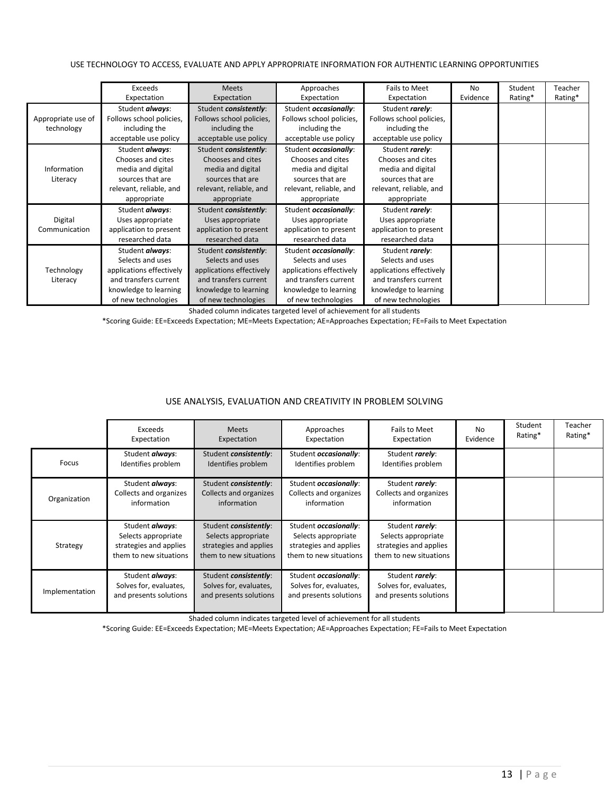#### USE TECHNOLOGY TO ACCESS, EVALUATE AND APPLY APPROPRIATE INFORMATION FOR AUTHENTIC LEARNING OPPORTUNITIES

|                    | Exceeds                  | <b>Meets</b>             | Approaches                    | <b>Fails to Meet</b>     | <b>No</b> | Student | Teacher |
|--------------------|--------------------------|--------------------------|-------------------------------|--------------------------|-----------|---------|---------|
|                    | Expectation              | Expectation              | Expectation                   | Expectation              | Evidence  | Rating* | Rating* |
|                    | Student <i>always</i> :  | Student consistently:    | Student occasionally:         | Student rarely:          |           |         |         |
| Appropriate use of | Follows school policies, | Follows school policies, | Follows school policies,      | Follows school policies, |           |         |         |
| technology         | including the            | including the            | including the                 | including the            |           |         |         |
|                    | acceptable use policy    | acceptable use policy    | acceptable use policy         | acceptable use policy    |           |         |         |
|                    | Student <i>always</i> :  | Student consistently:    | Student occasionally:         | Student rarely:          |           |         |         |
|                    | Chooses and cites        | Chooses and cites        | Chooses and cites             | Chooses and cites        |           |         |         |
| Information        | media and digital        | media and digital        | media and digital             | media and digital        |           |         |         |
| Literacy           | sources that are         | sources that are         | sources that are              | sources that are         |           |         |         |
|                    | relevant, reliable, and  | relevant, reliable, and  | relevant, reliable, and       | relevant, reliable, and  |           |         |         |
|                    | appropriate              | appropriate              | appropriate                   | appropriate              |           |         |         |
|                    | Student <i>always</i> :  | Student consistently:    | Student <i>occasionally</i> : | Student rarely:          |           |         |         |
| Digital            | Uses appropriate         | Uses appropriate         | Uses appropriate              | Uses appropriate         |           |         |         |
| Communication      | application to present   | application to present   | application to present        | application to present   |           |         |         |
|                    | researched data          | researched data          | researched data               | researched data          |           |         |         |
|                    | Student always:          | Student consistently:    | Student occasionally:         | Student rarely:          |           |         |         |
|                    | Selects and uses         | Selects and uses         | Selects and uses              | Selects and uses         |           |         |         |
| Technology         | applications effectively | applications effectively | applications effectively      | applications effectively |           |         |         |
| Literacy           | and transfers current    | and transfers current    | and transfers current         | and transfers current    |           |         |         |
|                    | knowledge to learning    | knowledge to learning    | knowledge to learning         | knowledge to learning    |           |         |         |
|                    | of new technologies      | of new technologies      | of new technologies           | of new technologies      |           |         |         |

Shaded column indicates targeted level of achievement for all students

\*Scoring Guide: EE=Exceeds Expectation; ME=Meets Expectation; AE=Approaches Expectation; FE=Fails to Meet Expectation

#### USE ANALYSIS, EVALUATION AND CREATIVITY IN PROBLEM SOLVING

|                | Exceeds<br>Expectation                                                                     | <b>Meets</b><br>Expectation                                                                      | Approaches<br>Expectation                                                                                | Fails to Meet<br>Expectation                                                               | N <sub>o</sub><br>Evidence | Student<br>Rating* | Teacher<br>Rating* |
|----------------|--------------------------------------------------------------------------------------------|--------------------------------------------------------------------------------------------------|----------------------------------------------------------------------------------------------------------|--------------------------------------------------------------------------------------------|----------------------------|--------------------|--------------------|
| Focus          | Student <i>always</i> :<br>Identifies problem                                              | Student consistently:<br>Identifies problem                                                      | Student <i>occasionally</i> :<br>Identifies problem                                                      | Student rarely:<br>Identifies problem                                                      |                            |                    |                    |
| Organization   | Student <i>always</i> :<br>Collects and organizes<br>information                           | Student consistently:<br>Collects and organizes<br>information                                   | Student <i>occasionally</i> :<br>Collects and organizes<br>information                                   | Student rarely:<br>Collects and organizes<br>information                                   |                            |                    |                    |
| Strategy       | Student always:<br>Selects appropriate<br>strategies and applies<br>them to new situations | Student consistently:<br>Selects appropriate<br>strategies and applies<br>them to new situations | Student <i>occasionally</i> :<br>Selects appropriate<br>strategies and applies<br>them to new situations | Student rarely:<br>Selects appropriate<br>strategies and applies<br>them to new situations |                            |                    |                    |
| Implementation | Student <i>always</i> :<br>Solves for, evaluates,<br>and presents solutions                | Student consistently:<br>Solves for, evaluates,<br>and presents solutions                        | Student <i>occasionally</i> :<br>Solves for, evaluates,<br>and presents solutions                        | Student rarely:<br>Solves for, evaluates,<br>and presents solutions                        |                            |                    |                    |

Shaded column indicates targeted level of achievement for all students

\*Scoring Guide: EE=Exceeds Expectation; ME=Meets Expectation; AE=Approaches Expectation; FE=Fails to Meet Expectation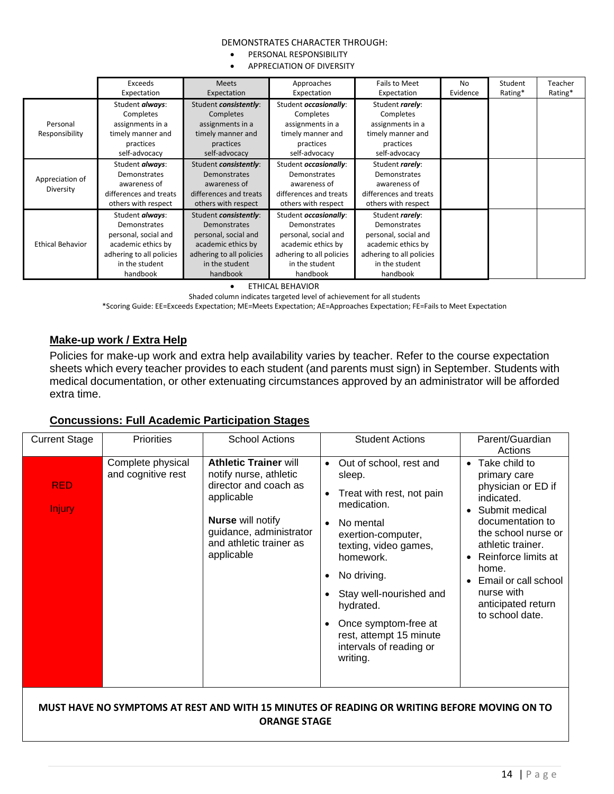#### DEMONSTRATES CHARACTER THROUGH:

- PERSONAL RESPONSIBILITY
	- APPRECIATION OF DIVERSITY

|                                                                                                                                                                                                                                                    | Exceeds<br>Expectation                                                                                                                  | <b>Meets</b><br>Expectation                                                                                                                   | Approaches<br>Expectation                                                                                                                     | <b>Fails to Meet</b><br>Expectation                                                                                                     | No<br>Evidence | Student<br>Rating* | Teacher<br>Rating* |
|----------------------------------------------------------------------------------------------------------------------------------------------------------------------------------------------------------------------------------------------------|-----------------------------------------------------------------------------------------------------------------------------------------|-----------------------------------------------------------------------------------------------------------------------------------------------|-----------------------------------------------------------------------------------------------------------------------------------------------|-----------------------------------------------------------------------------------------------------------------------------------------|----------------|--------------------|--------------------|
| Personal<br>Responsibility                                                                                                                                                                                                                         | Student <i>always</i> :<br>Completes<br>assignments in a<br>timely manner and<br>practices<br>self-advocacy                             | Student consistently:<br>Completes<br>assignments in a<br>timely manner and<br>practices<br>self-advocacy                                     | Student occasionally:<br>Completes<br>assignments in a<br>timely manner and<br>practices<br>self-advocacy                                     | Student rarely:<br>Completes<br>assignments in a<br>timely manner and<br>practices<br>self-advocacy                                     |                |                    |                    |
| Student <i>always</i> :<br>Student consistently:<br>Demonstrates<br>Demonstrates<br>Appreciation of<br>awareness of<br>awareness of<br>Diversity<br>differences and treats<br>differences and treats<br>others with respect<br>others with respect |                                                                                                                                         | Student <i>occasionally</i> :<br>Demonstrates<br>awareness of<br>differences and treats<br>others with respect                                | Student rarely:<br>Demonstrates<br>awareness of<br>differences and treats<br>others with respect                                              |                                                                                                                                         |                |                    |                    |
| <b>Ethical Behavior</b>                                                                                                                                                                                                                            | Student always:<br>Demonstrates<br>personal, social and<br>academic ethics by<br>adhering to all policies<br>in the student<br>handbook | Student consistently:<br>Demonstrates<br>personal, social and<br>academic ethics by<br>adhering to all policies<br>in the student<br>handbook | Student occasionally:<br>Demonstrates<br>personal, social and<br>academic ethics by<br>adhering to all policies<br>in the student<br>handbook | Student rarely:<br>Demonstrates<br>personal, social and<br>academic ethics by<br>adhering to all policies<br>in the student<br>handbook |                |                    |                    |

• ETHICAL BEHAVIOR

Shaded column indicates targeted level of achievement for all students

\*Scoring Guide: EE=Exceeds Expectation; ME=Meets Expectation; AE=Approaches Expectation; FE=Fails to Meet Expectation

#### **Make-up work / Extra Help**

Policies for make-up work and extra help availability varies by teacher. Refer to the course expectation sheets which every teacher provides to each student (and parents must sign) in September. Students with medical documentation, or other extenuating circumstances approved by an administrator will be afforded extra time.

#### **Concussions: Full Academic Participation Stages**

| <b>Current Stage</b>        | <b>Priorities</b>                       | <b>School Actions</b>                                                                                                                                                                         | <b>Student Actions</b>                                                                                                                                                                                                                                                                                                                                           | Parent/Guardian<br>Actions                                                                                                                                                                                                                                                                                  |
|-----------------------------|-----------------------------------------|-----------------------------------------------------------------------------------------------------------------------------------------------------------------------------------------------|------------------------------------------------------------------------------------------------------------------------------------------------------------------------------------------------------------------------------------------------------------------------------------------------------------------------------------------------------------------|-------------------------------------------------------------------------------------------------------------------------------------------------------------------------------------------------------------------------------------------------------------------------------------------------------------|
| <b>RED</b><br><b>Injury</b> | Complete physical<br>and cognitive rest | <b>Athletic Trainer will</b><br>notify nurse, athletic<br>director and coach as<br>applicable<br><b>Nurse</b> will notify<br>guidance, administrator<br>and athletic trainer as<br>applicable | Out of school, rest and<br>$\bullet$<br>sleep.<br>Treat with rest, not pain<br>$\bullet$<br>medication.<br>No mental<br>$\bullet$<br>exertion-computer,<br>texting, video games,<br>homework.<br>No driving.<br>٠<br>Stay well-nourished and<br>hydrated.<br>Once symptom-free at<br>$\bullet$<br>rest, attempt 15 minute<br>intervals of reading or<br>writing. | • Take child to<br>primary care<br>physician or ED if<br>indicated.<br>Submit medical<br>$\bullet$<br>documentation to<br>the school nurse or<br>athletic trainer.<br>Reinforce limits at<br>$\bullet$<br>home.<br>Email or call school<br>$\bullet$<br>nurse with<br>anticipated return<br>to school date. |

**MUST HAVE NO SYMPTOMS AT REST AND WITH 15 MINUTES OF READING OR WRITING BEFORE MOVING ON TO ORANGE STAGE**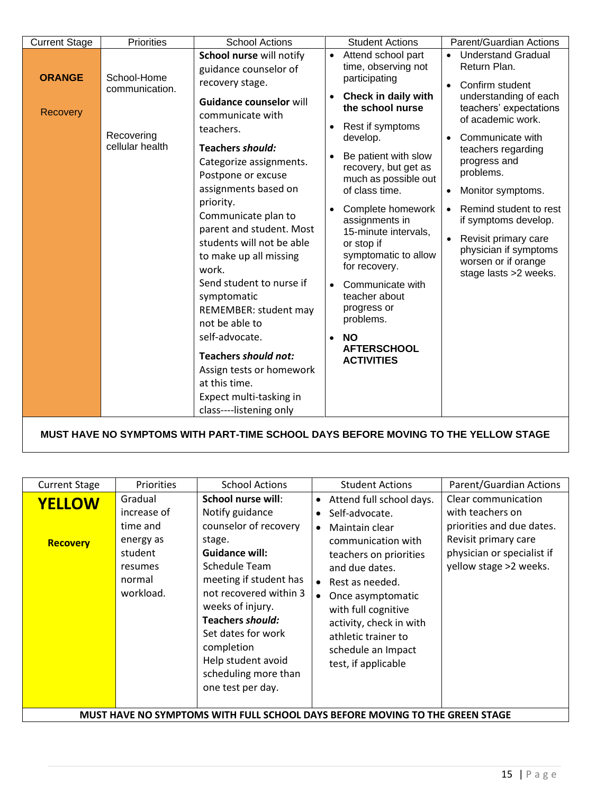**MUST HAVE NO SYMPTOMS WITH PART-TIME SCHOOL DAYS BEFORE MOVING TO THE YELLOW STAGE**

| <b>Current Stage</b>             | Priorities                                                                                   | <b>School Actions</b>                                                                                                                                                                                                                                                                                                 |                                                               | <b>Student Actions</b>                                                                                                                                                                                                                                                                       | Parent/Guardian Actions                                                                                                                              |
|----------------------------------|----------------------------------------------------------------------------------------------|-----------------------------------------------------------------------------------------------------------------------------------------------------------------------------------------------------------------------------------------------------------------------------------------------------------------------|---------------------------------------------------------------|----------------------------------------------------------------------------------------------------------------------------------------------------------------------------------------------------------------------------------------------------------------------------------------------|------------------------------------------------------------------------------------------------------------------------------------------------------|
| <b>YELLOW</b><br><b>Recovery</b> | Gradual<br>increase of<br>time and<br>energy as<br>student<br>resumes<br>normal<br>workload. | School nurse will:<br>Notify guidance<br>counselor of recovery<br>stage.<br><b>Guidance will:</b><br>Schedule Team<br>meeting if student has<br>not recovered within 3<br>weeks of injury.<br>Teachers should:<br>Set dates for work<br>completion<br>Help student avoid<br>scheduling more than<br>one test per day. | $\bullet$<br>$\bullet$<br>$\bullet$<br>$\bullet$<br>$\bullet$ | Attend full school days.<br>Self-advocate.<br>Maintain clear<br>communication with<br>teachers on priorities<br>and due dates.<br>Rest as needed.<br>Once asymptomatic<br>with full cognitive<br>activity, check in with<br>athletic trainer to<br>schedule an Impact<br>test, if applicable | Clear communication<br>with teachers on<br>priorities and due dates.<br>Revisit primary care<br>physician or specialist if<br>yellow stage >2 weeks. |
|                                  |                                                                                              |                                                                                                                                                                                                                                                                                                                       |                                                               | MUST HAVE NO SYMPTOMS WITH FULL SCHOOL DAYS BEFORE MOVING TO THE GREEN STAGE                                                                                                                                                                                                                 |                                                                                                                                                      |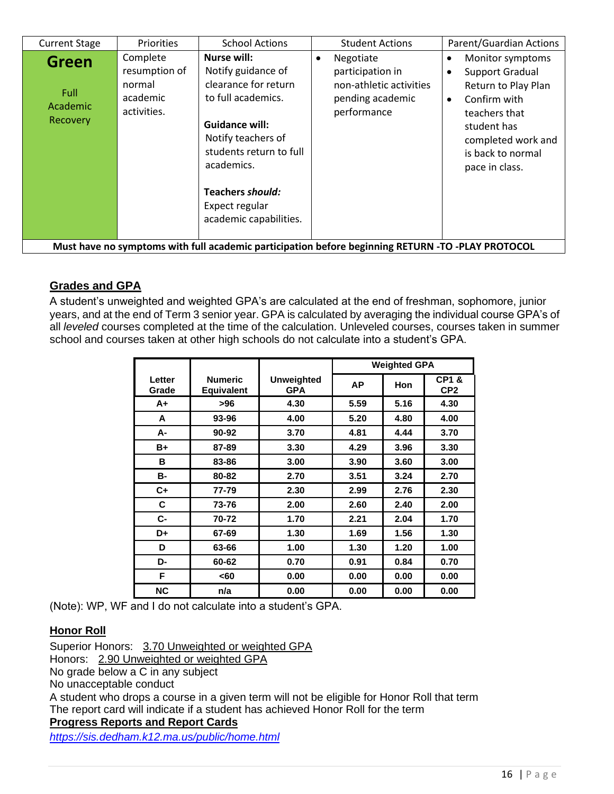| <b>Current Stage</b>                                | Priorities                                                     | <b>School Actions</b>                                                                                                                                                                                                                          | <b>Student Actions</b>                                                                                   | Parent/Guardian Actions                                                                                                                                                                           |
|-----------------------------------------------------|----------------------------------------------------------------|------------------------------------------------------------------------------------------------------------------------------------------------------------------------------------------------------------------------------------------------|----------------------------------------------------------------------------------------------------------|---------------------------------------------------------------------------------------------------------------------------------------------------------------------------------------------------|
| <b>Green</b><br><b>Full</b><br>Academic<br>Recovery | Complete<br>resumption of<br>normal<br>academic<br>activities. | <b>Nurse will:</b><br>Notify guidance of<br>clearance for return<br>to full academics.<br><b>Guidance will:</b><br>Notify teachers of<br>students return to full<br>academics.<br>Teachers should:<br>Expect regular<br>academic capabilities. | Negotiate<br>$\bullet$<br>participation in<br>non-athletic activities<br>pending academic<br>performance | Monitor symptoms<br>$\bullet$<br>Support Gradual<br>Return to Play Plan<br>Confirm with<br>$\bullet$<br>teachers that<br>student has<br>completed work and<br>is back to normal<br>pace in class. |
|                                                     |                                                                |                                                                                                                                                                                                                                                | Must have no symptoms with full academic participation before beginning RETURN -TO -PLAY PROTOCOL        |                                                                                                                                                                                                   |

# **Grades and GPA**

A student's unweighted and weighted GPA's are calculated at the end of freshman, sophomore, junior years, and at the end of Term 3 senior year. GPA is calculated by averaging the individual course GPA's of all *leveled* courses completed at the time of the calculation. Unleveled courses, courses taken in summer school and courses taken at other high schools do not calculate into a student's GPA.

|                 |                                     |                                 |           | <b>Weighted GPA</b> |                                     |
|-----------------|-------------------------------------|---------------------------------|-----------|---------------------|-------------------------------------|
| Letter<br>Grade | <b>Numeric</b><br><b>Equivalent</b> | <b>Unweighted</b><br><b>GPA</b> | <b>AP</b> | Hon                 | <b>CP1 &amp;</b><br>CP <sub>2</sub> |
| A+              | >96                                 | 4.30                            | 5.59      | 5.16                | 4.30                                |
| A               | 93-96                               | 4.00                            | 5.20      | 4.80                | 4.00                                |
| А-              | 90-92                               | 3.70                            | 4.81      | 4.44                | 3.70                                |
| B+              | 87-89                               | 3.30                            | 4.29      | 3.96                | 3.30                                |
| B               | 83-86                               | 3.00                            | 3.90      | 3.60                | 3.00                                |
| в-              | 80-82                               | 2.70                            | 3.51      | 3.24                | 2.70                                |
| $C+$            | 77-79                               | 2.30                            | 2.99      | 2.76                | 2.30                                |
| C               | 73-76                               | 2.00                            | 2.60      | 2.40                | 2.00                                |
| C-              | 70-72                               | 1.70                            | 2.21      | 2.04                | 1.70                                |
| D+              | 67-69                               | 1.30                            | 1.69      | 1.56                | 1.30                                |
| D               | 63-66                               | 1.00                            | 1.30      | 1.20                | 1.00                                |
| D-              | 60-62                               | 0.70                            | 0.91      | 0.84                | 0.70                                |
| F               | <60                                 | 0.00                            | 0.00      | 0.00                | 0.00                                |
| <b>NC</b>       | n/a                                 | 0.00                            | 0.00      | 0.00                | 0.00                                |

(Note): WP, WF and I do not calculate into a student's GPA.

# **Honor Roll**

Superior Honors: 3.70 Unweighted or weighted GPA Honors: 2.90 Unweighted or weighted GPA No grade below a C in any subject No unacceptable conduct A student who drops a course in a given term will not be eligible for Honor Roll that term The report card will indicate if a student has achieved Honor Roll for the term

**Progress Reports and Report Cards**

*<https://sis.dedham.k12.ma.us/public/home.html>*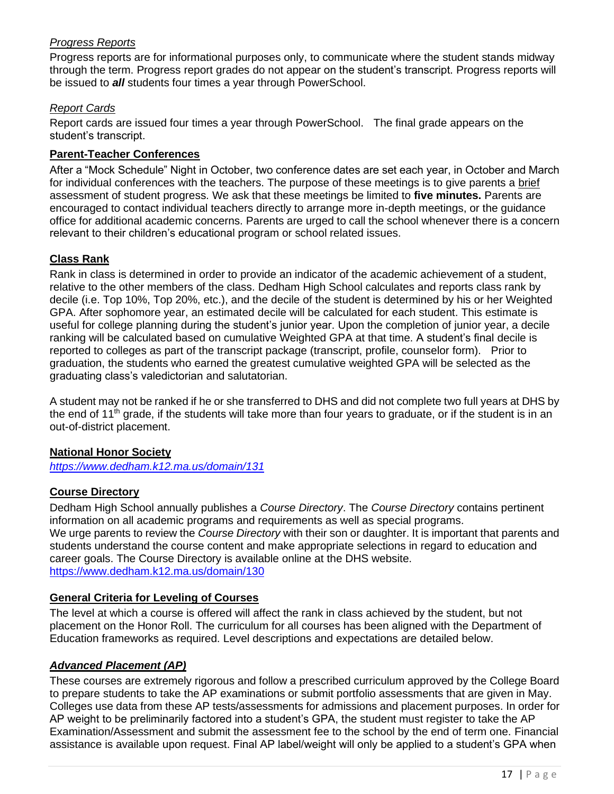# *Progress Reports*

Progress reports are for informational purposes only, to communicate where the student stands midway through the term. Progress report grades do not appear on the student's transcript. Progress reports will be issued to *all* students four times a year through PowerSchool.

# *Report Cards*

Report cards are issued four times a year through PowerSchool. The final grade appears on the student's transcript.

# **Parent-Teacher Conferences**

After a "Mock Schedule" Night in October, two conference dates are set each year, in October and March for individual conferences with the teachers. The purpose of these meetings is to give parents a brief assessment of student progress. We ask that these meetings be limited to **five minutes.** Parents are encouraged to contact individual teachers directly to arrange more in-depth meetings, or the guidance office for additional academic concerns. Parents are urged to call the school whenever there is a concern relevant to their children's educational program or school related issues.

# **Class Rank**

Rank in class is determined in order to provide an indicator of the academic achievement of a student, relative to the other members of the class. Dedham High School calculates and reports class rank by decile (i.e. Top 10%, Top 20%, etc.), and the decile of the student is determined by his or her Weighted GPA. After sophomore year, an estimated decile will be calculated for each student. This estimate is useful for college planning during the student's junior year. Upon the completion of junior year, a decile ranking will be calculated based on cumulative Weighted GPA at that time. A student's final decile is reported to colleges as part of the transcript package (transcript, profile, counselor form). Prior to graduation, the students who earned the greatest cumulative weighted GPA will be selected as the graduating class's valedictorian and salutatorian.

A student may not be ranked if he or she transferred to DHS and did not complete two full years at DHS by the end of 11<sup>th</sup> grade, if the students will take more than four years to graduate, or if the student is in an out-of-district placement.

# **National Honor Society**

*<https://www.dedham.k12.ma.us/domain/131>*

# **Course Directory**

Dedham High School annually publishes a *Course Directory*. The *Course Directory* contains pertinent information on all academic programs and requirements as well as special programs. We urge parents to review the *Course Directory* with their son or daughter. It is important that parents and students understand the course content and make appropriate selections in regard to education and career goals. The Course Directory is available online at the DHS website. <https://www.dedham.k12.ma.us/domain/130>

# **General Criteria for Leveling of Courses**

The level at which a course is offered will affect the rank in class achieved by the student, but not placement on the Honor Roll. The curriculum for all courses has been aligned with the Department of Education frameworks as required. Level descriptions and expectations are detailed below.

# *Advanced Placement (AP)*

These courses are extremely rigorous and follow a prescribed curriculum approved by the College Board to prepare students to take the AP examinations or submit portfolio assessments that are given in May. Colleges use data from these AP tests/assessments for admissions and placement purposes. In order for AP weight to be preliminarily factored into a student's GPA, the student must register to take the AP Examination/Assessment and submit the assessment fee to the school by the end of term one. Financial assistance is available upon request. Final AP label/weight will only be applied to a student's GPA when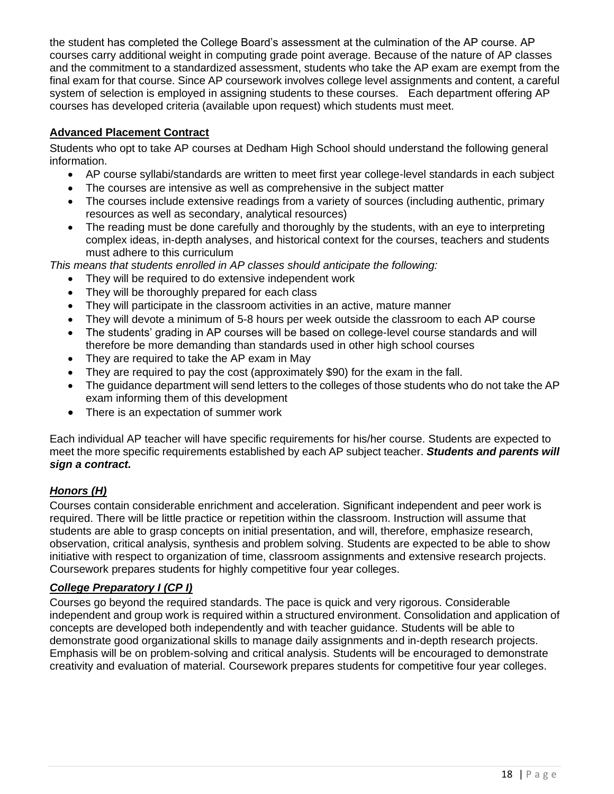the student has completed the College Board's assessment at the culmination of the AP course. AP courses carry additional weight in computing grade point average. Because of the nature of AP classes and the commitment to a standardized assessment, students who take the AP exam are exempt from the final exam for that course. Since AP coursework involves college level assignments and content, a careful system of selection is employed in assigning students to these courses. Each department offering AP courses has developed criteria (available upon request) which students must meet.

# **Advanced Placement Contract**

Students who opt to take AP courses at Dedham High School should understand the following general information.

- AP course syllabi/standards are written to meet first year college-level standards in each subject
- The courses are intensive as well as comprehensive in the subject matter
- The courses include extensive readings from a variety of sources (including authentic, primary resources as well as secondary, analytical resources)
- The reading must be done carefully and thoroughly by the students, with an eye to interpreting complex ideas, in-depth analyses, and historical context for the courses, teachers and students must adhere to this curriculum

*This means that students enrolled in AP classes should anticipate the following:*

- They will be required to do extensive independent work
- They will be thoroughly prepared for each class
- They will participate in the classroom activities in an active, mature manner
- They will devote a minimum of 5-8 hours per week outside the classroom to each AP course
- The students' grading in AP courses will be based on college-level course standards and will therefore be more demanding than standards used in other high school courses
- They are required to take the AP exam in May
- They are required to pay the cost (approximately \$90) for the exam in the fall.
- The guidance department will send letters to the colleges of those students who do not take the AP exam informing them of this development
- There is an expectation of summer work

Each individual AP teacher will have specific requirements for his/her course. Students are expected to meet the more specific requirements established by each AP subject teacher. *Students and parents will sign a contract.*

# *Honors (H)*

Courses contain considerable enrichment and acceleration. Significant independent and peer work is required. There will be little practice or repetition within the classroom. Instruction will assume that students are able to grasp concepts on initial presentation, and will, therefore, emphasize research, observation, critical analysis, synthesis and problem solving. Students are expected to be able to show initiative with respect to organization of time, classroom assignments and extensive research projects. Coursework prepares students for highly competitive four year colleges.

# *College Preparatory I (CP I)*

Courses go beyond the required standards. The pace is quick and very rigorous. Considerable independent and group work is required within a structured environment. Consolidation and application of concepts are developed both independently and with teacher guidance. Students will be able to demonstrate good organizational skills to manage daily assignments and in-depth research projects. Emphasis will be on problem-solving and critical analysis. Students will be encouraged to demonstrate creativity and evaluation of material. Coursework prepares students for competitive four year colleges.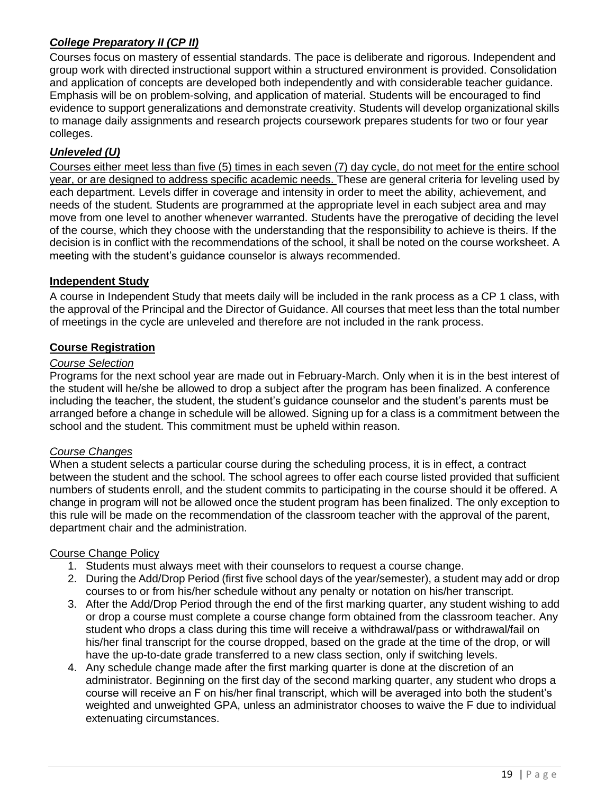# *College Preparatory II (CP II)*

Courses focus on mastery of essential standards. The pace is deliberate and rigorous. Independent and group work with directed instructional support within a structured environment is provided. Consolidation and application of concepts are developed both independently and with considerable teacher guidance. Emphasis will be on problem-solving, and application of material. Students will be encouraged to find evidence to support generalizations and demonstrate creativity. Students will develop organizational skills to manage daily assignments and research projects coursework prepares students for two or four year colleges.

# *Unleveled (U)*

Courses either meet less than five (5) times in each seven (7) day cycle, do not meet for the entire school year, or are designed to address specific academic needs. These are general criteria for leveling used by each department. Levels differ in coverage and intensity in order to meet the ability, achievement, and needs of the student. Students are programmed at the appropriate level in each subject area and may move from one level to another whenever warranted. Students have the prerogative of deciding the level of the course, which they choose with the understanding that the responsibility to achieve is theirs. If the decision is in conflict with the recommendations of the school, it shall be noted on the course worksheet. A meeting with the student's guidance counselor is always recommended.

# **Independent Study**

A course in Independent Study that meets daily will be included in the rank process as a CP 1 class, with the approval of the Principal and the Director of Guidance. All courses that meet less than the total number of meetings in the cycle are unleveled and therefore are not included in the rank process.

# **Course Registration**

# *Course Selection*

Programs for the next school year are made out in February-March. Only when it is in the best interest of the student will he/she be allowed to drop a subject after the program has been finalized. A conference including the teacher, the student, the student's guidance counselor and the student's parents must be arranged before a change in schedule will be allowed. Signing up for a class is a commitment between the school and the student. This commitment must be upheld within reason.

# *Course Changes*

When a student selects a particular course during the scheduling process, it is in effect, a contract between the student and the school. The school agrees to offer each course listed provided that sufficient numbers of students enroll, and the student commits to participating in the course should it be offered. A change in program will not be allowed once the student program has been finalized. The only exception to this rule will be made on the recommendation of the classroom teacher with the approval of the parent, department chair and the administration.

#### Course Change Policy

- 1. Students must always meet with their counselors to request a course change.
- 2. During the Add/Drop Period (first five school days of the year/semester), a student may add or drop courses to or from his/her schedule without any penalty or notation on his/her transcript.
- 3. After the Add/Drop Period through the end of the first marking quarter, any student wishing to add or drop a course must complete a course change form obtained from the classroom teacher. Any student who drops a class during this time will receive a withdrawal/pass or withdrawal/fail on his/her final transcript for the course dropped, based on the grade at the time of the drop, or will have the up-to-date grade transferred to a new class section, only if switching levels.
- 4. Any schedule change made after the first marking quarter is done at the discretion of an administrator. Beginning on the first day of the second marking quarter, any student who drops a course will receive an F on his/her final transcript, which will be averaged into both the student's weighted and unweighted GPA, unless an administrator chooses to waive the F due to individual extenuating circumstances.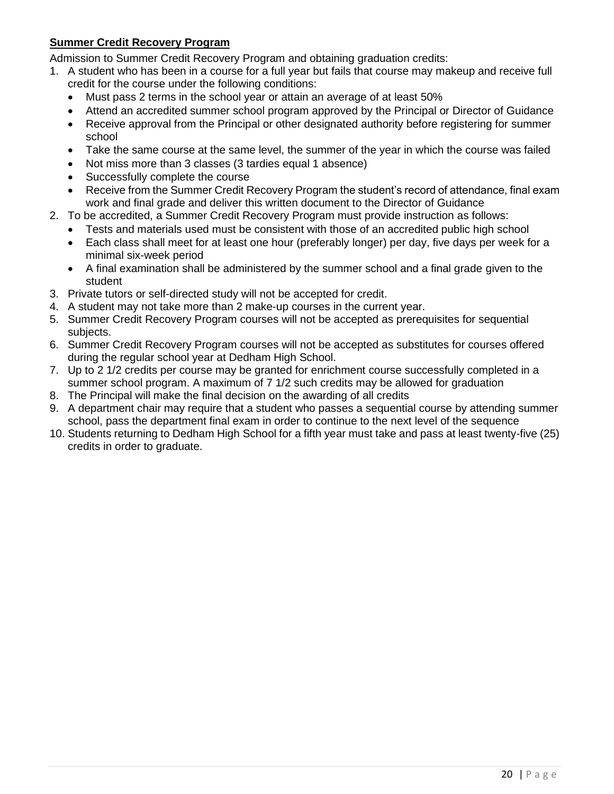# **Summer Credit Recovery Program**

Admission to Summer Credit Recovery Program and obtaining graduation credits:

- 1. A student who has been in a course for a full year but fails that course may makeup and receive full credit for the course under the following conditions:
	- Must pass 2 terms in the school year or attain an average of at least 50%
	- Attend an accredited summer school program approved by the Principal or Director of Guidance
	- Receive approval from the Principal or other designated authority before registering for summer school
	- Take the same course at the same level, the summer of the year in which the course was failed
	- Not miss more than 3 classes (3 tardies equal 1 absence)
	- Successfully complete the course
	- Receive from the Summer Credit Recovery Program the student's record of attendance, final exam work and final grade and deliver this written document to the Director of Guidance
- 2. To be accredited, a Summer Credit Recovery Program must provide instruction as follows:
	- Tests and materials used must be consistent with those of an accredited public high school
	- Each class shall meet for at least one hour (preferably longer) per day, five days per week for a minimal six-week period
	- A final examination shall be administered by the summer school and a final grade given to the student
- 3. Private tutors or self-directed study will not be accepted for credit.
- 4. A student may not take more than 2 make-up courses in the current year.
- 5. Summer Credit Recovery Program courses will not be accepted as prerequisites for sequential subjects.
- 6. Summer Credit Recovery Program courses will not be accepted as substitutes for courses offered during the regular school year at Dedham High School.
- 7. Up to 2 1/2 credits per course may be granted for enrichment course successfully completed in a summer school program. A maximum of 7 1/2 such credits may be allowed for graduation
- 8. The Principal will make the final decision on the awarding of all credits
- 9. A department chair may require that a student who passes a sequential course by attending summer school, pass the department final exam in order to continue to the next level of the sequence
- 10. Students returning to Dedham High School for a fifth year must take and pass at least twenty-five (25) credits in order to graduate.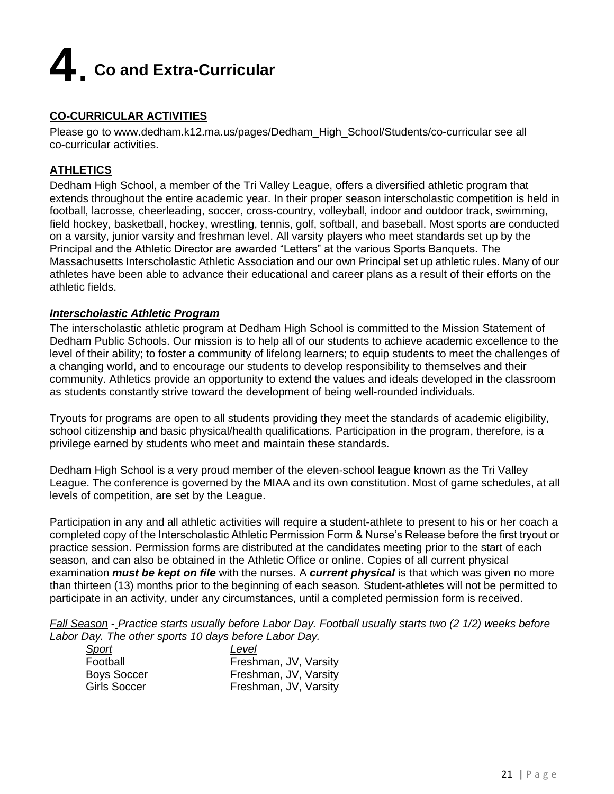# <span id="page-24-0"></span>**4**. **Co and Extra-Curricular**

# **CO-CURRICULAR ACTIVITIES**

Please go to www.dedham.k12.ma.us/pages/Dedham\_High\_School/Students/co-curricular see all co-curricular activities.

# **ATHLETICS**

Dedham High School, a member of the Tri Valley League, offers a diversified athletic program that extends throughout the entire academic year. In their proper season interscholastic competition is held in football, lacrosse, cheerleading, soccer, cross-country, volleyball, indoor and outdoor track, swimming, field hockey, basketball, hockey, wrestling, tennis, golf, softball, and baseball. Most sports are conducted on a varsity, junior varsity and freshman level. All varsity players who meet standards set up by the Principal and the Athletic Director are awarded "Letters" at the various Sports Banquets. The Massachusetts Interscholastic Athletic Association and our own Principal set up athletic rules. Many of our athletes have been able to advance their educational and career plans as a result of their efforts on the athletic fields.

# *Interscholastic Athletic Program*

The interscholastic athletic program at Dedham High School is committed to the Mission Statement of Dedham Public Schools. Our mission is to help all of our students to achieve academic excellence to the level of their ability; to foster a community of lifelong learners; to equip students to meet the challenges of a changing world, and to encourage our students to develop responsibility to themselves and their community. Athletics provide an opportunity to extend the values and ideals developed in the classroom as students constantly strive toward the development of being well-rounded individuals.

Tryouts for programs are open to all students providing they meet the standards of academic eligibility, school citizenship and basic physical/health qualifications. Participation in the program, therefore, is a privilege earned by students who meet and maintain these standards.

Dedham High School is a very proud member of the eleven-school league known as the Tri Valley League. The conference is governed by the MIAA and its own constitution. Most of game schedules, at all levels of competition, are set by the League.

Participation in any and all athletic activities will require a student-athlete to present to his or her coach a completed copy of the Interscholastic Athletic Permission Form & Nurse's Release before the first tryout or practice session. Permission forms are distributed at the candidates meeting prior to the start of each season, and can also be obtained in the Athletic Office or online. Copies of all current physical examination *must be kept on file* with the nurses. A *current physical* is that which was given no more than thirteen (13) months prior to the beginning of each season. Student-athletes will not be permitted to participate in an activity, under any circumstances, until a completed permission form is received.

*Fall Season* - *Practice starts usually before Labor Day. Football usually starts two (2 1/2) weeks before Labor Day. The other sports 10 days before Labor Day.*

| Sport              | Level                 |
|--------------------|-----------------------|
| Football           | Freshman, JV, Varsity |
| <b>Boys Soccer</b> | Freshman, JV, Varsity |
| Girls Soccer       | Freshman, JV, Varsity |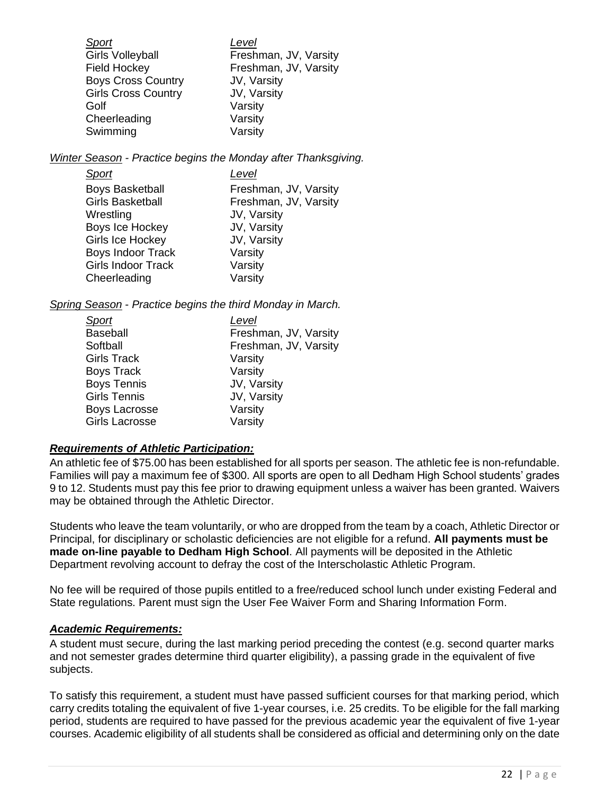| <u>Sport</u>               | Level                 |
|----------------------------|-----------------------|
| <b>Girls Volleyball</b>    | Freshman, JV, Varsity |
| <b>Field Hockey</b>        | Freshman, JV, Varsity |
| <b>Boys Cross Country</b>  | JV, Varsity           |
| <b>Girls Cross Country</b> | JV, Varsity           |
| Golf                       | Varsity               |
| Cheerleading               | Varsity               |
| Swimming                   | Varsity               |

*Winter Season - Practice begins the Monday after Thanksgiving.*

| Sport                     | Level                 |
|---------------------------|-----------------------|
| <b>Boys Basketball</b>    | Freshman, JV, Varsity |
| <b>Girls Basketball</b>   | Freshman, JV, Varsity |
| Wrestling                 | JV, Varsity           |
| Boys Ice Hockey           | JV, Varsity           |
| Girls Ice Hockey          | JV, Varsity           |
| <b>Boys Indoor Track</b>  | Varsity               |
| <b>Girls Indoor Track</b> | Varsity               |
| Cheerleading              | Varsity               |

*Spring Season* - *Practice begins the third Monday in March.*

| Sport                 | Level                 |
|-----------------------|-----------------------|
| <b>Baseball</b>       | Freshman, JV, Varsity |
| Softball              | Freshman, JV, Varsity |
| <b>Girls Track</b>    | Varsity               |
| <b>Boys Track</b>     | Varsity               |
| <b>Boys Tennis</b>    | JV, Varsity           |
| <b>Girls Tennis</b>   | JV, Varsity           |
| <b>Boys Lacrosse</b>  | Varsity               |
| <b>Girls Lacrosse</b> | Varsity               |
|                       |                       |

# *Requirements of Athletic Participation:*

An athletic fee of \$75.00 has been established for all sports per season. The athletic fee is non-refundable. Families will pay a maximum fee of \$300. All sports are open to all Dedham High School students' grades 9 to 12. Students must pay this fee prior to drawing equipment unless a waiver has been granted. Waivers may be obtained through the Athletic Director.

Students who leave the team voluntarily, or who are dropped from the team by a coach, Athletic Director or Principal, for disciplinary or scholastic deficiencies are not eligible for a refund. **All payments must be made on-line payable to Dedham High School**. All payments will be deposited in the Athletic Department revolving account to defray the cost of the Interscholastic Athletic Program.

No fee will be required of those pupils entitled to a free/reduced school lunch under existing Federal and State regulations. Parent must sign the User Fee Waiver Form and Sharing Information Form.

#### *Academic Requirements:*

A student must secure, during the last marking period preceding the contest (e.g. second quarter marks and not semester grades determine third quarter eligibility), a passing grade in the equivalent of five subjects.

To satisfy this requirement, a student must have passed sufficient courses for that marking period, which carry credits totaling the equivalent of five 1-year courses, i.e. 25 credits. To be eligible for the fall marking period, students are required to have passed for the previous academic year the equivalent of five 1-year courses. Academic eligibility of all students shall be considered as official and determining only on the date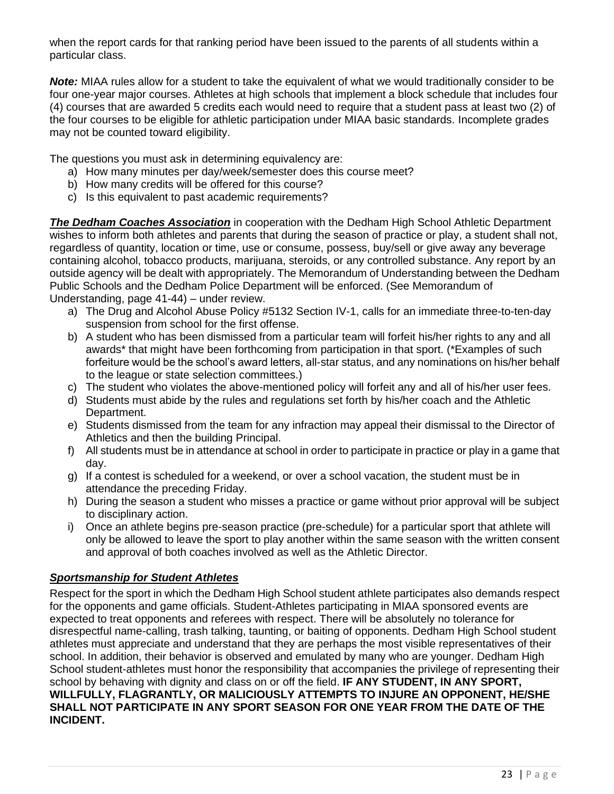when the report cards for that ranking period have been issued to the parents of all students within a particular class.

*Note:* MIAA rules allow for a student to take the equivalent of what we would traditionally consider to be four one-year major courses. Athletes at high schools that implement a block schedule that includes four (4) courses that are awarded 5 credits each would need to require that a student pass at least two (2) of the four courses to be eligible for athletic participation under MIAA basic standards. Incomplete grades may not be counted toward eligibility.

The questions you must ask in determining equivalency are:

- a) How many minutes per day/week/semester does this course meet?
- b) How many credits will be offered for this course?
- c) Is this equivalent to past academic requirements?

*The Dedham Coaches Association* in cooperation with the Dedham High School Athletic Department wishes to inform both athletes and parents that during the season of practice or play, a student shall not, regardless of quantity, location or time, use or consume, possess, buy/sell or give away any beverage containing alcohol, tobacco products, marijuana, steroids, or any controlled substance. Any report by an outside agency will be dealt with appropriately. The Memorandum of Understanding between the Dedham Public Schools and the Dedham Police Department will be enforced. (See Memorandum of Understanding, page 41-44) – under review.

- a) The Drug and Alcohol Abuse Policy #5132 Section IV-1, calls for an immediate three-to-ten-day suspension from school for the first offense.
- b) A student who has been dismissed from a particular team will forfeit his/her rights to any and all awards\* that might have been forthcoming from participation in that sport. (\*Examples of such forfeiture would be the school's award letters, all-star status, and any nominations on his/her behalf to the league or state selection committees.)
- c) The student who violates the above-mentioned policy will forfeit any and all of his/her user fees.
- d) Students must abide by the rules and regulations set forth by his/her coach and the Athletic Department.
- e) Students dismissed from the team for any infraction may appeal their dismissal to the Director of Athletics and then the building Principal.
- f) All students must be in attendance at school in order to participate in practice or play in a game that day.
- g) If a contest is scheduled for a weekend, or over a school vacation, the student must be in attendance the preceding Friday.
- h) During the season a student who misses a practice or game without prior approval will be subject to disciplinary action.
- i) Once an athlete begins pre-season practice (pre-schedule) for a particular sport that athlete will only be allowed to leave the sport to play another within the same season with the written consent and approval of both coaches involved as well as the Athletic Director.

#### *Sportsmanship for Student Athletes*

Respect for the sport in which the Dedham High School student athlete participates also demands respect for the opponents and game officials. Student-Athletes participating in MIAA sponsored events are expected to treat opponents and referees with respect. There will be absolutely no tolerance for disrespectful name-calling, trash talking, taunting, or baiting of opponents. Dedham High School student athletes must appreciate and understand that they are perhaps the most visible representatives of their school. In addition, their behavior is observed and emulated by many who are younger. Dedham High School student-athletes must honor the responsibility that accompanies the privilege of representing their school by behaving with dignity and class on or off the field. **IF ANY STUDENT, IN ANY SPORT, WILLFULLY, FLAGRANTLY, OR MALICIOUSLY ATTEMPTS TO INJURE AN OPPONENT, HE/SHE SHALL NOT PARTICIPATE IN ANY SPORT SEASON FOR ONE YEAR FROM THE DATE OF THE INCIDENT.**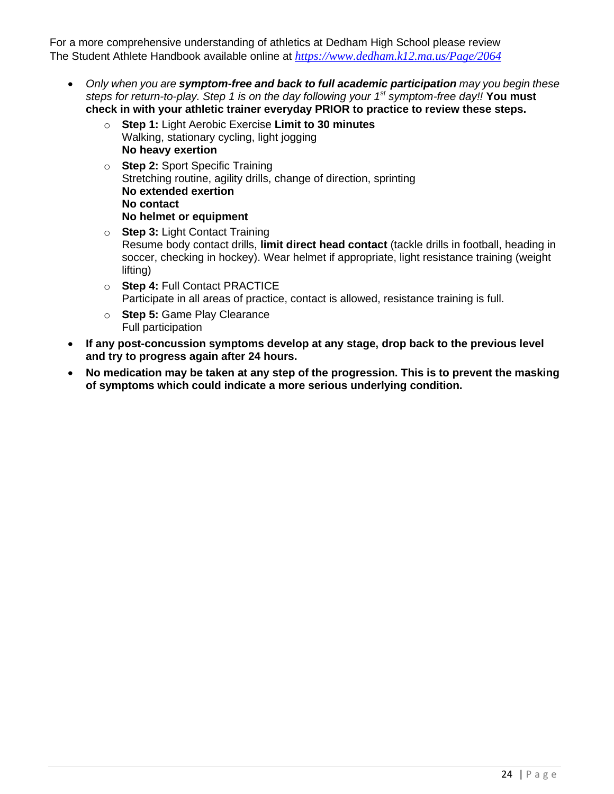For a more comprehensive understanding of athletics at Dedham High School please review The Student Athlete Handbook available online at *<https://www.dedham.k12.ma.us/Page/2064>*

- *Only when you are symptom-free and back to full academic participation may you begin these steps for return-to-play. Step 1 is on the day following your 1st symptom-free day!!* **You must check in with your athletic trainer everyday PRIOR to practice to review these steps.**
	- o **Step 1:** Light Aerobic Exercise **Limit to 30 minutes** Walking, stationary cycling, light jogging **No heavy exertion**
	- o **Step 2:** Sport Specific Training Stretching routine, agility drills, change of direction, sprinting **No extended exertion No contact No helmet or equipment**
	- o **Step 3:** Light Contact Training Resume body contact drills, **limit direct head contact** (tackle drills in football, heading in soccer, checking in hockey). Wear helmet if appropriate, light resistance training (weight lifting)
	- o **Step 4:** Full Contact PRACTICE Participate in all areas of practice, contact is allowed, resistance training is full.
	- o **Step 5:** Game Play Clearance Full participation
- **If any post-concussion symptoms develop at any stage, drop back to the previous level and try to progress again after 24 hours.**
- **No medication may be taken at any step of the progression. This is to prevent the masking of symptoms which could indicate a more serious underlying condition.**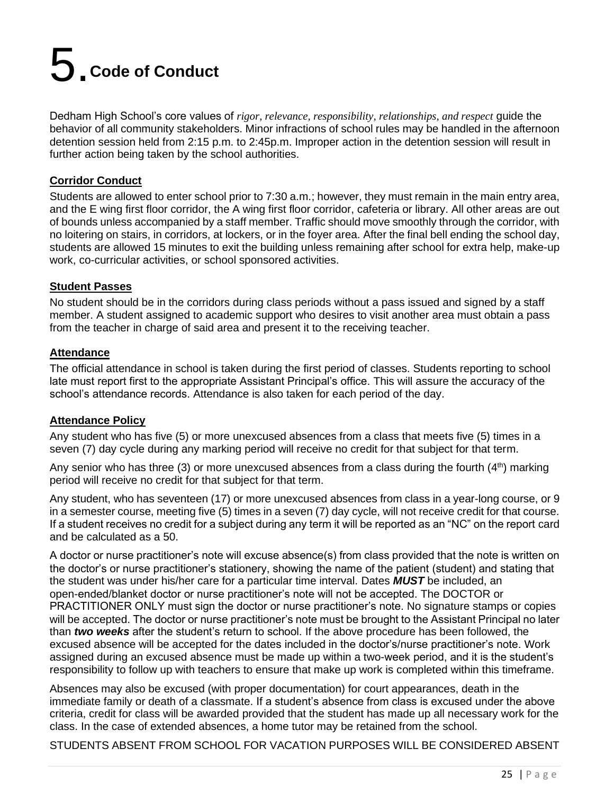# <span id="page-28-0"></span>5.**Code of Conduct**

Dedham High School's core values of *rigor, relevance, responsibility, relationships, and respect* guide the behavior of all community stakeholders. Minor infractions of school rules may be handled in the afternoon detention session held from 2:15 p.m. to 2:45p.m. Improper action in the detention session will result in further action being taken by the school authorities.

# **Corridor Conduct**

Students are allowed to enter school prior to 7:30 a.m.; however, they must remain in the main entry area, and the E wing first floor corridor, the A wing first floor corridor, cafeteria or library. All other areas are out of bounds unless accompanied by a staff member. Traffic should move smoothly through the corridor, with no loitering on stairs, in corridors, at lockers, or in the foyer area. After the final bell ending the school day, students are allowed 15 minutes to exit the building unless remaining after school for extra help, make-up work, co-curricular activities, or school sponsored activities.

# **Student Passes**

No student should be in the corridors during class periods without a pass issued and signed by a staff member. A student assigned to academic support who desires to visit another area must obtain a pass from the teacher in charge of said area and present it to the receiving teacher.

# **Attendance**

The official attendance in school is taken during the first period of classes. Students reporting to school late must report first to the appropriate Assistant Principal's office. This will assure the accuracy of the school's attendance records. Attendance is also taken for each period of the day.

# **Attendance Policy**

Any student who has five (5) or more unexcused absences from a class that meets five (5) times in a seven (7) day cycle during any marking period will receive no credit for that subject for that term.

Any senior who has three (3) or more unexcused absences from a class during the fourth  $(4<sup>th</sup>)$  marking period will receive no credit for that subject for that term.

Any student, who has seventeen (17) or more unexcused absences from class in a year-long course, or 9 in a semester course, meeting five (5) times in a seven (7) day cycle, will not receive credit for that course. If a student receives no credit for a subject during any term it will be reported as an "NC" on the report card and be calculated as a 50.

A doctor or nurse practitioner's note will excuse absence(s) from class provided that the note is written on the doctor's or nurse practitioner's stationery, showing the name of the patient (student) and stating that the student was under his/her care for a particular time interval. Dates *MUST* be included, an open-ended/blanket doctor or nurse practitioner's note will not be accepted. The DOCTOR or PRACTITIONER ONLY must sign the doctor or nurse practitioner's note. No signature stamps or copies will be accepted. The doctor or nurse practitioner's note must be brought to the Assistant Principal no later than *two weeks* after the student's return to school. If the above procedure has been followed, the excused absence will be accepted for the dates included in the doctor's/nurse practitioner's note. Work assigned during an excused absence must be made up within a two-week period, and it is the student's responsibility to follow up with teachers to ensure that make up work is completed within this timeframe.

Absences may also be excused (with proper documentation) for court appearances, death in the immediate family or death of a classmate. If a student's absence from class is excused under the above criteria, credit for class will be awarded provided that the student has made up all necessary work for the class. In the case of extended absences, a home tutor may be retained from the school.

STUDENTS ABSENT FROM SCHOOL FOR VACATION PURPOSES WILL BE CONSIDERED ABSENT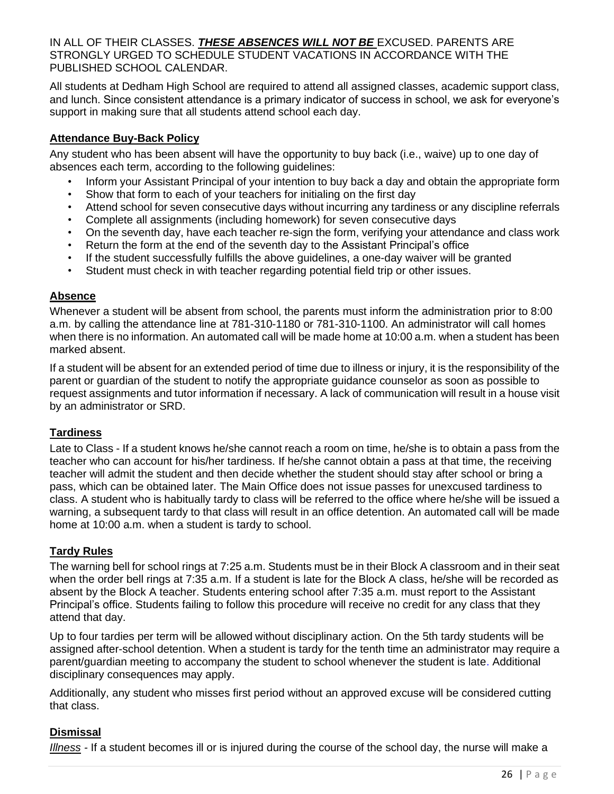IN ALL OF THEIR CLASSES. *THESE ABSENCES WILL NOT BE* EXCUSED. PARENTS ARE STRONGLY URGED TO SCHEDULE STUDENT VACATIONS IN ACCORDANCE WITH THE PUBLISHED SCHOOL CALENDAR.

All students at Dedham High School are required to attend all assigned classes, academic support class, and lunch. Since consistent attendance is a primary indicator of success in school, we ask for everyone's support in making sure that all students attend school each day.

# **Attendance Buy-Back Policy**

Any student who has been absent will have the opportunity to buy back (i.e., waive) up to one day of absences each term, according to the following guidelines:

- Inform your Assistant Principal of your intention to buy back a day and obtain the appropriate form
- Show that form to each of your teachers for initialing on the first day
- Attend school for seven consecutive days without incurring any tardiness or any discipline referrals
- Complete all assignments (including homework) for seven consecutive days
- On the seventh day, have each teacher re-sign the form, verifying your attendance and class work
- Return the form at the end of the seventh day to the Assistant Principal's office
- If the student successfully fulfills the above guidelines, a one-day waiver will be granted
- Student must check in with teacher regarding potential field trip or other issues.

#### **Absence**

Whenever a student will be absent from school, the parents must inform the administration prior to 8:00 a.m. by calling the attendance line at 781-310-1180 or 781-310-1100. An administrator will call homes when there is no information. An automated call will be made home at 10:00 a.m. when a student has been marked absent.

If a student will be absent for an extended period of time due to illness or injury, it is the responsibility of the parent or guardian of the student to notify the appropriate guidance counselor as soon as possible to request assignments and tutor information if necessary. A lack of communication will result in a house visit by an administrator or SRD.

# **Tardiness**

Late to Class - If a student knows he/she cannot reach a room on time, he/she is to obtain a pass from the teacher who can account for his/her tardiness. If he/she cannot obtain a pass at that time, the receiving teacher will admit the student and then decide whether the student should stay after school or bring a pass, which can be obtained later. The Main Office does not issue passes for unexcused tardiness to class. A student who is habitually tardy to class will be referred to the office where he/she will be issued a warning, a subsequent tardy to that class will result in an office detention. An automated call will be made home at 10:00 a.m. when a student is tardy to school.

# **Tardy Rules**

The warning bell for school rings at 7:25 a.m. Students must be in their Block A classroom and in their seat when the order bell rings at 7:35 a.m. If a student is late for the Block A class, he/she will be recorded as absent by the Block A teacher. Students entering school after 7:35 a.m. must report to the Assistant Principal's office. Students failing to follow this procedure will receive no credit for any class that they attend that day.

Up to four tardies per term will be allowed without disciplinary action. On the 5th tardy students will be assigned after-school detention. When a student is tardy for the tenth time an administrator may require a parent/guardian meeting to accompany the student to school whenever the student is late. Additional disciplinary consequences may apply.

Additionally, any student who misses first period without an approved excuse will be considered cutting that class.

# **Dismissal**

*Illness -* If a student becomes ill or is injured during the course of the school day, the nurse will make a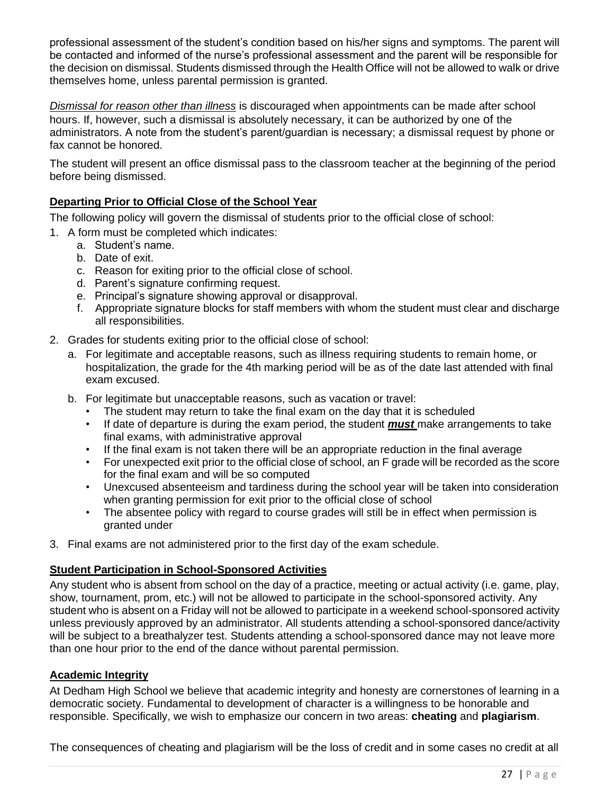professional assessment of the student's condition based on his/her signs and symptoms. The parent will be contacted and informed of the nurse's professional assessment and the parent will be responsible for the decision on dismissal. Students dismissed through the Health Office will not be allowed to walk or drive themselves home, unless parental permission is granted.

*Dismissal for reason other than illness* is discouraged when appointments can be made after school hours. If, however, such a dismissal is absolutely necessary, it can be authorized by one of the administrators. A note from the student's parent/guardian is necessary; a dismissal request by phone or fax cannot be honored.

The student will present an office dismissal pass to the classroom teacher at the beginning of the period before being dismissed.

# **Departing Prior to Official Close of the School Year**

The following policy will govern the dismissal of students prior to the official close of school:

- 1. A form must be completed which indicates:
	- a. Student's name.
	- b. Date of exit.
	- c. Reason for exiting prior to the official close of school.
	- d. Parent's signature confirming request.
	- e. Principal's signature showing approval or disapproval.
	- f. Appropriate signature blocks for staff members with whom the student must clear and discharge all responsibilities.
- 2. Grades for students exiting prior to the official close of school:
	- a. For legitimate and acceptable reasons, such as illness requiring students to remain home, or hospitalization, the grade for the 4th marking period will be as of the date last attended with final exam excused.
	- b. For legitimate but unacceptable reasons, such as vacation or travel:
		- The student may return to take the final exam on the day that it is scheduled
		- If date of departure is during the exam period, the student *must* make arrangements to take final exams, with administrative approval
		- If the final exam is not taken there will be an appropriate reduction in the final average
		- For unexpected exit prior to the official close of school, an F grade will be recorded as the score for the final exam and will be so computed
		- Unexcused absenteeism and tardiness during the school year will be taken into consideration when granting permission for exit prior to the official close of school
		- The absentee policy with regard to course grades will still be in effect when permission is granted under
- 3. Final exams are not administered prior to the first day of the exam schedule.

# **Student Participation in School-Sponsored Activities**

Any student who is absent from school on the day of a practice, meeting or actual activity (i.e. game, play, show, tournament, prom, etc.) will not be allowed to participate in the school-sponsored activity. Any student who is absent on a Friday will not be allowed to participate in a weekend school-sponsored activity unless previously approved by an administrator. All students attending a school-sponsored dance/activity will be subject to a breathalyzer test. Students attending a school-sponsored dance may not leave more than one hour prior to the end of the dance without parental permission.

# **Academic Integrity**

At Dedham High School we believe that academic integrity and honesty are cornerstones of learning in a democratic society. Fundamental to development of character is a willingness to be honorable and responsible. Specifically, we wish to emphasize our concern in two areas: **cheating** and **plagiarism**.

The consequences of cheating and plagiarism will be the loss of credit and in some cases no credit at all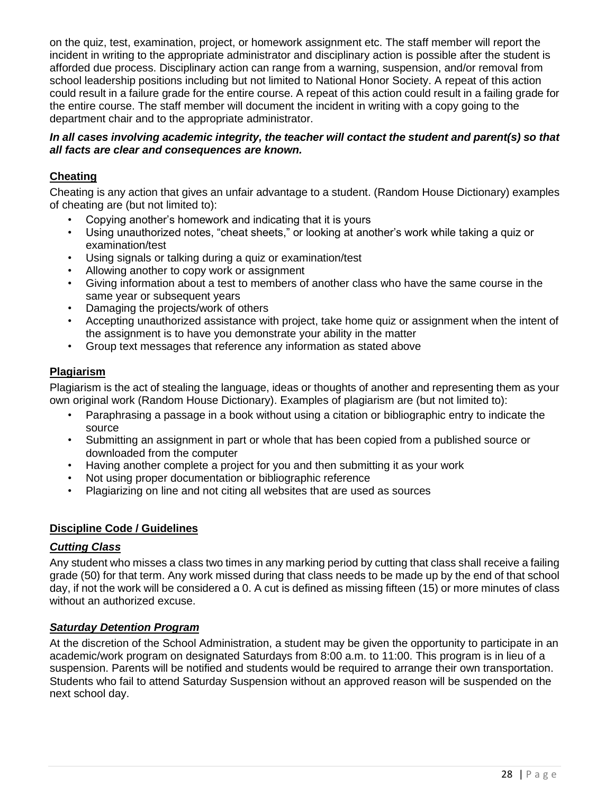on the quiz, test, examination, project, or homework assignment etc. The staff member will report the incident in writing to the appropriate administrator and disciplinary action is possible after the student is afforded due process. Disciplinary action can range from a warning, suspension, and/or removal from school leadership positions including but not limited to National Honor Society. A repeat of this action could result in a failure grade for the entire course. A repeat of this action could result in a failing grade for the entire course. The staff member will document the incident in writing with a copy going to the department chair and to the appropriate administrator.

#### *In all cases involving academic integrity, the teacher will contact the student and parent(s) so that all facts are clear and consequences are known.*

# **Cheating**

Cheating is any action that gives an unfair advantage to a student. (Random House Dictionary) examples of cheating are (but not limited to):

- Copying another's homework and indicating that it is yours
- Using unauthorized notes, "cheat sheets," or looking at another's work while taking a quiz or examination/test
- Using signals or talking during a quiz or examination/test
- Allowing another to copy work or assignment
- Giving information about a test to members of another class who have the same course in the same year or subsequent years
- Damaging the projects/work of others
- Accepting unauthorized assistance with project, take home quiz or assignment when the intent of the assignment is to have you demonstrate your ability in the matter
- Group text messages that reference any information as stated above

# **Plagiarism**

Plagiarism is the act of stealing the language, ideas or thoughts of another and representing them as your own original work (Random House Dictionary). Examples of plagiarism are (but not limited to):

- Paraphrasing a passage in a book without using a citation or bibliographic entry to indicate the source
- Submitting an assignment in part or whole that has been copied from a published source or downloaded from the computer
- Having another complete a project for you and then submitting it as your work
- Not using proper documentation or bibliographic reference
- Plagiarizing on line and not citing all websites that are used as sources

# **Discipline Code / Guidelines**

# *Cutting Class*

Any student who misses a class two times in any marking period by cutting that class shall receive a failing grade (50) for that term. Any work missed during that class needs to be made up by the end of that school day, if not the work will be considered a 0. A cut is defined as missing fifteen (15) or more minutes of class without an authorized excuse.

# *Saturday Detention Program*

At the discretion of the School Administration, a student may be given the opportunity to participate in an academic/work program on designated Saturdays from 8:00 a.m. to 11:00. This program is in lieu of a suspension. Parents will be notified and students would be required to arrange their own transportation. Students who fail to attend Saturday Suspension without an approved reason will be suspended on the next school day.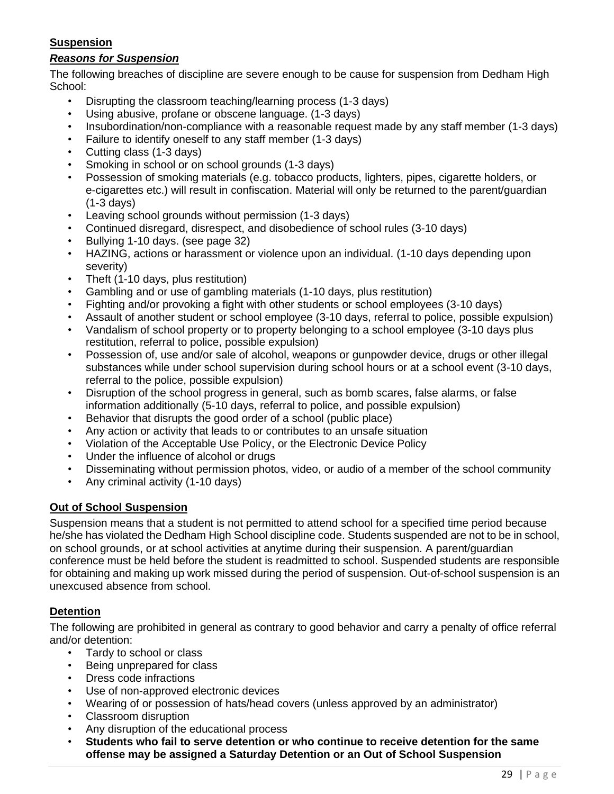# **Suspension**

# *Reasons for Suspension*

The following breaches of discipline are severe enough to be cause for suspension from Dedham High School:

- Disrupting the classroom teaching/learning process (1-3 days)
- Using abusive, profane or obscene language. (1-3 days)
- Insubordination/non-compliance with a reasonable request made by any staff member (1-3 days)
- Failure to identify oneself to any staff member (1-3 days)
- Cutting class (1-3 days)
- Smoking in school or on school grounds (1-3 days)
- Possession of smoking materials (e.g. tobacco products, lighters, pipes, cigarette holders, or e-cigarettes etc.) will result in confiscation. Material will only be returned to the parent/guardian (1-3 days)
- Leaving school grounds without permission (1-3 days)
- Continued disregard, disrespect, and disobedience of school rules (3-10 days)
- Bullying 1-10 days. (see page 32)
- HAZING, actions or harassment or violence upon an individual. (1-10 days depending upon severity)
- Theft (1-10 days, plus restitution)
- Gambling and or use of gambling materials (1-10 days, plus restitution)
- Fighting and/or provoking a fight with other students or school employees (3-10 days)
- Assault of another student or school employee (3-10 days, referral to police, possible expulsion)
- Vandalism of school property or to property belonging to a school employee (3-10 days plus restitution, referral to police, possible expulsion)
- Possession of, use and/or sale of alcohol, weapons or gunpowder device, drugs or other illegal substances while under school supervision during school hours or at a school event (3-10 days, referral to the police, possible expulsion)
- Disruption of the school progress in general, such as bomb scares, false alarms, or false information additionally (5-10 days, referral to police, and possible expulsion)
- Behavior that disrupts the good order of a school (public place)
- Any action or activity that leads to or contributes to an unsafe situation
- Violation of the Acceptable Use Policy, or the Electronic Device Policy
- Under the influence of alcohol or drugs
- Disseminating without permission photos, video, or audio of a member of the school community
- Any criminal activity (1-10 days)

# **Out of School Suspension**

Suspension means that a student is not permitted to attend school for a specified time period because he/she has violated the Dedham High School discipline code. Students suspended are not to be in school, on school grounds, or at school activities at anytime during their suspension. A parent/guardian conference must be held before the student is readmitted to school. Suspended students are responsible for obtaining and making up work missed during the period of suspension. Out-of-school suspension is an unexcused absence from school.

# **Detention**

The following are prohibited in general as contrary to good behavior and carry a penalty of office referral and/or detention:

- Tardy to school or class
- Being unprepared for class
- Dress code infractions
- Use of non-approved electronic devices
- Wearing of or possession of hats/head covers (unless approved by an administrator)
- Classroom disruption
- Any disruption of the educational process
- **Students who fail to serve detention or who continue to receive detention for the same offense may be assigned a Saturday Detention or an Out of School Suspension**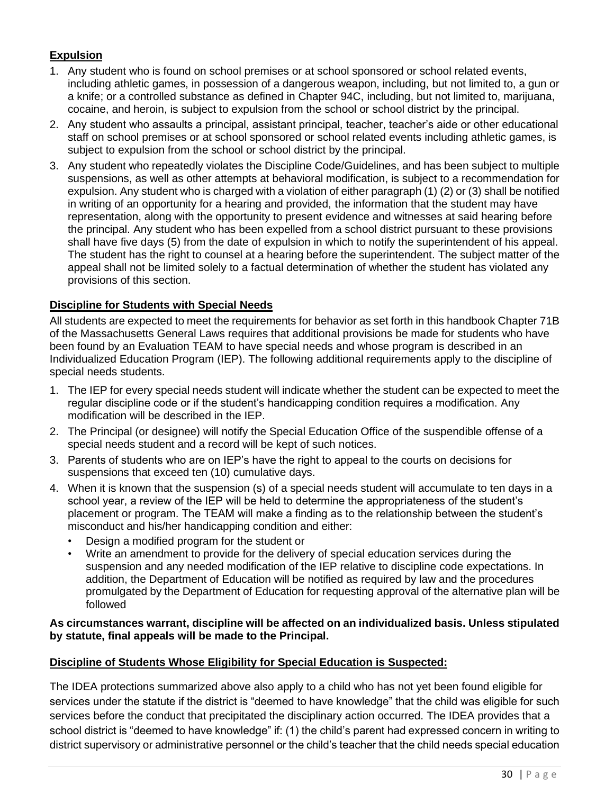# **Expulsion**

- 1. Any student who is found on school premises or at school sponsored or school related events, including athletic games, in possession of a dangerous weapon, including, but not limited to, a gun or a knife; or a controlled substance as defined in Chapter 94C, including, but not limited to, marijuana, cocaine, and heroin, is subject to expulsion from the school or school district by the principal.
- 2. Any student who assaults a principal, assistant principal, teacher, teacher's aide or other educational staff on school premises or at school sponsored or school related events including athletic games, is subject to expulsion from the school or school district by the principal.
- 3. Any student who repeatedly violates the Discipline Code/Guidelines, and has been subject to multiple suspensions, as well as other attempts at behavioral modification, is subject to a recommendation for expulsion. Any student who is charged with a violation of either paragraph (1) (2) or (3) shall be notified in writing of an opportunity for a hearing and provided, the information that the student may have representation, along with the opportunity to present evidence and witnesses at said hearing before the principal. Any student who has been expelled from a school district pursuant to these provisions shall have five days (5) from the date of expulsion in which to notify the superintendent of his appeal. The student has the right to counsel at a hearing before the superintendent. The subject matter of the appeal shall not be limited solely to a factual determination of whether the student has violated any provisions of this section.

# **Discipline for Students with Special Needs**

All students are expected to meet the requirements for behavior as set forth in this handbook Chapter 71B of the Massachusetts General Laws requires that additional provisions be made for students who have been found by an Evaluation TEAM to have special needs and whose program is described in an Individualized Education Program (IEP). The following additional requirements apply to the discipline of special needs students.

- 1. The IEP for every special needs student will indicate whether the student can be expected to meet the regular discipline code or if the student's handicapping condition requires a modification. Any modification will be described in the IEP.
- 2. The Principal (or designee) will notify the Special Education Office of the suspendible offense of a special needs student and a record will be kept of such notices.
- 3. Parents of students who are on IEP's have the right to appeal to the courts on decisions for suspensions that exceed ten (10) cumulative days.
- 4. When it is known that the suspension (s) of a special needs student will accumulate to ten days in a school year, a review of the IEP will be held to determine the appropriateness of the student's placement or program. The TEAM will make a finding as to the relationship between the student's misconduct and his/her handicapping condition and either:
	- Design a modified program for the student or
	- Write an amendment to provide for the delivery of special education services during the suspension and any needed modification of the IEP relative to discipline code expectations. In addition, the Department of Education will be notified as required by law and the procedures promulgated by the Department of Education for requesting approval of the alternative plan will be followed

# **As circumstances warrant, discipline will be affected on an individualized basis. Unless stipulated by statute, final appeals will be made to the Principal.**

# **Discipline of Students Whose Eligibility for Special Education is Suspected:**

The IDEA protections summarized above also apply to a child who has not yet been found eligible for services under the statute if the district is "deemed to have knowledge" that the child was eligible for such services before the conduct that precipitated the disciplinary action occurred. The IDEA provides that a school district is "deemed to have knowledge" if: (1) the child's parent had expressed concern in writing to district supervisory or administrative personnel or the child's teacher that the child needs special education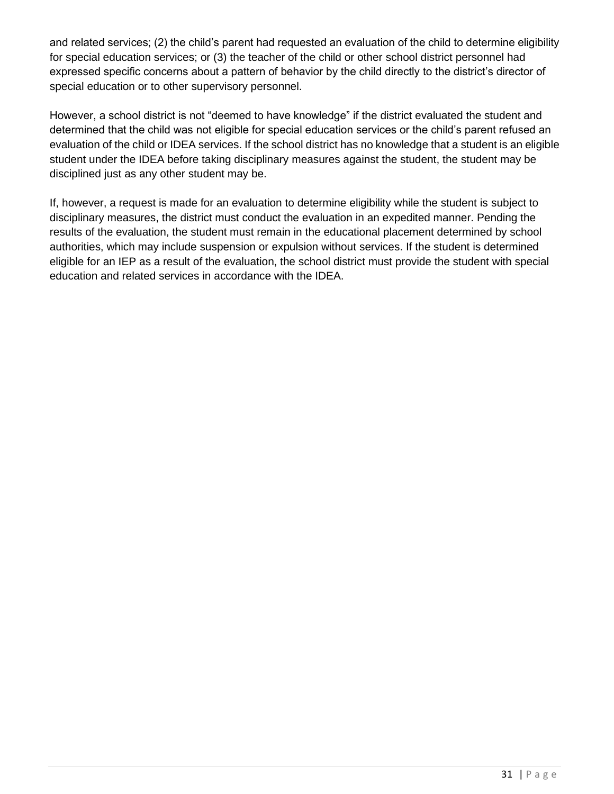and related services; (2) the child's parent had requested an evaluation of the child to determine eligibility for special education services; or (3) the teacher of the child or other school district personnel had expressed specific concerns about a pattern of behavior by the child directly to the district's director of special education or to other supervisory personnel.

However, a school district is not "deemed to have knowledge" if the district evaluated the student and determined that the child was not eligible for special education services or the child's parent refused an evaluation of the child or IDEA services. If the school district has no knowledge that a student is an eligible student under the IDEA before taking disciplinary measures against the student, the student may be disciplined just as any other student may be.

If, however, a request is made for an evaluation to determine eligibility while the student is subject to disciplinary measures, the district must conduct the evaluation in an expedited manner. Pending the results of the evaluation, the student must remain in the educational placement determined by school authorities, which may include suspension or expulsion without services. If the student is determined eligible for an IEP as a result of the evaluation, the school district must provide the student with special education and related services in accordance with the IDEA.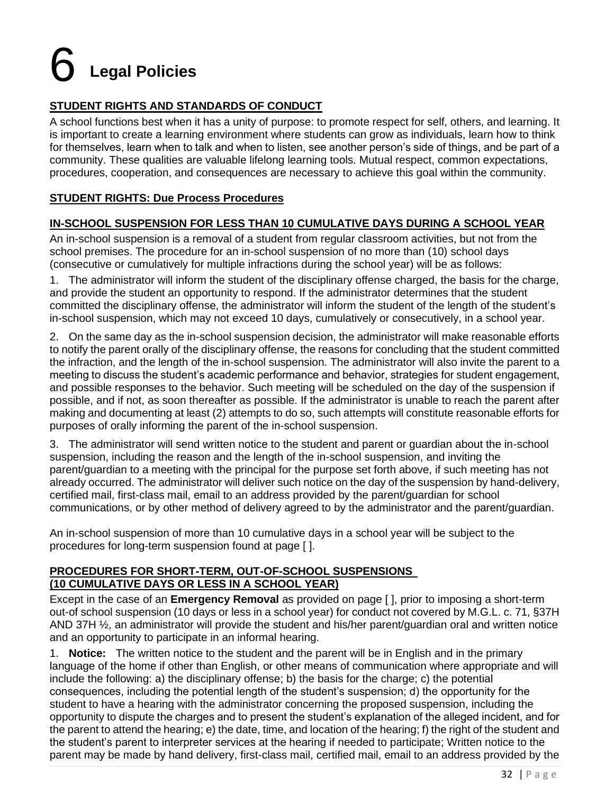# <span id="page-35-0"></span>6 **Legal Policies**

# **STUDENT RIGHTS AND STANDARDS OF CONDUCT**

A school functions best when it has a unity of purpose: to promote respect for self, others, and learning. It is important to create a learning environment where students can grow as individuals, learn how to think for themselves, learn when to talk and when to listen, see another person's side of things, and be part of a community. These qualities are valuable lifelong learning tools. Mutual respect, common expectations, procedures, cooperation, and consequences are necessary to achieve this goal within the community.

# **STUDENT RIGHTS: Due Process Procedures**

# **IN-SCHOOL SUSPENSION FOR LESS THAN 10 CUMULATIVE DAYS DURING A SCHOOL YEAR**

An in-school suspension is a removal of a student from regular classroom activities, but not from the school premises. The procedure for an in-school suspension of no more than (10) school days (consecutive or cumulatively for multiple infractions during the school year) will be as follows:

1. The administrator will inform the student of the disciplinary offense charged, the basis for the charge, and provide the student an opportunity to respond. If the administrator determines that the student committed the disciplinary offense, the administrator will inform the student of the length of the student's in-school suspension, which may not exceed 10 days, cumulatively or consecutively, in a school year.

2. On the same day as the in-school suspension decision, the administrator will make reasonable efforts to notify the parent orally of the disciplinary offense, the reasons for concluding that the student committed the infraction, and the length of the in-school suspension. The administrator will also invite the parent to a meeting to discuss the student's academic performance and behavior, strategies for student engagement, and possible responses to the behavior. Such meeting will be scheduled on the day of the suspension if possible, and if not, as soon thereafter as possible. If the administrator is unable to reach the parent after making and documenting at least (2) attempts to do so, such attempts will constitute reasonable efforts for purposes of orally informing the parent of the in-school suspension.

3. The administrator will send written notice to the student and parent or guardian about the in-school suspension, including the reason and the length of the in-school suspension, and inviting the parent/guardian to a meeting with the principal for the purpose set forth above, if such meeting has not already occurred. The administrator will deliver such notice on the day of the suspension by hand-delivery, certified mail, first-class mail, email to an address provided by the parent/guardian for school communications, or by other method of delivery agreed to by the administrator and the parent/guardian.

An in-school suspension of more than 10 cumulative days in a school year will be subject to the procedures for long-term suspension found at page [ ].

# **PROCEDURES FOR SHORT-TERM, OUT-OF-SCHOOL SUSPENSIONS (10 CUMULATIVE DAYS OR LESS IN A SCHOOL YEAR)**

Except in the case of an **Emergency Removal** as provided on page [ ], prior to imposing a short-term out-of school suspension (10 days or less in a school year) for conduct not covered by M.G.L. c. 71, §37H AND 37H ½, an administrator will provide the student and his/her parent/guardian oral and written notice and an opportunity to participate in an informal hearing.

1. **Notice:** The written notice to the student and the parent will be in English and in the primary language of the home if other than English, or other means of communication where appropriate and will include the following: a) the disciplinary offense; b) the basis for the charge; c) the potential consequences, including the potential length of the student's suspension; d) the opportunity for the student to have a hearing with the administrator concerning the proposed suspension, including the opportunity to dispute the charges and to present the student's explanation of the alleged incident, and for the parent to attend the hearing; e) the date, time, and location of the hearing; f) the right of the student and the student's parent to interpreter services at the hearing if needed to participate; Written notice to the parent may be made by hand delivery, first-class mail, certified mail, email to an address provided by the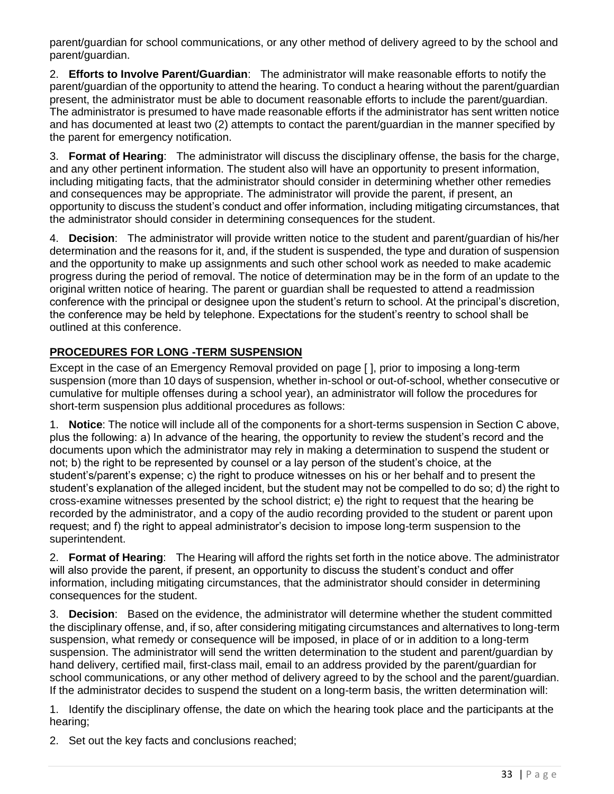parent/guardian for school communications, or any other method of delivery agreed to by the school and parent/guardian.

2. **Efforts to Involve Parent/Guardian**: The administrator will make reasonable efforts to notify the parent/guardian of the opportunity to attend the hearing. To conduct a hearing without the parent/guardian present, the administrator must be able to document reasonable efforts to include the parent/guardian. The administrator is presumed to have made reasonable efforts if the administrator has sent written notice and has documented at least two (2) attempts to contact the parent/guardian in the manner specified by the parent for emergency notification.

3. **Format of Hearing**: The administrator will discuss the disciplinary offense, the basis for the charge, and any other pertinent information. The student also will have an opportunity to present information, including mitigating facts, that the administrator should consider in determining whether other remedies and consequences may be appropriate. The administrator will provide the parent, if present, an opportunity to discuss the student's conduct and offer information, including mitigating circumstances, that the administrator should consider in determining consequences for the student.

4. **Decision**: The administrator will provide written notice to the student and parent/guardian of his/her determination and the reasons for it, and, if the student is suspended, the type and duration of suspension and the opportunity to make up assignments and such other school work as needed to make academic progress during the period of removal. The notice of determination may be in the form of an update to the original written notice of hearing. The parent or guardian shall be requested to attend a readmission conference with the principal or designee upon the student's return to school. At the principal's discretion, the conference may be held by telephone. Expectations for the student's reentry to school shall be outlined at this conference.

# **PROCEDURES FOR LONG -TERM SUSPENSION**

Except in the case of an Emergency Removal provided on page [ ], prior to imposing a long-term suspension (more than 10 days of suspension, whether in-school or out-of-school, whether consecutive or cumulative for multiple offenses during a school year), an administrator will follow the procedures for short-term suspension plus additional procedures as follows:

1. **Notice**: The notice will include all of the components for a short-terms suspension in Section C above, plus the following: a) In advance of the hearing, the opportunity to review the student's record and the documents upon which the administrator may rely in making a determination to suspend the student or not; b) the right to be represented by counsel or a lay person of the student's choice, at the student's/parent's expense; c) the right to produce witnesses on his or her behalf and to present the student's explanation of the alleged incident, but the student may not be compelled to do so; d) the right to cross-examine witnesses presented by the school district; e) the right to request that the hearing be recorded by the administrator, and a copy of the audio recording provided to the student or parent upon request; and f) the right to appeal administrator's decision to impose long-term suspension to the superintendent.

2. **Format of Hearing**: The Hearing will afford the rights set forth in the notice above. The administrator will also provide the parent, if present, an opportunity to discuss the student's conduct and offer information, including mitigating circumstances, that the administrator should consider in determining consequences for the student.

3. **Decision**: Based on the evidence, the administrator will determine whether the student committed the disciplinary offense, and, if so, after considering mitigating circumstances and alternatives to long-term suspension, what remedy or consequence will be imposed, in place of or in addition to a long-term suspension. The administrator will send the written determination to the student and parent/guardian by hand delivery, certified mail, first-class mail, email to an address provided by the parent/guardian for school communications, or any other method of delivery agreed to by the school and the parent/guardian. If the administrator decides to suspend the student on a long-term basis, the written determination will:

1. Identify the disciplinary offense, the date on which the hearing took place and the participants at the hearing;

2. Set out the key facts and conclusions reached;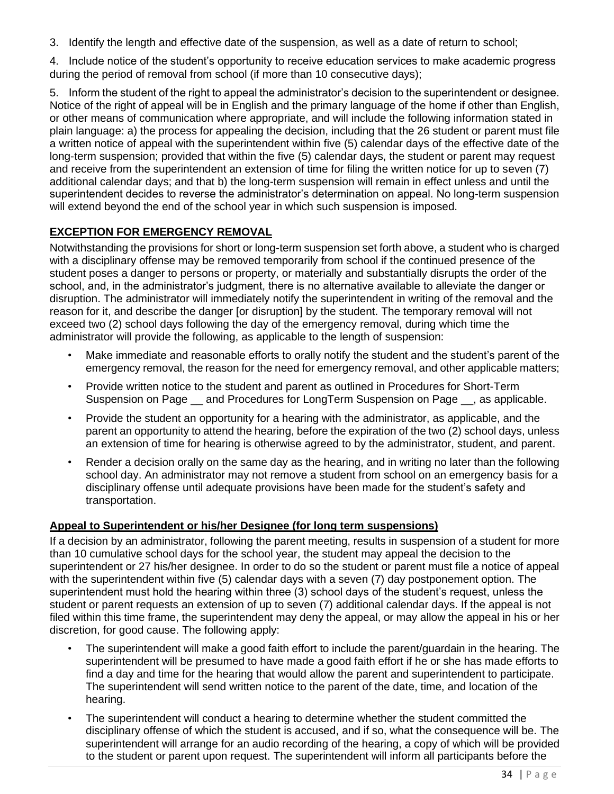3. Identify the length and effective date of the suspension, as well as a date of return to school;

4. Include notice of the student's opportunity to receive education services to make academic progress during the period of removal from school (if more than 10 consecutive days);

5. Inform the student of the right to appeal the administrator's decision to the superintendent or designee. Notice of the right of appeal will be in English and the primary language of the home if other than English, or other means of communication where appropriate, and will include the following information stated in plain language: a) the process for appealing the decision, including that the 26 student or parent must file a written notice of appeal with the superintendent within five (5) calendar days of the effective date of the long-term suspension; provided that within the five (5) calendar days, the student or parent may request and receive from the superintendent an extension of time for filing the written notice for up to seven (7) additional calendar days; and that b) the long-term suspension will remain in effect unless and until the superintendent decides to reverse the administrator's determination on appeal. No long-term suspension will extend beyond the end of the school year in which such suspension is imposed.

# **EXCEPTION FOR EMERGENCY REMOVAL**

Notwithstanding the provisions for short or long-term suspension set forth above, a student who is charged with a disciplinary offense may be removed temporarily from school if the continued presence of the student poses a danger to persons or property, or materially and substantially disrupts the order of the school, and, in the administrator's judgment, there is no alternative available to alleviate the danger or disruption. The administrator will immediately notify the superintendent in writing of the removal and the reason for it, and describe the danger [or disruption] by the student. The temporary removal will not exceed two (2) school days following the day of the emergency removal, during which time the administrator will provide the following, as applicable to the length of suspension:

- Make immediate and reasonable efforts to orally notify the student and the student's parent of the emergency removal, the reason for the need for emergency removal, and other applicable matters;
- Provide written notice to the student and parent as outlined in Procedures for Short-Term Suspension on Page and Procedures for LongTerm Suspension on Page , as applicable.
- Provide the student an opportunity for a hearing with the administrator, as applicable, and the parent an opportunity to attend the hearing, before the expiration of the two (2) school days, unless an extension of time for hearing is otherwise agreed to by the administrator, student, and parent.
- Render a decision orally on the same day as the hearing, and in writing no later than the following school day. An administrator may not remove a student from school on an emergency basis for a disciplinary offense until adequate provisions have been made for the student's safety and transportation.

# **Appeal to Superintendent or his/her Designee (for long term suspensions)**

If a decision by an administrator, following the parent meeting, results in suspension of a student for more than 10 cumulative school days for the school year, the student may appeal the decision to the superintendent or 27 his/her designee. In order to do so the student or parent must file a notice of appeal with the superintendent within five (5) calendar days with a seven (7) day postponement option. The superintendent must hold the hearing within three (3) school days of the student's request, unless the student or parent requests an extension of up to seven (7) additional calendar days. If the appeal is not filed within this time frame, the superintendent may deny the appeal, or may allow the appeal in his or her discretion, for good cause. The following apply:

- The superintendent will make a good faith effort to include the parent/guardain in the hearing. The superintendent will be presumed to have made a good faith effort if he or she has made efforts to find a day and time for the hearing that would allow the parent and superintendent to participate. The superintendent will send written notice to the parent of the date, time, and location of the hearing.
- The superintendent will conduct a hearing to determine whether the student committed the disciplinary offense of which the student is accused, and if so, what the consequence will be. The superintendent will arrange for an audio recording of the hearing, a copy of which will be provided to the student or parent upon request. The superintendent will inform all participants before the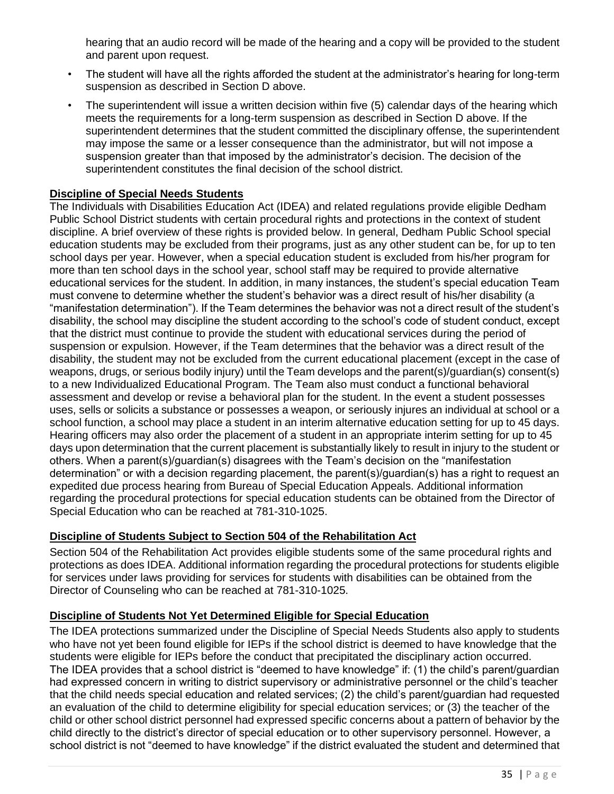hearing that an audio record will be made of the hearing and a copy will be provided to the student and parent upon request.

- The student will have all the rights afforded the student at the administrator's hearing for long-term suspension as described in Section D above.
- The superintendent will issue a written decision within five (5) calendar days of the hearing which meets the requirements for a long-term suspension as described in Section D above. If the superintendent determines that the student committed the disciplinary offense, the superintendent may impose the same or a lesser consequence than the administrator, but will not impose a suspension greater than that imposed by the administrator's decision. The decision of the superintendent constitutes the final decision of the school district.

# **Discipline of Special Needs Students**

The Individuals with Disabilities Education Act (IDEA) and related regulations provide eligible Dedham Public School District students with certain procedural rights and protections in the context of student discipline. A brief overview of these rights is provided below. In general, Dedham Public School special education students may be excluded from their programs, just as any other student can be, for up to ten school days per year. However, when a special education student is excluded from his/her program for more than ten school days in the school year, school staff may be required to provide alternative educational services for the student. In addition, in many instances, the student's special education Team must convene to determine whether the student's behavior was a direct result of his/her disability (a "manifestation determination"). If the Team determines the behavior was not a direct result of the student's disability, the school may discipline the student according to the school's code of student conduct, except that the district must continue to provide the student with educational services during the period of suspension or expulsion. However, if the Team determines that the behavior was a direct result of the disability, the student may not be excluded from the current educational placement (except in the case of weapons, drugs, or serious bodily injury) until the Team develops and the parent(s)/guardian(s) consent(s) to a new Individualized Educational Program. The Team also must conduct a functional behavioral assessment and develop or revise a behavioral plan for the student. In the event a student possesses uses, sells or solicits a substance or possesses a weapon, or seriously injures an individual at school or a school function, a school may place a student in an interim alternative education setting for up to 45 days. Hearing officers may also order the placement of a student in an appropriate interim setting for up to 45 days upon determination that the current placement is substantially likely to result in injury to the student or others. When a parent(s)/guardian(s) disagrees with the Team's decision on the "manifestation determination" or with a decision regarding placement, the parent(s)/guardian(s) has a right to request an expedited due process hearing from Bureau of Special Education Appeals. Additional information regarding the procedural protections for special education students can be obtained from the Director of Special Education who can be reached at 781-310-1025.

# **Discipline of Students Subject to Section 504 of the Rehabilitation Act**

Section 504 of the Rehabilitation Act provides eligible students some of the same procedural rights and protections as does IDEA. Additional information regarding the procedural protections for students eligible for services under laws providing for services for students with disabilities can be obtained from the Director of Counseling who can be reached at 781-310-1025.

# **Discipline of Students Not Yet Determined Eligible for Special Education**

The IDEA protections summarized under the Discipline of Special Needs Students also apply to students who have not yet been found eligible for IEPs if the school district is deemed to have knowledge that the students were eligible for IEPs before the conduct that precipitated the disciplinary action occurred. The IDEA provides that a school district is "deemed to have knowledge" if: (1) the child's parent/guardian had expressed concern in writing to district supervisory or administrative personnel or the child's teacher that the child needs special education and related services; (2) the child's parent/guardian had requested an evaluation of the child to determine eligibility for special education services; or (3) the teacher of the child or other school district personnel had expressed specific concerns about a pattern of behavior by the child directly to the district's director of special education or to other supervisory personnel. However, a school district is not "deemed to have knowledge" if the district evaluated the student and determined that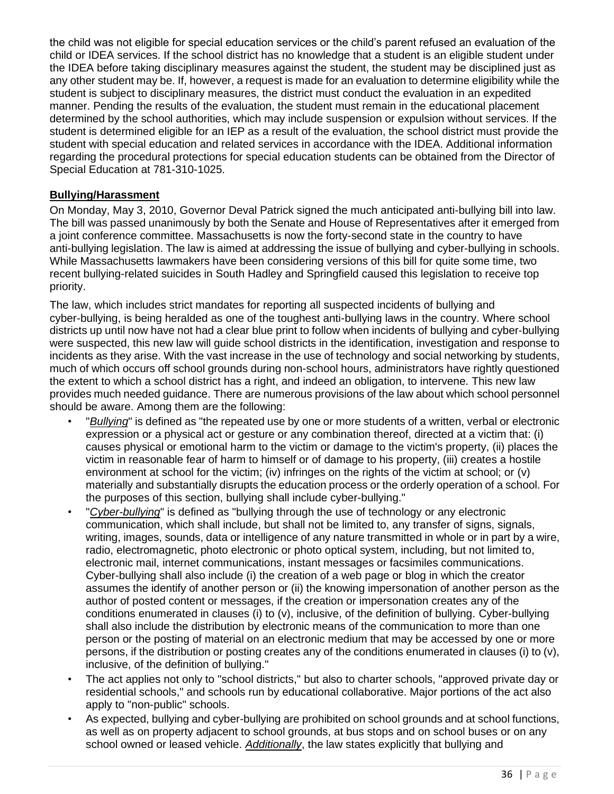the child was not eligible for special education services or the child's parent refused an evaluation of the child or IDEA services. If the school district has no knowledge that a student is an eligible student under the IDEA before taking disciplinary measures against the student, the student may be disciplined just as any other student may be. If, however, a request is made for an evaluation to determine eligibility while the student is subject to disciplinary measures, the district must conduct the evaluation in an expedited manner. Pending the results of the evaluation, the student must remain in the educational placement determined by the school authorities, which may include suspension or expulsion without services. If the student is determined eligible for an IEP as a result of the evaluation, the school district must provide the student with special education and related services in accordance with the IDEA. Additional information regarding the procedural protections for special education students can be obtained from the Director of Special Education at 781-310-1025.

# **Bullying/Harassment**

On Monday, May 3, 2010, Governor Deval Patrick signed the much anticipated anti-bullying bill into law. The bill was passed unanimously by both the Senate and House of Representatives after it emerged from a joint conference committee. Massachusetts is now the forty-second state in the country to have anti-bullying legislation. The law is aimed at addressing the issue of bullying and cyber-bullying in schools. While Massachusetts lawmakers have been considering versions of this bill for quite some time, two recent bullying-related suicides in South Hadley and Springfield caused this legislation to receive top priority.

The law, which includes strict mandates for reporting all suspected incidents of bullying and cyber-bullying, is being heralded as one of the toughest anti-bullying laws in the country. Where school districts up until now have not had a clear blue print to follow when incidents of bullying and cyber-bullying were suspected, this new law will guide school districts in the identification, investigation and response to incidents as they arise. With the vast increase in the use of technology and social networking by students, much of which occurs off school grounds during non-school hours, administrators have rightly questioned the extent to which a school district has a right, and indeed an obligation, to intervene. This new law provides much needed guidance. There are numerous provisions of the law about which school personnel should be aware. Among them are the following:

- "*Bullying*" is defined as "the repeated use by one or more students of a written, verbal or electronic expression or a physical act or gesture or any combination thereof, directed at a victim that: (i) causes physical or emotional harm to the victim or damage to the victim's property, (ii) places the victim in reasonable fear of harm to himself or of damage to his property, (iii) creates a hostile environment at school for the victim; (iv) infringes on the rights of the victim at school; or (v) materially and substantially disrupts the education process or the orderly operation of a school. For the purposes of this section, bullying shall include cyber-bullying."
- "*Cyber-bullying*" is defined as "bullying through the use of technology or any electronic communication, which shall include, but shall not be limited to, any transfer of signs, signals, writing, images, sounds, data or intelligence of any nature transmitted in whole or in part by a wire, radio, electromagnetic, photo electronic or photo optical system, including, but not limited to, electronic mail, internet communications, instant messages or facsimiles communications. Cyber-bullying shall also include (i) the creation of a web page or blog in which the creator assumes the identify of another person or (ii) the knowing impersonation of another person as the author of posted content or messages, if the creation or impersonation creates any of the conditions enumerated in clauses (i) to (v), inclusive, of the definition of bullying. Cyber-bullying shall also include the distribution by electronic means of the communication to more than one person or the posting of material on an electronic medium that may be accessed by one or more persons, if the distribution or posting creates any of the conditions enumerated in clauses (i) to (v), inclusive, of the definition of bullying."
- The act applies not only to "school districts," but also to charter schools, "approved private day or residential schools," and schools run by educational collaborative. Major portions of the act also apply to "non-public" schools.
- As expected, bullying and cyber-bullying are prohibited on school grounds and at school functions, as well as on property adjacent to school grounds, at bus stops and on school buses or on any school owned or leased vehicle. *Additionally*, the law states explicitly that bullying and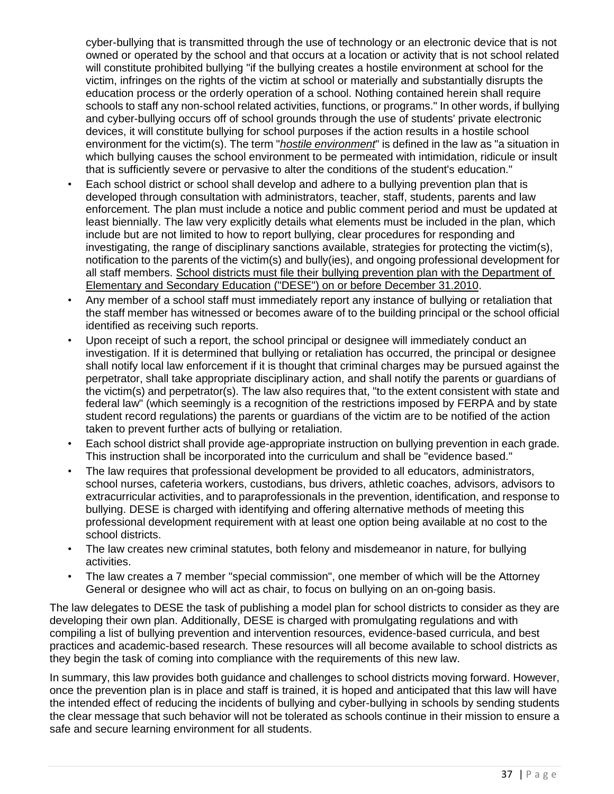cyber-bullying that is transmitted through the use of technology or an electronic device that is not owned or operated by the school and that occurs at a location or activity that is not school related will constitute prohibited bullying "if the bullying creates a hostile environment at school for the victim, infringes on the rights of the victim at school or materially and substantially disrupts the education process or the orderly operation of a school. Nothing contained herein shall require schools to staff any non-school related activities, functions, or programs." In other words, if bullying and cyber-bullying occurs off of school grounds through the use of students' private electronic devices, it will constitute bullying for school purposes if the action results in a hostile school environment for the victim(s). The term "*hostile environment*" is defined in the law as "a situation in which bullying causes the school environment to be permeated with intimidation, ridicule or insult that is sufficiently severe or pervasive to alter the conditions of the student's education."

- Each school district or school shall develop and adhere to a bullying prevention plan that is developed through consultation with administrators, teacher, staff, students, parents and law enforcement. The plan must include a notice and public comment period and must be updated at least biennially. The law very explicitly details what elements must be included in the plan, which include but are not limited to how to report bullying, clear procedures for responding and investigating, the range of disciplinary sanctions available, strategies for protecting the victim(s), notification to the parents of the victim(s) and bully(ies), and ongoing professional development for all staff members. School districts must file their bullying prevention plan with the Department of Elementary and Secondary Education ("DESE") on or before December 31.2010.
- Any member of a school staff must immediately report any instance of bullying or retaliation that the staff member has witnessed or becomes aware of to the building principal or the school official identified as receiving such reports.
- Upon receipt of such a report, the school principal or designee will immediately conduct an investigation. If it is determined that bullying or retaliation has occurred, the principal or designee shall notify local law enforcement if it is thought that criminal charges may be pursued against the perpetrator, shall take appropriate disciplinary action, and shall notify the parents or guardians of the victim(s) and perpetrator(s). The law also requires that, "to the extent consistent with state and federal law" (which seemingly is a recognition of the restrictions imposed by FERPA and by state student record regulations) the parents or guardians of the victim are to be notified of the action taken to prevent further acts of bullying or retaliation.
- Each school district shall provide age-appropriate instruction on bullying prevention in each grade. This instruction shall be incorporated into the curriculum and shall be "evidence based."
- The law requires that professional development be provided to all educators, administrators, school nurses, cafeteria workers, custodians, bus drivers, athletic coaches, advisors, advisors to extracurricular activities, and to paraprofessionals in the prevention, identification, and response to bullying. DESE is charged with identifying and offering alternative methods of meeting this professional development requirement with at least one option being available at no cost to the school districts.
- The law creates new criminal statutes, both felony and misdemeanor in nature, for bullying activities.
- The law creates a 7 member "special commission", one member of which will be the Attorney General or designee who will act as chair, to focus on bullying on an on-going basis.

The law delegates to DESE the task of publishing a model plan for school districts to consider as they are developing their own plan. Additionally, DESE is charged with promulgating regulations and with compiling a list of bullying prevention and intervention resources, evidence-based curricula, and best practices and academic-based research. These resources will all become available to school districts as they begin the task of coming into compliance with the requirements of this new law.

In summary, this law provides both guidance and challenges to school districts moving forward. However, once the prevention plan is in place and staff is trained, it is hoped and anticipated that this law will have the intended effect of reducing the incidents of bullying and cyber-bullying in schools by sending students the clear message that such behavior will not be tolerated as schools continue in their mission to ensure a safe and secure learning environment for all students.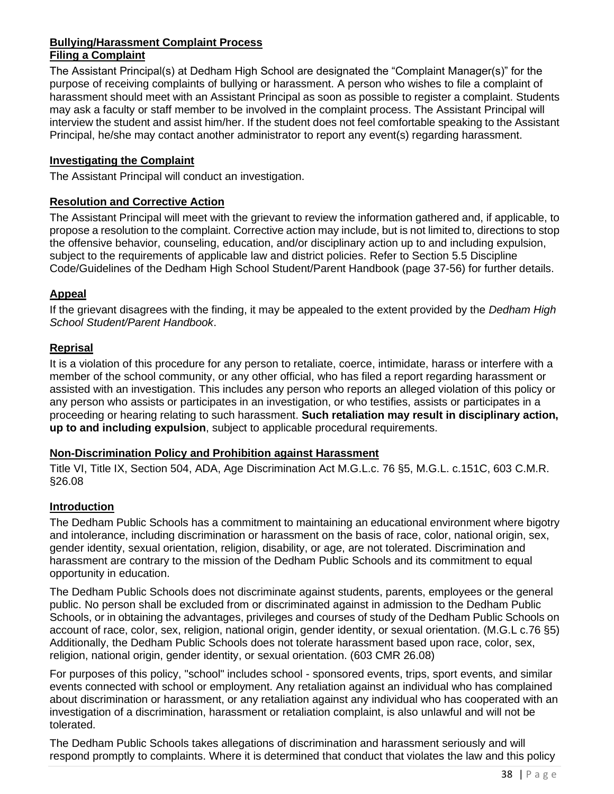# **Bullying/Harassment Complaint Process Filing a Complaint**

The Assistant Principal(s) at Dedham High School are designated the "Complaint Manager(s)" for the purpose of receiving complaints of bullying or harassment. A person who wishes to file a complaint of harassment should meet with an Assistant Principal as soon as possible to register a complaint. Students may ask a faculty or staff member to be involved in the complaint process. The Assistant Principal will interview the student and assist him/her. If the student does not feel comfortable speaking to the Assistant Principal, he/she may contact another administrator to report any event(s) regarding harassment.

# **Investigating the Complaint**

The Assistant Principal will conduct an investigation.

# **Resolution and Corrective Action**

The Assistant Principal will meet with the grievant to review the information gathered and, if applicable, to propose a resolution to the complaint. Corrective action may include, but is not limited to, directions to stop the offensive behavior, counseling, education, and/or disciplinary action up to and including expulsion, subject to the requirements of applicable law and district policies. Refer to Section 5.5 Discipline Code/Guidelines of the Dedham High School Student/Parent Handbook (page 37-56) for further details.

# **Appeal**

If the grievant disagrees with the finding, it may be appealed to the extent provided by the *Dedham High School Student/Parent Handbook*.

# **Reprisal**

It is a violation of this procedure for any person to retaliate, coerce, intimidate, harass or interfere with a member of the school community, or any other official, who has filed a report regarding harassment or assisted with an investigation. This includes any person who reports an alleged violation of this policy or any person who assists or participates in an investigation, or who testifies, assists or participates in a proceeding or hearing relating to such harassment. **Such retaliation may result in disciplinary action, up to and including expulsion**, subject to applicable procedural requirements.

# **Non-Discrimination Policy and Prohibition against Harassment**

Title VI, Title IX, Section 504, ADA, Age Discrimination Act M.G.L.c. 76 §5, M.G.L. c.151C, 603 C.M.R. §26.08

# **Introduction**

The Dedham Public Schools has a commitment to maintaining an educational environment where bigotry and intolerance, including discrimination or harassment on the basis of race, color, national origin, sex, gender identity, sexual orientation, religion, disability, or age, are not tolerated. Discrimination and harassment are contrary to the mission of the Dedham Public Schools and its commitment to equal opportunity in education.

The Dedham Public Schools does not discriminate against students, parents, employees or the general public. No person shall be excluded from or discriminated against in admission to the Dedham Public Schools, or in obtaining the advantages, privileges and courses of study of the Dedham Public Schools on account of race, color, sex, religion, national origin, gender identity, or sexual orientation. (M.G.L c.76 §5) Additionally, the Dedham Public Schools does not tolerate harassment based upon race, color, sex, religion, national origin, gender identity, or sexual orientation. (603 CMR 26.08)

For purposes of this policy, "school" includes school - sponsored events, trips, sport events, and similar events connected with school or employment. Any retaliation against an individual who has complained about discrimination or harassment, or any retaliation against any individual who has cooperated with an investigation of a discrimination, harassment or retaliation complaint, is also unlawful and will not be tolerated.

The Dedham Public Schools takes allegations of discrimination and harassment seriously and will respond promptly to complaints. Where it is determined that conduct that violates the law and this policy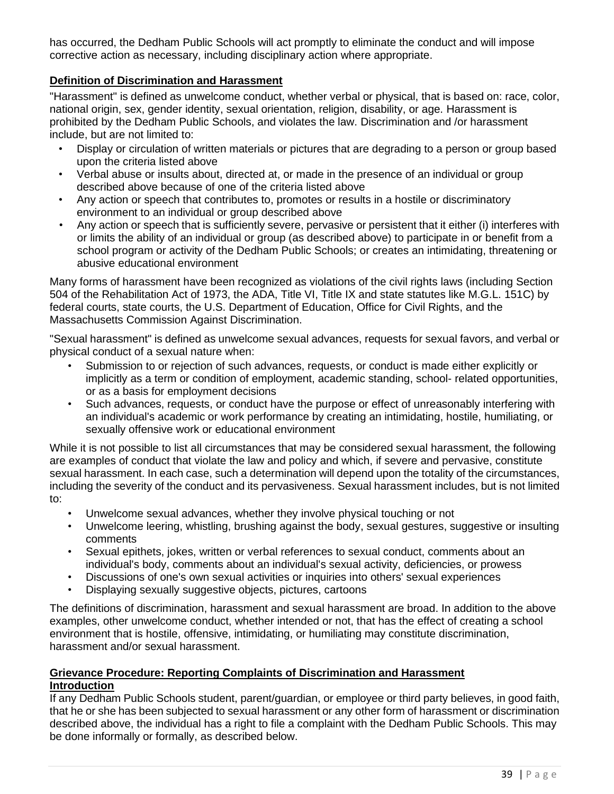has occurred, the Dedham Public Schools will act promptly to eliminate the conduct and will impose corrective action as necessary, including disciplinary action where appropriate.

# **Definition of Discrimination and Harassment**

"Harassment" is defined as unwelcome conduct, whether verbal or physical, that is based on: race, color, national origin, sex, gender identity, sexual orientation, religion, disability, or age. Harassment is prohibited by the Dedham Public Schools, and violates the law. Discrimination and /or harassment include, but are not limited to:

- Display or circulation of written materials or pictures that are degrading to a person or group based upon the criteria listed above
- Verbal abuse or insults about, directed at, or made in the presence of an individual or group described above because of one of the criteria listed above
- Any action or speech that contributes to, promotes or results in a hostile or discriminatory environment to an individual or group described above
- Any action or speech that is sufficiently severe, pervasive or persistent that it either (i) interferes with or limits the ability of an individual or group (as described above) to participate in or benefit from a school program or activity of the Dedham Public Schools; or creates an intimidating, threatening or abusive educational environment

Many forms of harassment have been recognized as violations of the civil rights laws (including Section 504 of the Rehabilitation Act of 1973, the ADA, Title VI, Title IX and state statutes like M.G.L. 151C) by federal courts, state courts, the U.S. Department of Education, Office for Civil Rights, and the Massachusetts Commission Against Discrimination.

"Sexual harassment" is defined as unwelcome sexual advances, requests for sexual favors, and verbal or physical conduct of a sexual nature when:

- Submission to or rejection of such advances, requests, or conduct is made either explicitly or implicitly as a term or condition of employment, academic standing, school- related opportunities, or as a basis for employment decisions
- Such advances, requests, or conduct have the purpose or effect of unreasonably interfering with an individual's academic or work performance by creating an intimidating, hostile, humiliating, or sexually offensive work or educational environment

While it is not possible to list all circumstances that may be considered sexual harassment, the following are examples of conduct that violate the law and policy and which, if severe and pervasive, constitute sexual harassment. In each case, such a determination will depend upon the totality of the circumstances, including the severity of the conduct and its pervasiveness. Sexual harassment includes, but is not limited to:

- Unwelcome sexual advances, whether they involve physical touching or not
- Unwelcome leering, whistling, brushing against the body, sexual gestures, suggestive or insulting comments
- Sexual epithets, jokes, written or verbal references to sexual conduct, comments about an individual's body, comments about an individual's sexual activity, deficiencies, or prowess
- Discussions of one's own sexual activities or inquiries into others' sexual experiences
- Displaying sexually suggestive objects, pictures, cartoons

The definitions of discrimination, harassment and sexual harassment are broad. In addition to the above examples, other unwelcome conduct, whether intended or not, that has the effect of creating a school environment that is hostile, offensive, intimidating, or humiliating may constitute discrimination, harassment and/or sexual harassment.

# **Grievance Procedure: Reporting Complaints of Discrimination and Harassment Introduction**

If any Dedham Public Schools student, parent/guardian, or employee or third party believes, in good faith, that he or she has been subjected to sexual harassment or any other form of harassment or discrimination described above, the individual has a right to file a complaint with the Dedham Public Schools. This may be done informally or formally, as described below.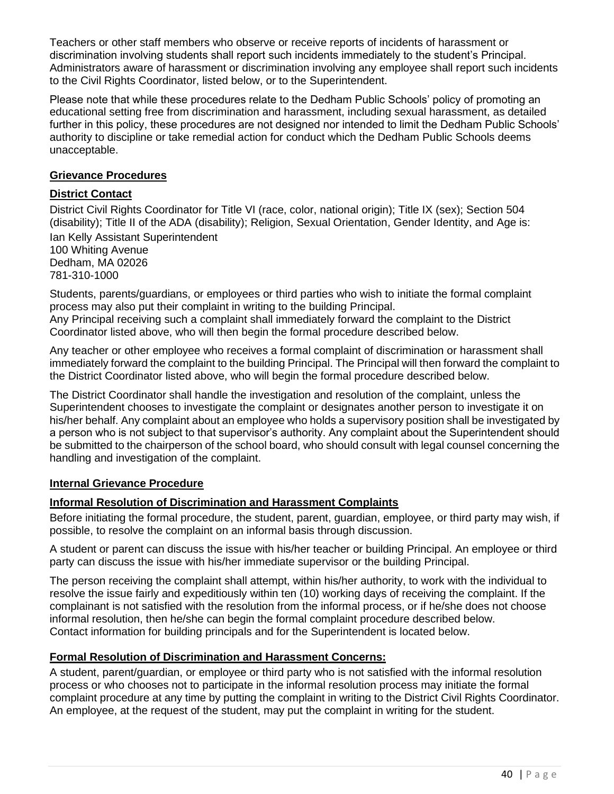Teachers or other staff members who observe or receive reports of incidents of harassment or discrimination involving students shall report such incidents immediately to the student's Principal. Administrators aware of harassment or discrimination involving any employee shall report such incidents to the Civil Rights Coordinator, listed below, or to the Superintendent.

Please note that while these procedures relate to the Dedham Public Schools' policy of promoting an educational setting free from discrimination and harassment, including sexual harassment, as detailed further in this policy, these procedures are not designed nor intended to limit the Dedham Public Schools' authority to discipline or take remedial action for conduct which the Dedham Public Schools deems unacceptable.

# **Grievance Procedures**

# **District Contact**

District Civil Rights Coordinator for Title VI (race, color, national origin); Title IX (sex); Section 504 (disability); Title II of the ADA (disability); Religion, Sexual Orientation, Gender Identity, and Age is:

Ian Kelly Assistant Superintendent 100 Whiting Avenue Dedham, MA 02026 781-310-1000

Students, parents/guardians, or employees or third parties who wish to initiate the formal complaint process may also put their complaint in writing to the building Principal.

Any Principal receiving such a complaint shall immediately forward the complaint to the District Coordinator listed above, who will then begin the formal procedure described below.

Any teacher or other employee who receives a formal complaint of discrimination or harassment shall immediately forward the complaint to the building Principal. The Principal will then forward the complaint to the District Coordinator listed above, who will begin the formal procedure described below.

The District Coordinator shall handle the investigation and resolution of the complaint, unless the Superintendent chooses to investigate the complaint or designates another person to investigate it on his/her behalf. Any complaint about an employee who holds a supervisory position shall be investigated by a person who is not subject to that supervisor's authority. Any complaint about the Superintendent should be submitted to the chairperson of the school board, who should consult with legal counsel concerning the handling and investigation of the complaint.

# **Internal Grievance Procedure**

# **Informal Resolution of Discrimination and Harassment Complaints**

Before initiating the formal procedure, the student, parent, guardian, employee, or third party may wish, if possible, to resolve the complaint on an informal basis through discussion.

A student or parent can discuss the issue with his/her teacher or building Principal. An employee or third party can discuss the issue with his/her immediate supervisor or the building Principal.

The person receiving the complaint shall attempt, within his/her authority, to work with the individual to resolve the issue fairly and expeditiously within ten (10) working days of receiving the complaint. If the complainant is not satisfied with the resolution from the informal process, or if he/she does not choose informal resolution, then he/she can begin the formal complaint procedure described below. Contact information for building principals and for the Superintendent is located below.

# **Formal Resolution of Discrimination and Harassment Concerns:**

A student, parent/guardian, or employee or third party who is not satisfied with the informal resolution process or who chooses not to participate in the informal resolution process may initiate the formal complaint procedure at any time by putting the complaint in writing to the District Civil Rights Coordinator. An employee, at the request of the student, may put the complaint in writing for the student.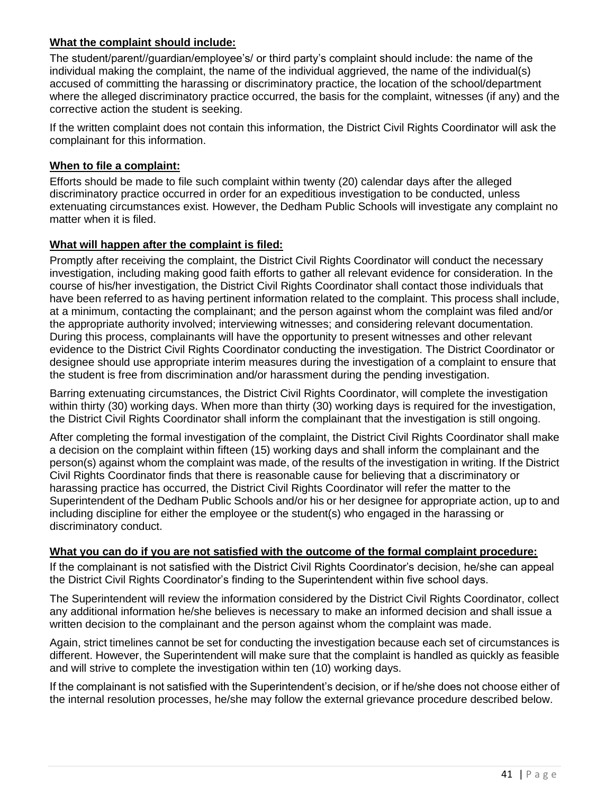# **What the complaint should include:**

The student/parent//guardian/employee's/ or third party's complaint should include: the name of the individual making the complaint, the name of the individual aggrieved, the name of the individual(s) accused of committing the harassing or discriminatory practice, the location of the school/department where the alleged discriminatory practice occurred, the basis for the complaint, witnesses (if any) and the corrective action the student is seeking.

If the written complaint does not contain this information, the District Civil Rights Coordinator will ask the complainant for this information.

# **When to file a complaint:**

Efforts should be made to file such complaint within twenty (20) calendar days after the alleged discriminatory practice occurred in order for an expeditious investigation to be conducted, unless extenuating circumstances exist. However, the Dedham Public Schools will investigate any complaint no matter when it is filed.

# **What will happen after the complaint is filed:**

Promptly after receiving the complaint, the District Civil Rights Coordinator will conduct the necessary investigation, including making good faith efforts to gather all relevant evidence for consideration. In the course of his/her investigation, the District Civil Rights Coordinator shall contact those individuals that have been referred to as having pertinent information related to the complaint. This process shall include, at a minimum, contacting the complainant; and the person against whom the complaint was filed and/or the appropriate authority involved; interviewing witnesses; and considering relevant documentation. During this process, complainants will have the opportunity to present witnesses and other relevant evidence to the District Civil Rights Coordinator conducting the investigation. The District Coordinator or designee should use appropriate interim measures during the investigation of a complaint to ensure that the student is free from discrimination and/or harassment during the pending investigation.

Barring extenuating circumstances, the District Civil Rights Coordinator, will complete the investigation within thirty (30) working days. When more than thirty (30) working days is required for the investigation, the District Civil Rights Coordinator shall inform the complainant that the investigation is still ongoing.

After completing the formal investigation of the complaint, the District Civil Rights Coordinator shall make a decision on the complaint within fifteen (15) working days and shall inform the complainant and the person(s) against whom the complaint was made, of the results of the investigation in writing. If the District Civil Rights Coordinator finds that there is reasonable cause for believing that a discriminatory or harassing practice has occurred, the District Civil Rights Coordinator will refer the matter to the Superintendent of the Dedham Public Schools and/or his or her designee for appropriate action, up to and including discipline for either the employee or the student(s) who engaged in the harassing or discriminatory conduct.

# **What you can do if you are not satisfied with the outcome of the formal complaint procedure:**

If the complainant is not satisfied with the District Civil Rights Coordinator's decision, he/she can appeal the District Civil Rights Coordinator's finding to the Superintendent within five school days.

The Superintendent will review the information considered by the District Civil Rights Coordinator, collect any additional information he/she believes is necessary to make an informed decision and shall issue a written decision to the complainant and the person against whom the complaint was made.

Again, strict timelines cannot be set for conducting the investigation because each set of circumstances is different. However, the Superintendent will make sure that the complaint is handled as quickly as feasible and will strive to complete the investigation within ten (10) working days.

If the complainant is not satisfied with the Superintendent's decision, or if he/she does not choose either of the internal resolution processes, he/she may follow the external grievance procedure described below.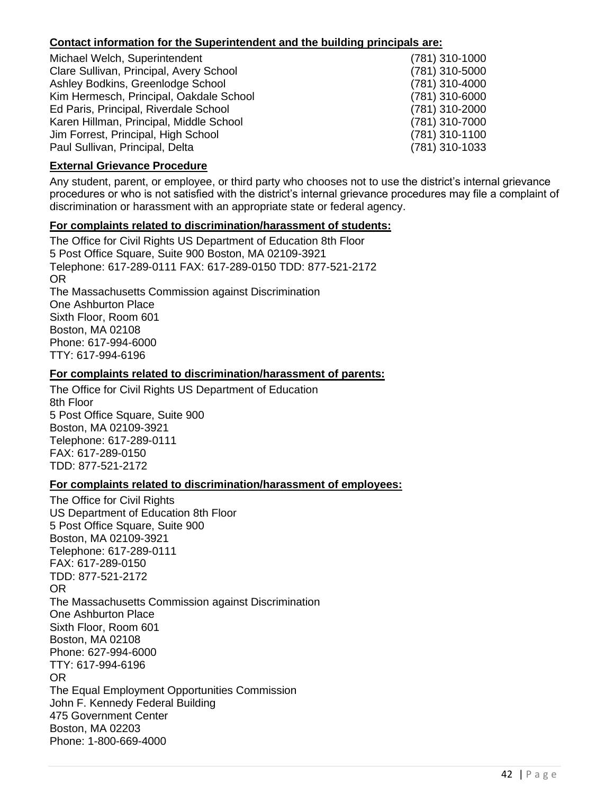# **Contact information for the Superintendent and the building principals are:**

| Michael Welch, Superintendent           |
|-----------------------------------------|
| Clare Sullivan, Principal, Avery School |
| Ashley Bodkins, Greenlodge School       |
| Kim Hermesch, Principal, Oakdale School |
| Ed Paris, Principal, Riverdale School   |
| Karen Hillman, Principal, Middle School |
| Jim Forrest, Principal, High School     |
| Paul Sullivan, Principal, Delta         |

(781) 310-1000 (781) 310-5000 (781) 310-4000 (781) 310-6000 Ed Paris, Principal, Riverdale School (781) 310-2000 (781) 310-7000 (781) 310-1100 Paul Sullivan, Principal, Delta (781) 310-1033

# **External Grievance Procedure**

Any student, parent, or employee, or third party who chooses not to use the district's internal grievance procedures or who is not satisfied with the district's internal grievance procedures may file a complaint of discrimination or harassment with an appropriate state or federal agency.

# **For complaints related to discrimination/harassment of students:**

The Office for Civil Rights US Department of Education 8th Floor 5 Post Office Square, Suite 900 Boston, MA 02109-3921 Telephone: 617-289-0111 FAX: 617-289-0150 TDD: 877-521-2172 OR The Massachusetts Commission against Discrimination One Ashburton Place Sixth Floor, Room 601 Boston, MA 02108 Phone: 617-994-6000 TTY: 617-994-6196

# **For complaints related to discrimination/harassment of parents:**

The Office for Civil Rights US Department of Education 8th Floor 5 Post Office Square, Suite 900 Boston, MA 02109-3921 Telephone: 617-289-0111 FAX: 617-289-0150 TDD: 877-521-2172

# **For complaints related to discrimination/harassment of employees:**

The Office for Civil Rights US Department of Education 8th Floor 5 Post Office Square, Suite 900 Boston, MA 02109-3921 Telephone: 617-289-0111 FAX: 617-289-0150 TDD: 877-521-2172 OR The Massachusetts Commission against Discrimination One Ashburton Place Sixth Floor, Room 601 Boston, MA 02108 Phone: 627-994-6000 TTY: 617-994-6196 OR The Equal Employment Opportunities Commission John F. Kennedy Federal Building 475 Government Center Boston, MA 02203 Phone: 1-800-669-4000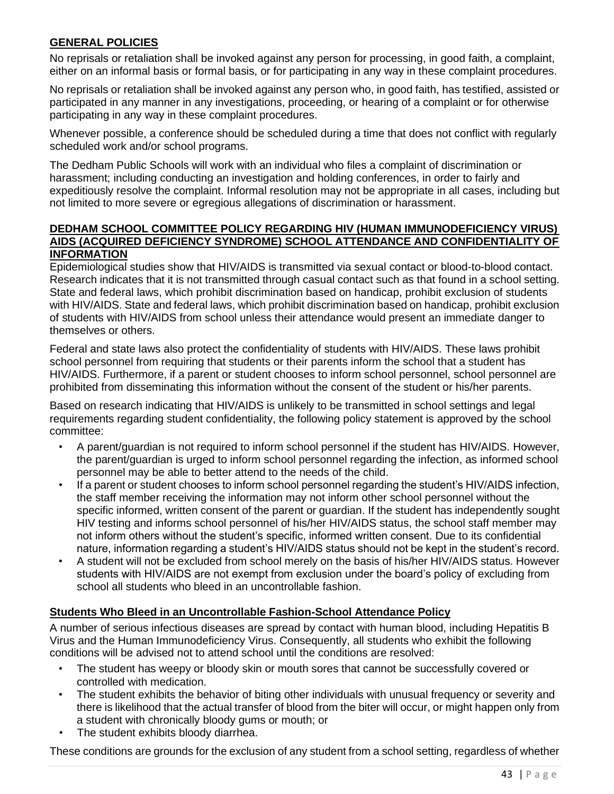# **GENERAL POLICIES**

No reprisals or retaliation shall be invoked against any person for processing, in good faith, a complaint, either on an informal basis or formal basis, or for participating in any way in these complaint procedures.

No reprisals or retaliation shall be invoked against any person who, in good faith, has testified, assisted or participated in any manner in any investigations, proceeding, or hearing of a complaint or for otherwise participating in any way in these complaint procedures.

Whenever possible, a conference should be scheduled during a time that does not conflict with regularly scheduled work and/or school programs.

The Dedham Public Schools will work with an individual who files a complaint of discrimination or harassment; including conducting an investigation and holding conferences, in order to fairly and expeditiously resolve the complaint. Informal resolution may not be appropriate in all cases, including but not limited to more severe or egregious allegations of discrimination or harassment.

#### **DEDHAM SCHOOL COMMITTEE POLICY REGARDING HIV (HUMAN IMMUNODEFICIENCY VIRUS) AIDS (ACQUIRED DEFICIENCY SYNDROME) SCHOOL ATTENDANCE AND CONFIDENTIALITY OF INFORMATION**

Epidemiological studies show that HIV/AIDS is transmitted via sexual contact or blood-to-blood contact. Research indicates that it is not transmitted through casual contact such as that found in a school setting. State and federal laws, which prohibit discrimination based on handicap, prohibit exclusion of students with HIV/AIDS. State and federal laws, which prohibit discrimination based on handicap, prohibit exclusion of students with HIV/AIDS from school unless their attendance would present an immediate danger to themselves or others.

Federal and state laws also protect the confidentiality of students with HIV/AIDS. These laws prohibit school personnel from requiring that students or their parents inform the school that a student has HIV/AIDS. Furthermore, if a parent or student chooses to inform school personnel, school personnel are prohibited from disseminating this information without the consent of the student or his/her parents.

Based on research indicating that HIV/AIDS is unlikely to be transmitted in school settings and legal requirements regarding student confidentiality, the following policy statement is approved by the school committee:

- A parent/guardian is not required to inform school personnel if the student has HIV/AIDS. However, the parent/guardian is urged to inform school personnel regarding the infection, as informed school personnel may be able to better attend to the needs of the child.
- If a parent or student chooses to inform school personnel regarding the student's HIV/AIDS infection, the staff member receiving the information may not inform other school personnel without the specific informed, written consent of the parent or guardian. If the student has independently sought HIV testing and informs school personnel of his/her HIV/AIDS status, the school staff member may not inform others without the student's specific, informed written consent. Due to its confidential nature, information regarding a student's HIV/AIDS status should not be kept in the student's record.
- A student will not be excluded from school merely on the basis of his/her HIV/AIDS status. However students with HIV/AIDS are not exempt from exclusion under the board's policy of excluding from school all students who bleed in an uncontrollable fashion.

# **Students Who Bleed in an Uncontrollable Fashion-School Attendance Policy**

A number of serious infectious diseases are spread by contact with human blood, including Hepatitis B Virus and the Human Immunodeficiency Virus. Consequently, all students who exhibit the following conditions will be advised not to attend school until the conditions are resolved:

- The student has weepy or bloody skin or mouth sores that cannot be successfully covered or controlled with medication.
- The student exhibits the behavior of biting other individuals with unusual frequency or severity and there is likelihood that the actual transfer of blood from the biter will occur, or might happen only from a student with chronically bloody gums or mouth; or
- The student exhibits bloody diarrhea.

These conditions are grounds for the exclusion of any student from a school setting, regardless of whether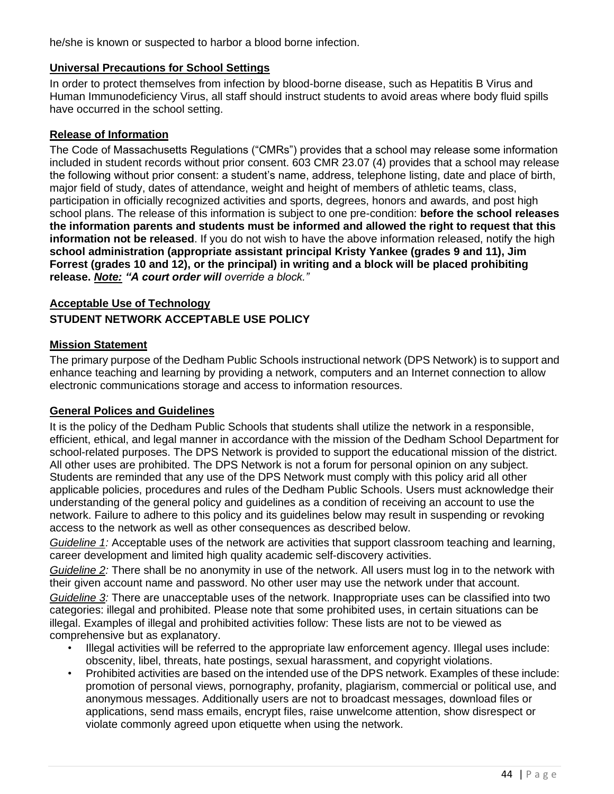he/she is known or suspected to harbor a blood borne infection.

# **Universal Precautions for School Settings**

In order to protect themselves from infection by blood-borne disease, such as Hepatitis B Virus and Human Immunodeficiency Virus, all staff should instruct students to avoid areas where body fluid spills have occurred in the school setting.

# **Release of Information**

The Code of Massachusetts Regulations ("CMRs") provides that a school may release some information included in student records without prior consent. 603 CMR 23.07 (4) provides that a school may release the following without prior consent: a student's name, address, telephone listing, date and place of birth, major field of study, dates of attendance, weight and height of members of athletic teams, class, participation in officially recognized activities and sports, degrees, honors and awards, and post high school plans. The release of this information is subject to one pre-condition: **before the school releases the information parents and students must be informed and allowed the right to request that this information not be released**. If you do not wish to have the above information released, notify the high **school administration (appropriate assistant principal Kristy Yankee (grades 9 and 11), Jim Forrest (grades 10 and 12), or the principal) in writing and a block will be placed prohibiting release.** *Note: "A court order will override a block."*

# **Acceptable Use of Technology**

# **STUDENT NETWORK ACCEPTABLE USE POLICY**

# **Mission Statement**

The primary purpose of the Dedham Public Schools instructional network (DPS Network) is to support and enhance teaching and learning by providing a network, computers and an Internet connection to allow electronic communications storage and access to information resources.

# **General Polices and Guidelines**

It is the policy of the Dedham Public Schools that students shall utilize the network in a responsible, efficient, ethical, and legal manner in accordance with the mission of the Dedham School Department for school-related purposes. The DPS Network is provided to support the educational mission of the district. All other uses are prohibited. The DPS Network is not a forum for personal opinion on any subject. Students are reminded that any use of the DPS Network must comply with this policy arid all other applicable policies, procedures and rules of the Dedham Public Schools. Users must acknowledge their understanding of the general policy and guidelines as a condition of receiving an account to use the network. Failure to adhere to this policy and its guidelines below may result in suspending or revoking access to the network as well as other consequences as described below.

*Guideline 1:* Acceptable uses of the network are activities that support classroom teaching and learning, career development and limited high quality academic self-discovery activities.

*Guideline 2:* There shall be no anonymity in use of the network. All users must log in to the network with their given account name and password. No other user may use the network under that account.

*Guideline 3:* There are unacceptable uses of the network. Inappropriate uses can be classified into two categories: illegal and prohibited. Please note that some prohibited uses, in certain situations can be illegal. Examples of illegal and prohibited activities follow: These lists are not to be viewed as comprehensive but as explanatory.

- Illegal activities will be referred to the appropriate law enforcement agency. Illegal uses include: obscenity, libel, threats, hate postings, sexual harassment, and copyright violations.
- Prohibited activities are based on the intended use of the DPS network. Examples of these include: promotion of personal views, pornography, profanity, plagiarism, commercial or political use, and anonymous messages. Additionally users are not to broadcast messages, download files or applications, send mass emails, encrypt files, raise unwelcome attention, show disrespect or violate commonly agreed upon etiquette when using the network.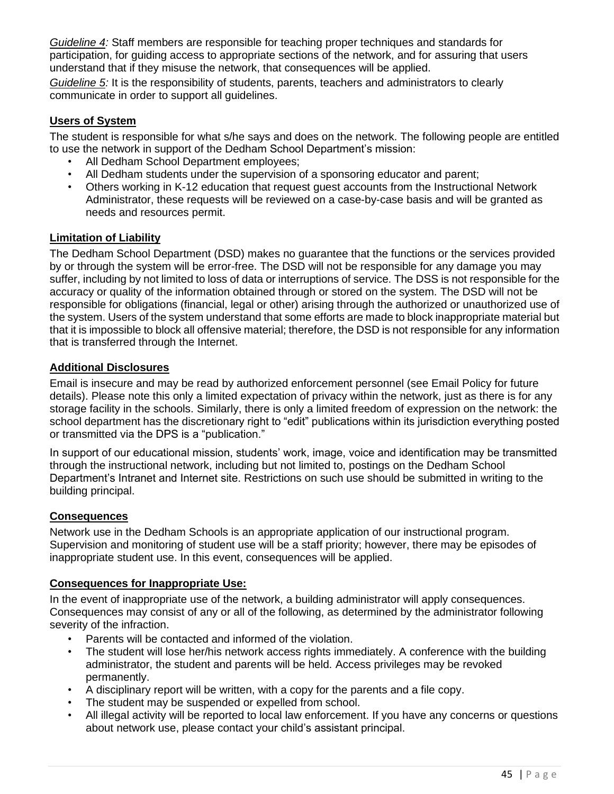*Guideline 4:* Staff members are responsible for teaching proper techniques and standards for participation, for guiding access to appropriate sections of the network, and for assuring that users understand that if they misuse the network, that consequences will be applied.

*Guideline 5:* It is the responsibility of students, parents, teachers and administrators to clearly communicate in order to support all guidelines.

# **Users of System**

The student is responsible for what s/he says and does on the network. The following people are entitled to use the network in support of the Dedham School Department's mission:

- All Dedham School Department employees:
- All Dedham students under the supervision of a sponsoring educator and parent;
- Others working in K-12 education that request guest accounts from the Instructional Network Administrator, these requests will be reviewed on a case-by-case basis and will be granted as needs and resources permit.

# **Limitation of Liability**

The Dedham School Department (DSD) makes no guarantee that the functions or the services provided by or through the system will be error-free. The DSD will not be responsible for any damage you may suffer, including by not limited to loss of data or interruptions of service. The DSS is not responsible for the accuracy or quality of the information obtained through or stored on the system. The DSD will not be responsible for obligations (financial, legal or other) arising through the authorized or unauthorized use of the system. Users of the system understand that some efforts are made to block inappropriate material but that it is impossible to block all offensive material; therefore, the DSD is not responsible for any information that is transferred through the Internet.

#### **Additional Disclosures**

Email is insecure and may be read by authorized enforcement personnel (see Email Policy for future details). Please note this only a limited expectation of privacy within the network, just as there is for any storage facility in the schools. Similarly, there is only a limited freedom of expression on the network: the school department has the discretionary right to "edit" publications within its jurisdiction everything posted or transmitted via the DPS is a "publication."

In support of our educational mission, students' work, image, voice and identification may be transmitted through the instructional network, including but not limited to, postings on the Dedham School Department's Intranet and Internet site. Restrictions on such use should be submitted in writing to the building principal.

# **Consequences**

Network use in the Dedham Schools is an appropriate application of our instructional program. Supervision and monitoring of student use will be a staff priority; however, there may be episodes of inappropriate student use. In this event, consequences will be applied.

# **Consequences for Inappropriate Use:**

In the event of inappropriate use of the network, a building administrator will apply consequences. Consequences may consist of any or all of the following, as determined by the administrator following severity of the infraction.

- Parents will be contacted and informed of the violation.<br>• The student will lose her/his network access rights immed
- The student will lose her/his network access rights immediately. A conference with the building administrator, the student and parents will be held. Access privileges may be revoked permanently.
- A disciplinary report will be written, with a copy for the parents and a file copy.
- The student may be suspended or expelled from school.
- All illegal activity will be reported to local law enforcement. If you have any concerns or questions about network use, please contact your child's assistant principal.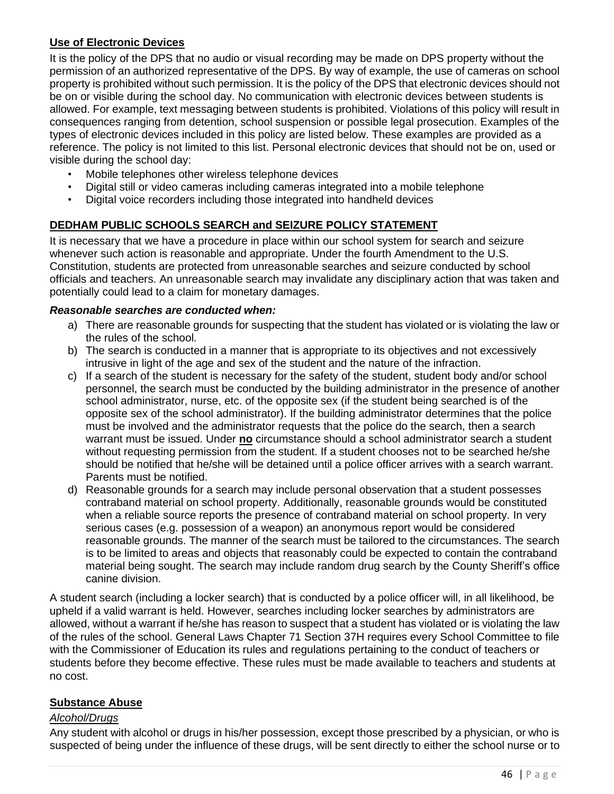# **Use of Electronic Devices**

It is the policy of the DPS that no audio or visual recording may be made on DPS property without the permission of an authorized representative of the DPS. By way of example, the use of cameras on school property is prohibited without such permission. It is the policy of the DPS that electronic devices should not be on or visible during the school day. No communication with electronic devices between students is allowed. For example, text messaging between students is prohibited. Violations of this policy will result in consequences ranging from detention, school suspension or possible legal prosecution. Examples of the types of electronic devices included in this policy are listed below. These examples are provided as a reference. The policy is not limited to this list. Personal electronic devices that should not be on, used or visible during the school day:

- Mobile telephones other wireless telephone devices
- Digital still or video cameras including cameras integrated into a mobile telephone
- Digital voice recorders including those integrated into handheld devices

# **DEDHAM PUBLIC SCHOOLS SEARCH and SEIZURE POLICY STATEMENT**

It is necessary that we have a procedure in place within our school system for search and seizure whenever such action is reasonable and appropriate. Under the fourth Amendment to the U.S. Constitution, students are protected from unreasonable searches and seizure conducted by school officials and teachers. An unreasonable search may invalidate any disciplinary action that was taken and potentially could lead to a claim for monetary damages.

# *Reasonable searches are conducted when:*

- a) There are reasonable grounds for suspecting that the student has violated or is violating the law or the rules of the school.
- b) The search is conducted in a manner that is appropriate to its objectives and not excessively intrusive in light of the age and sex of the student and the nature of the infraction.
- c) If a search of the student is necessary for the safety of the student, student body and/or school personnel, the search must be conducted by the building administrator in the presence of another school administrator, nurse, etc. of the opposite sex (if the student being searched is of the opposite sex of the school administrator). If the building administrator determines that the police must be involved and the administrator requests that the police do the search, then a search warrant must be issued. Under **no** circumstance should a school administrator search a student without requesting permission from the student. If a student chooses not to be searched he/she should be notified that he/she will be detained until a police officer arrives with a search warrant. Parents must be notified.
- d) Reasonable grounds for a search may include personal observation that a student possesses contraband material on school property. Additionally, reasonable grounds would be constituted when a reliable source reports the presence of contraband material on school property. In very serious cases (e.g. possession of a weapon) an anonymous report would be considered reasonable grounds. The manner of the search must be tailored to the circumstances. The search is to be limited to areas and objects that reasonably could be expected to contain the contraband material being sought. The search may include random drug search by the County Sheriff's office canine division.

A student search (including a locker search) that is conducted by a police officer will, in all likelihood, be upheld if a valid warrant is held. However, searches including locker searches by administrators are allowed, without a warrant if he/she has reason to suspect that a student has violated or is violating the law of the rules of the school. General Laws Chapter 71 Section 37H requires every School Committee to file with the Commissioner of Education its rules and regulations pertaining to the conduct of teachers or students before they become effective. These rules must be made available to teachers and students at no cost.

# **Substance Abuse**

#### *Alcohol/Drugs*

Any student with alcohol or drugs in his/her possession, except those prescribed by a physician, or who is suspected of being under the influence of these drugs, will be sent directly to either the school nurse or to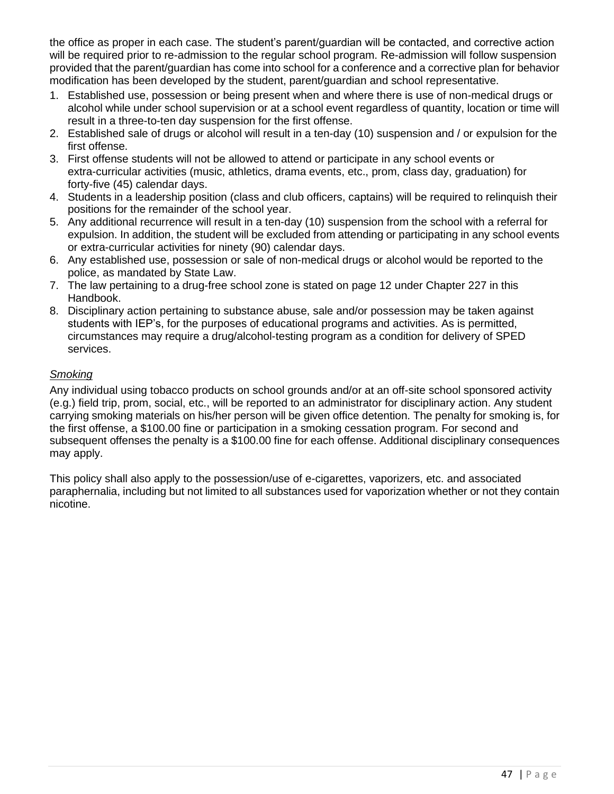the office as proper in each case. The student's parent/guardian will be contacted, and corrective action will be required prior to re-admission to the regular school program. Re-admission will follow suspension provided that the parent/guardian has come into school for a conference and a corrective plan for behavior modification has been developed by the student, parent/guardian and school representative.

- 1. Established use, possession or being present when and where there is use of non-medical drugs or alcohol while under school supervision or at a school event regardless of quantity, location or time will result in a three-to-ten day suspension for the first offense.
- 2. Established sale of drugs or alcohol will result in a ten-day (10) suspension and / or expulsion for the first offense.
- 3. First offense students will not be allowed to attend or participate in any school events or extra-curricular activities (music, athletics, drama events, etc., prom, class day, graduation) for forty-five (45) calendar days.
- 4. Students in a leadership position (class and club officers, captains) will be required to relinquish their positions for the remainder of the school year.
- 5. Any additional recurrence will result in a ten-day (10) suspension from the school with a referral for expulsion. In addition, the student will be excluded from attending or participating in any school events or extra-curricular activities for ninety (90) calendar days.
- 6. Any established use, possession or sale of non-medical drugs or alcohol would be reported to the police, as mandated by State Law.
- 7. The law pertaining to a drug-free school zone is stated on page 12 under Chapter 227 in this Handbook.
- 8. Disciplinary action pertaining to substance abuse, sale and/or possession may be taken against students with IEP's, for the purposes of educational programs and activities. As is permitted, circumstances may require a drug/alcohol-testing program as a condition for delivery of SPED services.

# *Smoking*

Any individual using tobacco products on school grounds and/or at an off-site school sponsored activity (e.g.) field trip, prom, social, etc., will be reported to an administrator for disciplinary action. Any student carrying smoking materials on his/her person will be given office detention. The penalty for smoking is, for the first offense, a \$100.00 fine or participation in a smoking cessation program. For second and subsequent offenses the penalty is a \$100.00 fine for each offense. Additional disciplinary consequences may apply.

This policy shall also apply to the possession/use of e-cigarettes, vaporizers, etc. and associated paraphernalia, including but not limited to all substances used for vaporization whether or not they contain nicotine.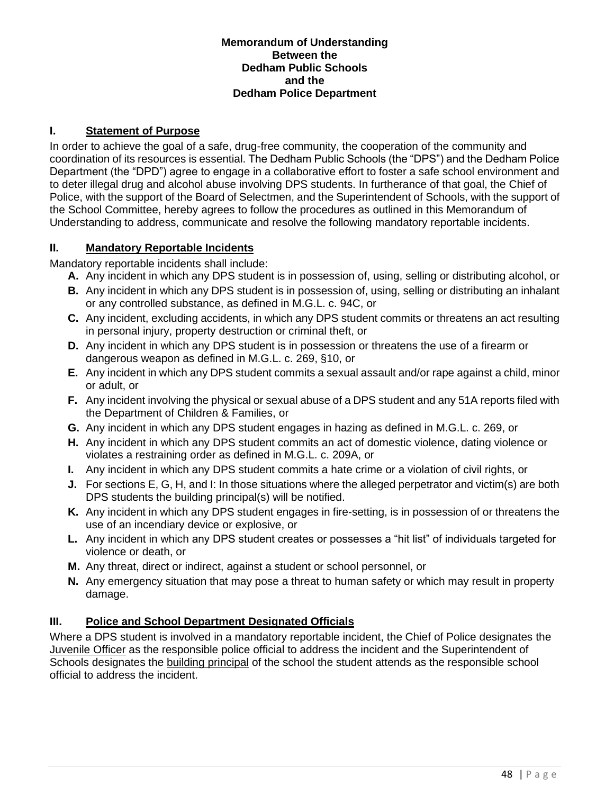#### **Memorandum of Understanding Between the Dedham Public Schools and the Dedham Police Department**

# **I. Statement of Purpose**

In order to achieve the goal of a safe, drug-free community, the cooperation of the community and coordination of its resources is essential. The Dedham Public Schools (the "DPS") and the Dedham Police Department (the "DPD") agree to engage in a collaborative effort to foster a safe school environment and to deter illegal drug and alcohol abuse involving DPS students. In furtherance of that goal, the Chief of Police, with the support of the Board of Selectmen, and the Superintendent of Schools, with the support of the School Committee, hereby agrees to follow the procedures as outlined in this Memorandum of Understanding to address, communicate and resolve the following mandatory reportable incidents.

# **II. Mandatory Reportable Incidents**

Mandatory reportable incidents shall include:

- **A.** Any incident in which any DPS student is in possession of, using, selling or distributing alcohol, or
- **B.** Any incident in which any DPS student is in possession of, using, selling or distributing an inhalant or any controlled substance, as defined in M.G.L. c. 94C, or
- **C.** Any incident, excluding accidents, in which any DPS student commits or threatens an act resulting in personal injury, property destruction or criminal theft, or
- **D.** Any incident in which any DPS student is in possession or threatens the use of a firearm or dangerous weapon as defined in M.G.L. c. 269, §10, or
- **E.** Any incident in which any DPS student commits a sexual assault and/or rape against a child, minor or adult, or
- **F.** Any incident involving the physical or sexual abuse of a DPS student and any 51A reports filed with the Department of Children & Families, or
- **G.** Any incident in which any DPS student engages in hazing as defined in M.G.L. c. 269, or
- **H.** Any incident in which any DPS student commits an act of domestic violence, dating violence or violates a restraining order as defined in M.G.L. c. 209A, or
- **I.** Any incident in which any DPS student commits a hate crime or a violation of civil rights, or
- **J.** For sections E, G, H, and I: In those situations where the alleged perpetrator and victim(s) are both DPS students the building principal(s) will be notified.
- **K.** Any incident in which any DPS student engages in fire-setting, is in possession of or threatens the use of an incendiary device or explosive, or
- **L.** Any incident in which any DPS student creates or possesses a "hit list" of individuals targeted for violence or death, or
- **M.** Any threat, direct or indirect, against a student or school personnel, or
- **N.** Any emergency situation that may pose a threat to human safety or which may result in property damage.

# **III. Police and School Department Designated Officials**

Where a DPS student is involved in a mandatory reportable incident, the Chief of Police designates the Juvenile Officer as the responsible police official to address the incident and the Superintendent of Schools designates the building principal of the school the student attends as the responsible school official to address the incident.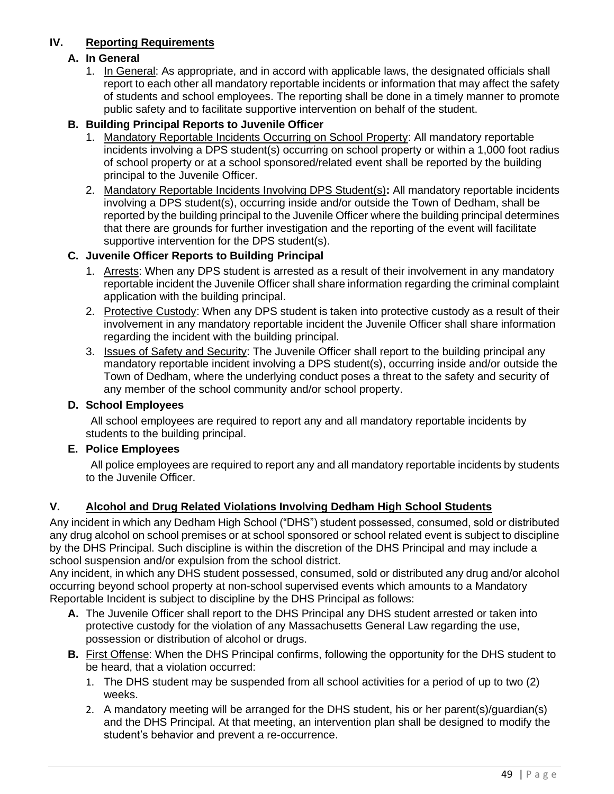# **IV. Reporting Requirements**

# **A. In General**

1. In General: As appropriate, and in accord with applicable laws, the designated officials shall report to each other all mandatory reportable incidents or information that may affect the safety of students and school employees. The reporting shall be done in a timely manner to promote public safety and to facilitate supportive intervention on behalf of the student.

# **B. Building Principal Reports to Juvenile Officer**

- 1. Mandatory Reportable Incidents Occurring on School Property: All mandatory reportable incidents involving a DPS student(s) occurring on school property or within a 1,000 foot radius of school property or at a school sponsored/related event shall be reported by the building principal to the Juvenile Officer.
- 2. Mandatory Reportable Incidents Involving DPS Student(s)**:** All mandatory reportable incidents involving a DPS student(s), occurring inside and/or outside the Town of Dedham, shall be reported by the building principal to the Juvenile Officer where the building principal determines that there are grounds for further investigation and the reporting of the event will facilitate supportive intervention for the DPS student(s).

# **C. Juvenile Officer Reports to Building Principal**

- 1. Arrests: When any DPS student is arrested as a result of their involvement in any mandatory reportable incident the Juvenile Officer shall share information regarding the criminal complaint application with the building principal.
- 2. Protective Custody: When any DPS student is taken into protective custody as a result of their involvement in any mandatory reportable incident the Juvenile Officer shall share information regarding the incident with the building principal.
- 3. Issues of Safety and Security: The Juvenile Officer shall report to the building principal any mandatory reportable incident involving a DPS student(s), occurring inside and/or outside the Town of Dedham, where the underlying conduct poses a threat to the safety and security of any member of the school community and/or school property.

# **D. School Employees**

All school employees are required to report any and all mandatory reportable incidents by students to the building principal.

# **E. Police Employees**

All police employees are required to report any and all mandatory reportable incidents by students to the Juvenile Officer.

# **V. Alcohol and Drug Related Violations Involving Dedham High School Students**

Any incident in which any Dedham High School ("DHS") student possessed, consumed, sold or distributed any drug alcohol on school premises or at school sponsored or school related event is subject to discipline by the DHS Principal. Such discipline is within the discretion of the DHS Principal and may include a school suspension and/or expulsion from the school district.

Any incident, in which any DHS student possessed, consumed, sold or distributed any drug and/or alcohol occurring beyond school property at non-school supervised events which amounts to a Mandatory Reportable Incident is subject to discipline by the DHS Principal as follows:

- **A.** The Juvenile Officer shall report to the DHS Principal any DHS student arrested or taken into protective custody for the violation of any Massachusetts General Law regarding the use, possession or distribution of alcohol or drugs.
- **B.** First Offense: When the DHS Principal confirms, following the opportunity for the DHS student to be heard, that a violation occurred:
	- 1. The DHS student may be suspended from all school activities for a period of up to two (2) weeks.
	- 2. A mandatory meeting will be arranged for the DHS student, his or her parent(s)/guardian(s) and the DHS Principal. At that meeting, an intervention plan shall be designed to modify the student's behavior and prevent a re-occurrence.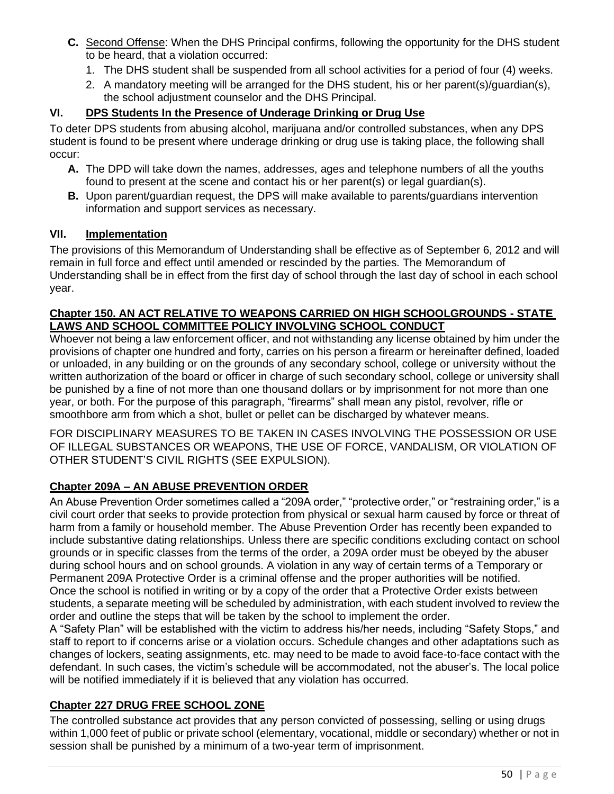- **C.** Second Offense: When the DHS Principal confirms, following the opportunity for the DHS student to be heard, that a violation occurred:
	- 1. The DHS student shall be suspended from all school activities for a period of four (4) weeks.
	- 2. A mandatory meeting will be arranged for the DHS student, his or her parent(s)/guardian(s), the school adjustment counselor and the DHS Principal.

# **VI. DPS Students In the Presence of Underage Drinking or Drug Use**

To deter DPS students from abusing alcohol, marijuana and/or controlled substances, when any DPS student is found to be present where underage drinking or drug use is taking place, the following shall occur:

- **A.** The DPD will take down the names, addresses, ages and telephone numbers of all the youths found to present at the scene and contact his or her parent(s) or legal guardian(s).
- **B.** Upon parent/guardian request, the DPS will make available to parents/guardians intervention information and support services as necessary.

# **VII. Implementation**

The provisions of this Memorandum of Understanding shall be effective as of September 6, 2012 and will remain in full force and effect until amended or rescinded by the parties. The Memorandum of Understanding shall be in effect from the first day of school through the last day of school in each school year.

# **Chapter 150. AN ACT RELATIVE TO WEAPONS CARRIED ON HIGH SCHOOLGROUNDS - STATE LAWS AND SCHOOL COMMITTEE POLICY INVOLVING SCHOOL CONDUCT**

Whoever not being a law enforcement officer, and not withstanding any license obtained by him under the provisions of chapter one hundred and forty, carries on his person a firearm or hereinafter defined, loaded or unloaded, in any building or on the grounds of any secondary school, college or university without the written authorization of the board or officer in charge of such secondary school, college or university shall be punished by a fine of not more than one thousand dollars or by imprisonment for not more than one year, or both. For the purpose of this paragraph, "firearms" shall mean any pistol, revolver, rifle or smoothbore arm from which a shot, bullet or pellet can be discharged by whatever means.

FOR DISCIPLINARY MEASURES TO BE TAKEN IN CASES INVOLVING THE POSSESSION OR USE OF ILLEGAL SUBSTANCES OR WEAPONS, THE USE OF FORCE, VANDALISM, OR VIOLATION OF OTHER STUDENT'S CIVIL RIGHTS (SEE EXPULSION).

# **Chapter 209A – AN ABUSE PREVENTION ORDER**

An Abuse Prevention Order sometimes called a "209A order," "protective order," or "restraining order," is a civil court order that seeks to provide protection from physical or sexual harm caused by force or threat of harm from a family or household member. The Abuse Prevention Order has recently been expanded to include substantive dating relationships. Unless there are specific conditions excluding contact on school grounds or in specific classes from the terms of the order, a 209A order must be obeyed by the abuser during school hours and on school grounds. A violation in any way of certain terms of a Temporary or Permanent 209A Protective Order is a criminal offense and the proper authorities will be notified. Once the school is notified in writing or by a copy of the order that a Protective Order exists between students, a separate meeting will be scheduled by administration, with each student involved to review the order and outline the steps that will be taken by the school to implement the order.

A "Safety Plan" will be established with the victim to address his/her needs, including "Safety Stops," and staff to report to if concerns arise or a violation occurs. Schedule changes and other adaptations such as changes of lockers, seating assignments, etc. may need to be made to avoid face-to-face contact with the defendant. In such cases, the victim's schedule will be accommodated, not the abuser's. The local police will be notified immediately if it is believed that any violation has occurred.

# **Chapter 227 DRUG FREE SCHOOL ZONE**

The controlled substance act provides that any person convicted of possessing, selling or using drugs within 1,000 feet of public or private school (elementary, vocational, middle or secondary) whether or not in session shall be punished by a minimum of a two-year term of imprisonment.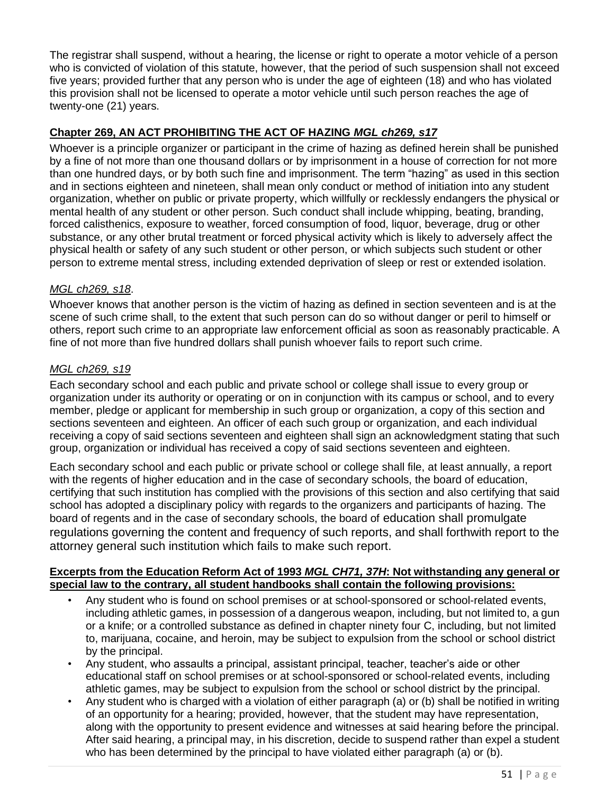The registrar shall suspend, without a hearing, the license or right to operate a motor vehicle of a person who is convicted of violation of this statute, however, that the period of such suspension shall not exceed five years; provided further that any person who is under the age of eighteen (18) and who has violated this provision shall not be licensed to operate a motor vehicle until such person reaches the age of twenty-one (21) years.

# **Chapter 269, AN ACT PROHIBITING THE ACT OF HAZING** *MGL ch269, s17*

Whoever is a principle organizer or participant in the crime of hazing as defined herein shall be punished by a fine of not more than one thousand dollars or by imprisonment in a house of correction for not more than one hundred days, or by both such fine and imprisonment. The term "hazing" as used in this section and in sections eighteen and nineteen, shall mean only conduct or method of initiation into any student organization, whether on public or private property, which willfully or recklessly endangers the physical or mental health of any student or other person. Such conduct shall include whipping, beating, branding, forced calisthenics, exposure to weather, forced consumption of food, liquor, beverage, drug or other substance, or any other brutal treatment or forced physical activity which is likely to adversely affect the physical health or safety of any such student or other person, or which subjects such student or other person to extreme mental stress, including extended deprivation of sleep or rest or extended isolation.

# *MGL ch269, s18*.

Whoever knows that another person is the victim of hazing as defined in section seventeen and is at the scene of such crime shall, to the extent that such person can do so without danger or peril to himself or others, report such crime to an appropriate law enforcement official as soon as reasonably practicable. A fine of not more than five hundred dollars shall punish whoever fails to report such crime.

# *MGL ch269, s19*

Each secondary school and each public and private school or college shall issue to every group or organization under its authority or operating or on in conjunction with its campus or school, and to every member, pledge or applicant for membership in such group or organization, a copy of this section and sections seventeen and eighteen. An officer of each such group or organization, and each individual receiving a copy of said sections seventeen and eighteen shall sign an acknowledgment stating that such group, organization or individual has received a copy of said sections seventeen and eighteen.

Each secondary school and each public or private school or college shall file, at least annually, a report with the regents of higher education and in the case of secondary schools, the board of education, certifying that such institution has complied with the provisions of this section and also certifying that said school has adopted a disciplinary policy with regards to the organizers and participants of hazing. The board of regents and in the case of secondary schools, the board of education shall promulgate regulations governing the content and frequency of such reports, and shall forthwith report to the attorney general such institution which fails to make such report.

#### **Excerpts from the Education Reform Act of 1993** *MGL CH71, 37H***: Not withstanding any general or special law to the contrary, all student handbooks shall contain the following provisions:**

- Any student who is found on school premises or at school-sponsored or school-related events, including athletic games, in possession of a dangerous weapon, including, but not limited to, a gun or a knife; or a controlled substance as defined in chapter ninety four C, including, but not limited to, marijuana, cocaine, and heroin, may be subject to expulsion from the school or school district by the principal.
- Any student, who assaults a principal, assistant principal, teacher, teacher's aide or other educational staff on school premises or at school-sponsored or school-related events, including athletic games, may be subject to expulsion from the school or school district by the principal.
- Any student who is charged with a violation of either paragraph (a) or (b) shall be notified in writing of an opportunity for a hearing; provided, however, that the student may have representation, along with the opportunity to present evidence and witnesses at said hearing before the principal. After said hearing, a principal may, in his discretion, decide to suspend rather than expel a student who has been determined by the principal to have violated either paragraph (a) or (b).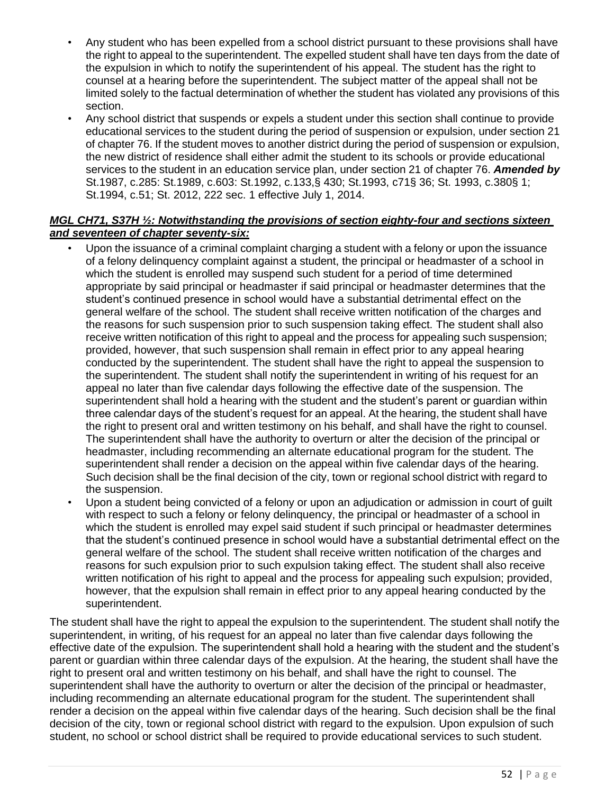- Any student who has been expelled from a school district pursuant to these provisions shall have the right to appeal to the superintendent. The expelled student shall have ten days from the date of the expulsion in which to notify the superintendent of his appeal. The student has the right to counsel at a hearing before the superintendent. The subject matter of the appeal shall not be limited solely to the factual determination of whether the student has violated any provisions of this section.
- Any school district that suspends or expels a student under this section shall continue to provide educational services to the student during the period of suspension or expulsion, under section 21 of chapter 76. If the student moves to another district during the period of suspension or expulsion, the new district of residence shall either admit the student to its schools or provide educational services to the student in an education service plan, under section 21 of chapter 76. *Amended by* St.1987, c.285: St.1989, c.603: St.1992, c.133,§ 430; St.1993, c71§ 36; St. 1993, c.380§ 1; St.1994, c.51; St. 2012, 222 sec. 1 effective July 1, 2014.

# *MGL CH71, S37H ½: Notwithstanding the provisions of section eighty-four and sections sixteen and seventeen of chapter seventy-six:*

- Upon the issuance of a criminal complaint charging a student with a felony or upon the issuance of a felony delinquency complaint against a student, the principal or headmaster of a school in which the student is enrolled may suspend such student for a period of time determined appropriate by said principal or headmaster if said principal or headmaster determines that the student's continued presence in school would have a substantial detrimental effect on the general welfare of the school. The student shall receive written notification of the charges and the reasons for such suspension prior to such suspension taking effect. The student shall also receive written notification of this right to appeal and the process for appealing such suspension; provided, however, that such suspension shall remain in effect prior to any appeal hearing conducted by the superintendent. The student shall have the right to appeal the suspension to the superintendent. The student shall notify the superintendent in writing of his request for an appeal no later than five calendar days following the effective date of the suspension. The superintendent shall hold a hearing with the student and the student's parent or guardian within three calendar days of the student's request for an appeal. At the hearing, the student shall have the right to present oral and written testimony on his behalf, and shall have the right to counsel. The superintendent shall have the authority to overturn or alter the decision of the principal or headmaster, including recommending an alternate educational program for the student. The superintendent shall render a decision on the appeal within five calendar days of the hearing. Such decision shall be the final decision of the city, town or regional school district with regard to the suspension.
- Upon a student being convicted of a felony or upon an adjudication or admission in court of guilt with respect to such a felony or felony delinquency, the principal or headmaster of a school in which the student is enrolled may expel said student if such principal or headmaster determines that the student's continued presence in school would have a substantial detrimental effect on the general welfare of the school. The student shall receive written notification of the charges and reasons for such expulsion prior to such expulsion taking effect. The student shall also receive written notification of his right to appeal and the process for appealing such expulsion; provided, however, that the expulsion shall remain in effect prior to any appeal hearing conducted by the superintendent.

The student shall have the right to appeal the expulsion to the superintendent. The student shall notify the superintendent, in writing, of his request for an appeal no later than five calendar days following the effective date of the expulsion. The superintendent shall hold a hearing with the student and the student's parent or guardian within three calendar days of the expulsion. At the hearing, the student shall have the right to present oral and written testimony on his behalf, and shall have the right to counsel. The superintendent shall have the authority to overturn or alter the decision of the principal or headmaster, including recommending an alternate educational program for the student. The superintendent shall render a decision on the appeal within five calendar days of the hearing. Such decision shall be the final decision of the city, town or regional school district with regard to the expulsion. Upon expulsion of such student, no school or school district shall be required to provide educational services to such student.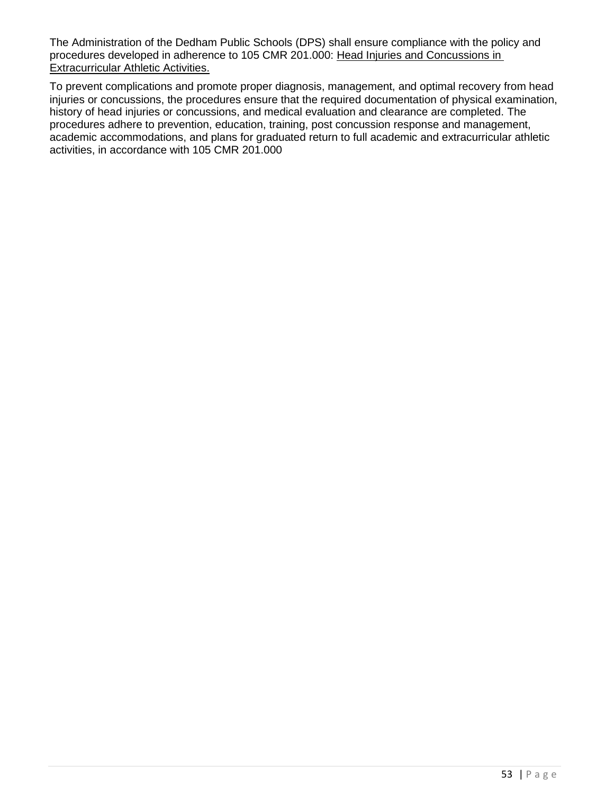The Administration of the Dedham Public Schools (DPS) shall ensure compliance with the policy and procedures developed in adherence to 105 CMR 201.000: Head Injuries and Concussions in Extracurricular Athletic Activities.

To prevent complications and promote proper diagnosis, management, and optimal recovery from head injuries or concussions, the procedures ensure that the required documentation of physical examination, history of head injuries or concussions, and medical evaluation and clearance are completed. The procedures adhere to prevention, education, training, post concussion response and management, academic accommodations, and plans for graduated return to full academic and extracurricular athletic activities, in accordance with 105 CMR 201.000